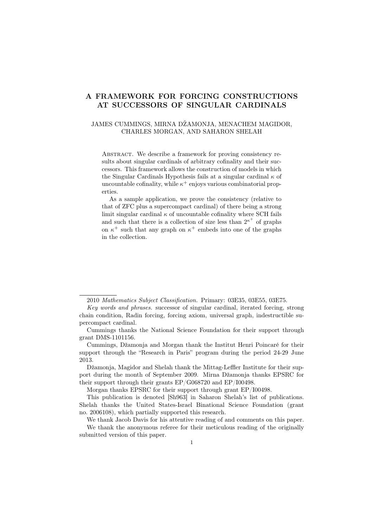# A FRAMEWORK FOR FORCING CONSTRUCTIONS AT SUCCESSORS OF SINGULAR CARDINALS

### JAMES CUMMINGS, MIRNA DŽAMONJA, MENACHEM MAGIDOR, CHARLES MORGAN, AND SAHARON SHELAH

ABSTRACT. We describe a framework for proving consistency results about singular cardinals of arbitrary cofinality and their successors. This framework allows the construction of models in which the Singular Cardinals Hypothesis fails at a singular cardinal  $\kappa$  of uncountable cofinality, while  $\kappa^+$  enjoys various combinatorial properties.

As a sample application, we prove the consistency (relative to that of ZFC plus a supercompact cardinal) of there being a strong limit singular cardinal  $\kappa$  of uncountable cofinality where SCH fails and such that there is a collection of size less than  $2^{\kappa^+}$  of graphs on  $\kappa^+$  such that any graph on  $\kappa^+$  embeds into one of the graphs in the collection.

Morgan thanks EPSRC for their support through grant EP/I00498.

<sup>2010</sup> Mathematics Subject Classification. Primary: 03E35, 03E55, 03E75.

Key words and phrases. successor of singular cardinal, iterated forcing, strong chain condition, Radin forcing, forcing axiom, universal graph, indestructible supercompact cardinal.

Cummings thanks the National Science Foundation for their support through grant DMS-1101156.

Cummings, Džamonja and Morgan thank the Institut Henri Poincaré for their support through the "Research in Paris" program during the period 24-29 June 2013.

Džamonja, Magidor and Shelah thank the Mittag-Leffler Institute for their support during the month of September 2009. Mirna Džamonja thanks EPSRC for their support through their grants EP/G068720 and EP/I00498.

This publication is denoted [Sh963] in Saharon Shelah's list of publications. Shelah thanks the United States-Israel Binational Science Foundation (grant no. 2006108), which partially supported this research.

We thank Jacob Davis for his attentive reading of and comments on this paper.

We thank the anonymous referee for their meticulous reading of the originally submitted version of this paper.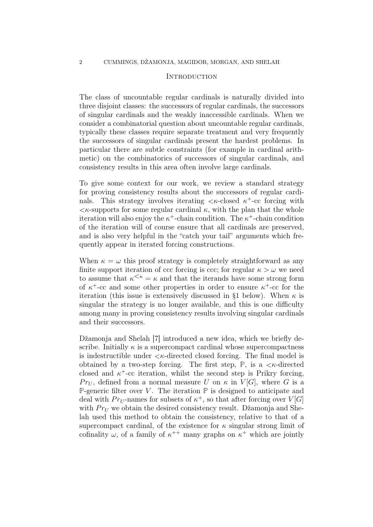### **INTRODUCTION**

The class of uncountable regular cardinals is naturally divided into three disjoint classes: the successors of regular cardinals, the successors of singular cardinals and the weakly inaccessible cardinals. When we consider a combinatorial question about uncountable regular cardinals, typically these classes require separate treatment and very frequently the successors of singular cardinals present the hardest problems. In particular there are subtle constraints (for example in cardinal arithmetic) on the combinatorics of successors of singular cardinals, and consistency results in this area often involve large cardinals.

To give some context for our work, we review a standard strategy for proving consistency results about the successors of regular cardinals. This strategy involves iterating  $\langle \kappa$ -closed  $\kappa^+$ -cc forcing with  $\langle \kappa$ -supports for some regular cardinal  $\kappa$ , with the plan that the whole iteration will also enjoy the  $\kappa^+$ -chain condition. The  $\kappa^+$ -chain condition of the iteration will of course ensure that all cardinals are preserved, and is also very helpful in the "catch your tail" arguments which frequently appear in iterated forcing constructions.

When  $\kappa = \omega$  this proof strategy is completely straightforward as any finite support iteration of ccc forcing is ccc; for regular  $\kappa > \omega$  we need to assume that  $\kappa^{\leq \kappa} = \kappa$  and that the iterands have some strong form of  $\kappa^+$ -cc and some other properties in order to ensure  $\kappa^+$ -cc for the iteration (this issue is extensively discussed in §1 below). When  $\kappa$  is singular the strategy is no longer available, and this is one difficulty among many in proving consistency results involving singular cardinals and their successors.

Džamonja and Shelah [7] introduced a new idea, which we briefly describe. Initially  $\kappa$  is a supercompact cardinal whose supercompactness is indestructible under  $\langle \kappa$ -directed closed forcing. The final model is obtained by a two-step forcing. The first step,  $\mathbb{P}$ , is a  $\lt \kappa$ -directed closed and  $\kappa^+$ -cc iteration, whilst the second step is Prikry forcing,  $Pr_U$ , defined from a normal measure U on  $\kappa$  in  $V[G]$ , where G is a **P**-generic filter over V. The iteration  $\mathbb P$  is designed to anticipate and deal with  $Pr_U$ -names for subsets of  $\kappa^+$ , so that after forcing over  $V[G]$ with  $Pr_U$  we obtain the desired consistency result. Džamonja and Shelah used this method to obtain the consistency, relative to that of a supercompact cardinal, of the existence for  $\kappa$  singular strong limit of cofinality  $\omega$ , of a family of  $\kappa^{++}$  many graphs on  $\kappa^+$  which are jointly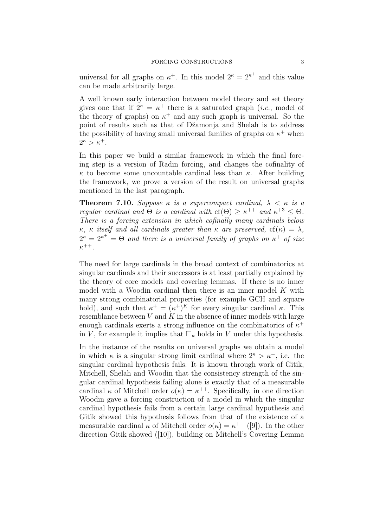universal for all graphs on  $\kappa^+$ . In this model  $2^{\kappa} = 2^{\kappa^+}$  and this value can be made arbitrarily large.

A well known early interaction between model theory and set theory gives one that if  $2^{\kappa} = \kappa^+$  there is a saturated graph (*i.e.*, model of the theory of graphs) on  $\kappa^+$  and any such graph is universal. So the point of results such as that of Džamonja and Shelah is to address the possibility of having small universal families of graphs on  $\kappa^+$  when  $2^{\kappa} > \kappa^+$ .

In this paper we build a similar framework in which the final forcing step is a version of Radin forcing, and changes the cofinality of  $\kappa$  to become some uncountable cardinal less than  $\kappa$ . After building the framework, we prove a version of the result on universal graphs mentioned in the last paragraph.

**Theorem 7.10.** Suppose  $\kappa$  is a supercompact cardinal,  $\lambda \leq \kappa$  is a regular cardinal and  $\Theta$  is a cardinal with  $cf(\Theta) \geq \kappa^{++}$  and  $\kappa^{+3} \leq \Theta$ . There is a forcing extension in which cofinally many cardinals below  $\kappa$ ,  $\kappa$  itself and all cardinals greater than  $\kappa$  are preserved,  $cf(\kappa) = \lambda$ ,  $2^{\kappa} = 2^{\kappa^+} = \Theta$  and there is a universal family of graphs on  $\kappa^+$  of size  $\kappa^{++}.$ 

The need for large cardinals in the broad context of combinatorics at singular cardinals and their successors is at least partially explained by the theory of core models and covering lemmas. If there is no inner model with a Woodin cardinal then there is an inner model  $K$  with many strong combinatorial properties (for example GCH and square hold), and such that  $\kappa^+ = (\kappa^+)^K$  for every singular cardinal  $\kappa$ . This resemblance between  $V$  and  $K$  in the absence of inner models with large enough cardinals exerts a strong influence on the combinatorics of  $\kappa^+$ in V, for example it implies that  $\Box_{\kappa}$  holds in V under this hypothesis.

In the instance of the results on universal graphs we obtain a model in which  $\kappa$  is a singular strong limit cardinal where  $2^{\kappa} > \kappa^+$ , i.e. the singular cardinal hypothesis fails. It is known through work of Gitik, Mitchell, Shelah and Woodin that the consistency strength of the singular cardinal hypothesis failing alone is exactly that of a measurable cardinal  $\kappa$  of Mitchell order  $o(\kappa) = \kappa^{++}$ . Specifically, in one direction Woodin gave a forcing construction of a model in which the singular cardinal hypothesis fails from a certain large cardinal hypothesis and Gitik showed this hypothesis follows from that of the existence of a measurable cardinal  $\kappa$  of Mitchell order  $o(\kappa) = \kappa^{++}$  ([9]). In the other direction Gitik showed ([10]), building on Mitchell's Covering Lemma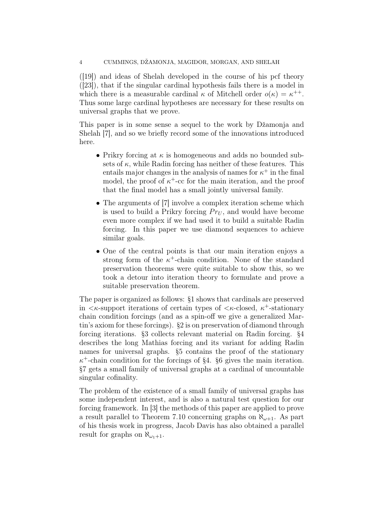([19]) and ideas of Shelah developed in the course of his pcf theory ([23]), that if the singular cardinal hypothesis fails there is a model in which there is a measurable cardinal  $\kappa$  of Mitchell order  $o(\kappa) = \kappa^{++}$ . Thus some large cardinal hypotheses are necessary for these results on universal graphs that we prove.

This paper is in some sense a sequel to the work by Džamonja and Shelah [7], and so we briefly record some of the innovations introduced here.

- Prikry forcing at  $\kappa$  is homogeneous and adds no bounded subsets of  $\kappa$ , while Radin forcing has neither of these features. This entails major changes in the analysis of names for  $\kappa^+$  in the final model, the proof of  $\kappa^+$ -cc for the main iteration, and the proof that the final model has a small jointly universal family.
- The arguments of [7] involve a complex iteration scheme which is used to build a Prikry forcing  $Pr_U$ , and would have become even more complex if we had used it to build a suitable Radin forcing. In this paper we use diamond sequences to achieve similar goals.
- One of the central points is that our main iteration enjoys a strong form of the  $\kappa^+$ -chain condition. None of the standard preservation theorems were quite suitable to show this, so we took a detour into iteration theory to formulate and prove a suitable preservation theorem.

The paper is organized as follows: §1 shows that cardinals are preserved in  $\langle \kappa$ -support iterations of certain types of  $\langle \kappa$ -closed,  $\kappa^+$ -stationary chain condition forcings (and as a spin-off we give a generalized Martin's axiom for these forcings). §2 is on preservation of diamond through forcing iterations. §3 collects relevant material on Radin forcing. §4 describes the long Mathias forcing and its variant for adding Radin names for universal graphs. §5 contains the proof of the stationary  $\kappa^+$ -chain condition for the forcings of §4. §6 gives the main iteration. §7 gets a small family of universal graphs at a cardinal of uncountable singular cofinality.

The problem of the existence of a small family of universal graphs has some independent interest, and is also a natural test question for our forcing framework. In [3] the methods of this paper are applied to prove a result parallel to Theorem 7.10 concerning graphs on  $\aleph_{\omega+1}$ . As part of his thesis work in progress, Jacob Davis has also obtained a parallel result for graphs on  $\aleph_{\omega_1+1}$ .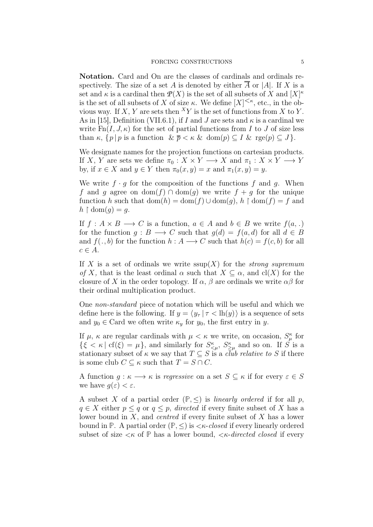Notation. Card and On are the classes of cardinals and ordinals respectively. The size of a set A is denoted by either  $\overline{A}$  or |A|. If X is a set and  $\kappa$  is a cardinal then  $\mathcal{P}(X)$  is the set of all subsets of X and  $[X]^{\kappa}$ is the set of all subsets of X of size  $\kappa$ . We define  $[X]^{<\kappa}$ , etc., in the obvious way. If X, Y are sets then  ${}^X Y$  is the set of functions from X to Y. As in [15], Definition (VII.6.1), if I and J are sets and  $\kappa$  is a cardinal we write  $Fn(I, J, \kappa)$  for the set of partial functions from I to J of size less than  $\kappa$ ,  $\{p \mid p$  is a function  $\& \bar{p} < \kappa \& \text{ dom}(p) \subseteq I \& \text{ rge}(p) \subseteq J\}.$ 

We designate names for the projection functions on cartesian products. If X, Y are sets we define  $\pi_0: X \times Y \longrightarrow X$  and  $\pi_1: X \times Y \longrightarrow Y$ by, if  $x \in X$  and  $y \in Y$  then  $\pi_0(x, y) = x$  and  $\pi_1(x, y) = y$ .

We write  $f \cdot q$  for the composition of the functions f and q. When f and g agree on dom(f) ∩ dom(g) we write  $f + g$  for the unique function h such that  $dom(h) = dom(f) \cup dom(g)$ ,  $h \restriction dom(f) = f$  and  $h \restriction \text{dom}(q) = q.$ 

If  $f: A \times B \longrightarrow C$  is a function,  $a \in A$  and  $b \in B$  we write  $f(a,.)$ for the function  $g : B \longrightarrow C$  such that  $g(d) = f(a, d)$  for all  $d \in B$ and  $f(., b)$  for the function  $h : A \longrightarrow C$  such that  $h(c) = f(c, b)$  for all  $c \in A$ .

If X is a set of ordinals we write  $\text{ssup}(X)$  for the *strong supremum* of X, that is the least ordinal  $\alpha$  such that  $X \subseteq \alpha$ , and cl(X) for the closure of X in the order topology. If  $\alpha$ ,  $\beta$  are ordinals we write  $\alpha\beta$  for their ordinal multiplication product.

One non-standard piece of notation which will be useful and which we define here is the following. If  $y = \langle y_\tau | \tau \langle h(y) \rangle$  is a sequence of sets and  $y_0 \in \text{Card}$  we often write  $\kappa_y$  for  $y_0$ , the first entry in y.

If  $\mu$ ,  $\kappa$  are regular cardinals with  $\mu < \kappa$  we write, on occasion,  $S_{\mu}^{\kappa}$  for  $\{\xi < \kappa \mid \text{cf}(\xi) = \mu\},\$ and similarly for  $S^{\kappa}_{\leq \mu}, S^{\kappa}_{\geq \mu}$  and so on. If S is a stationary subset of  $\kappa$  we say that  $T \subseteq S$  is a *club relative to* S if there is some club  $C \subseteq \kappa$  such that  $T = S \cap C$ .

A function  $g: \kappa \longrightarrow \kappa$  is regressive on a set  $S \subseteq \kappa$  if for every  $\varepsilon \in S$ we have  $q(\varepsilon) < \varepsilon$ .

A subset X of a partial order  $(\mathbb{P}, \leq)$  is *linearly ordered* if for all p,  $q \in X$  either  $p \leq q$  or  $q \leq p$ , directed if every finite subset of X has a lower bound in  $X$ , and *centred* if every finite subset of  $X$  has a lower bound in **P**. A partial order  $(\mathbb{P}, \leq)$  is  $\lt \kappa$ -closed if every linearly ordered subset of size  $\lt k$  of  $\mathbb P$  has a lower bound,  $\lt k$ -directed closed if every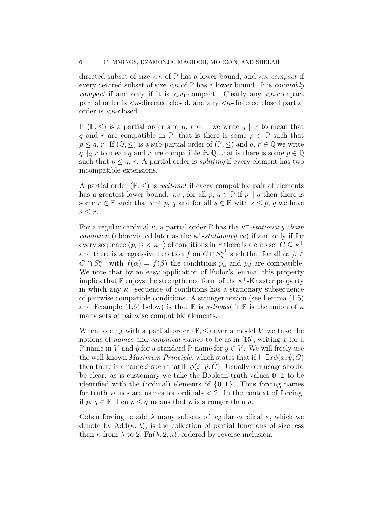directed subset of size  $< \kappa$  of  $\mathbb P$  has a lower bound, and  $< \kappa$ -compact if every centred subset of size  $\lt \kappa$  of  $\mathbb P$  has a lower bound.  $\mathbb P$  is *countably* compact if and only if it is  $\langle \omega_1$ -compact. Clearly any  $\langle \kappa$ -compact partial order is  $\lt$  *k*-directed closed, and any  $\lt$  *k*-directed closed partial order is  $\langle \kappa$ -closed.

If  $(\mathbb{P}, \leq)$  is a partial order and  $q, r \in \mathbb{P}$  we write  $q \parallel r$  to mean that q and r are compatible in  $\mathbb{P}$ , that is there is some  $p \in \mathbb{P}$  such that  $p \leq q, r$ . If  $(\mathbb{Q}, \leq)$  is a sub-partial order of  $(\mathbb{P}, \leq)$  and  $q, r \in \mathbb{Q}$  we write  $q \| \varphi r$  to mean q and r are compatible in  $\mathbb{Q}$ , that is there is some  $p \in \mathbb{Q}$ such that  $p \leq q$ , r. A partial order is *splitting* if every element has two incompatible extensions.

A partial order  $(\mathbb{P}, \leq)$  is *well-met* if every compatible pair of elements has a greatest lower bound: *i.e.*, for all p,  $q \in \mathbb{P}$  if p || q then there is some  $r \in \mathbb{P}$  such that  $r \leq p$ , q and for all  $s \in \mathbb{P}$  with  $s \leq p$ , q we have  $s \leq r$ .

For a regular cardinal  $\kappa$ , a partial order  $\mathbb P$  has the  $\kappa^+$ -stationary chain condition (abbreviated later as the  $\kappa^+$ -stationary cc) if and only if for every sequence  $\langle p_i | i \rangle \langle \kappa^+ \rangle$  of conditions in  $\mathbb P$  there is a club set  $C \subseteq \kappa^+$ and there is a regressive function f on  $C \cap S_{\kappa}^{\kappa^+}$  $\kappa_{\kappa}^{\kappa^+}$  such that for all  $\alpha, \beta \in$  $C \cap S_{\kappa}^{\kappa^+}$  with  $f(\alpha) = f(\beta)$  the conditions  $p_{\alpha}$  and  $p_{\beta}$  are compatible. We note that by an easy application of Fodor's lemma, this property implies that  $\mathbb P$  enjoys the strengthened form of the  $\kappa^+$ -Knaster property in which any  $\kappa^+$ -sequence of conditions has a stationary subsequence of pairwise compatible conditions. A stronger notion (see Lemma (1.5) and Example (1.6) below) is that  $\mathbb P$  is  $\kappa$ -linked if  $\mathbb P$  is the union of  $\kappa$ many sets of pairwise compatible elements.

When forcing with a partial order  $(\mathbb{P}, \leq)$  over a model V we take the notions of names and canonical names to be as in [15], writing  $\dot{x}$  for a **P**-name in V and  $\hat{y}$  for a standard **P**-name for  $y \in V$ . We will freely use the well-known *Maximum Principle*, which states that if  $\mathbb{F} \exists x \phi(x, \hat{y}, G)$ then there is a name  $\dot{x}$  such that  $\Vdash \phi(\dot{x}, \hat{y}, \dot{G})$ . Usually our usage should be clear: as is customary we take the Boolean truth values **0**, **1** to be identified with the (ordinal) elements of  $\{0, 1\}$ . Thus forcing names for truth values are names for ordinals  $\lt 2$ . In the context of forcing, if p,  $q \in \mathbb{P}$  then  $p \leq q$  means that p is stronger than q.

Cohen forcing to add  $\lambda$  many subsets of regular cardinal  $\kappa$ , which we denote by  $Add(\kappa, \lambda)$ , is the collection of partial functions of size less than  $\kappa$  from  $\lambda$  to 2,  $Fn(\lambda, 2, \kappa)$ , ordered by reverse inclusion.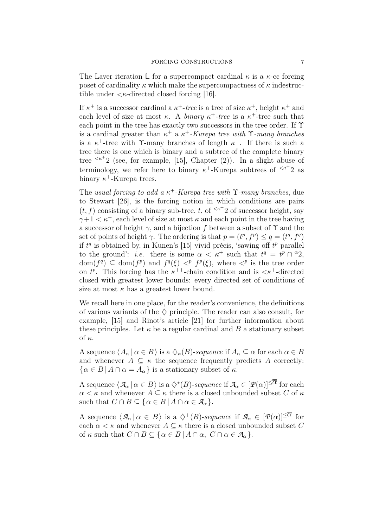The Laver iteration  $\mathbb{L}$  for a supercompact cardinal  $\kappa$  is a  $\kappa$ -cc forcing poset of cardinality  $\kappa$  which make the supercompactness of  $\kappa$  indestructible under  $\langle \kappa$ -directed closed forcing [16].

If  $\kappa^+$  is a successor cardinal a  $\kappa^+$ -tree is a tree of size  $\kappa^+$ , height  $\kappa^+$  and each level of size at most  $\kappa$ . A *binary*  $\kappa^+$ -tree is a  $\kappa^+$ -tree such that each point in the tree has exactly two successors in the tree order. If  $\Upsilon$ is a cardinal greater than  $\kappa^+$  a  $\kappa^+$ -Kurepa tree with  $\Upsilon$ -many branches is a  $\kappa^+$ -tree with T-many branches of length  $\kappa^+$ . If there is such a tree there is one which is binary and a subtree of the complete binary tree  $\leq k^+2$  (see, for example, [15], Chapter (2)). In a slight abuse of terminology, we refer here to binary  $\kappa^+$ -Kurepa subtrees of  $\kappa^+2$  as binary  $\kappa^+$ -Kurepa trees.

The usual forcing to add a  $\kappa^+$ -Kurepa tree with  $\Upsilon$ -many branches, due to Stewart [26], is the forcing notion in which conditions are pairs  $(t, f)$  consisting of a binary sub-tree, t, of  $\leq k^+2$  of successor height, say  $\gamma+1 < \kappa^+$ , each level of size at most  $\kappa$  and each point in the tree having a successor of height  $\gamma$ , and a bijection f between a subset of  $\Upsilon$  and the set of points of height  $\gamma$ . The ordering is that  $p = (t^p, f^p) \le q = (t^q, f^q)$ if  $t^q$  is obtained by, in Kunen's [15] vivid précis, 'sawing off  $t^p$  parallel to the ground': *i.e.* there is some  $\alpha < \kappa^+$  such that  $t^q = t^p \cap {}^{\alpha}2$ ,  $dom(f^q) \subseteq dom(f^p)$  and  $f^q(\xi) <^p f^p(\xi)$ , where  $\langle f^p \rangle$  is the tree order on  $t^p$ . This forcing has the  $\kappa^{++}$ -chain condition and is  $\langle \kappa^+$ -directed closed with greatest lower bounds: every directed set of conditions of size at most  $\kappa$  has a greatest lower bound.

We recall here in one place, for the reader's convenience, the definitions of various variants of the  $\Diamond$  principle. The reader can also consult, for example, [15] and Rinot's article [21] for further information about these principles. Let  $\kappa$  be a regular cardinal and B a stationary subset of  $\kappa$ .

A sequence  $\langle A_\alpha | \alpha \in B \rangle$  is a  $\langle \chi_\kappa(B) \rangle$ -sequence if  $A_\alpha \subseteq \alpha$  for each  $\alpha \in B$ and whenever  $A \subseteq \kappa$  the sequence frequently predicts A correctly:  $\{\alpha \in B \mid A \cap \alpha = A_{\alpha}\}\$ is a stationary subset of  $\kappa$ .

A sequence  $\langle A_\alpha | \alpha \in B \rangle$  is a  $\diamondsuit^*(B)$ -sequence if  $A_\alpha \in [\mathcal{P}(\alpha)]^{\leq \overline{\alpha}}$  for each  $\alpha < \kappa$  and whenever  $A \subseteq \kappa$  there is a closed unbounded subset C of  $\kappa$ such that  $C \cap B \subseteq {\alpha \in B \mid A \cap \alpha \in \mathcal{A}_{\alpha}}$ .

A sequence  $\langle A_\alpha | \alpha \in B \rangle$  is a  $\diamondsuit^+(B)$ -sequence if  $A_\alpha \in [\mathcal{P}(\alpha)]^{\leq \overline{\alpha}}$  for each  $\alpha < \kappa$  and whenever  $A \subseteq \kappa$  there is a closed unbounded subset C of  $\kappa$  such that  $C \cap B \subseteq {\alpha \in B \mid A \cap \alpha, C \cap \alpha \in A_{\alpha}}$ .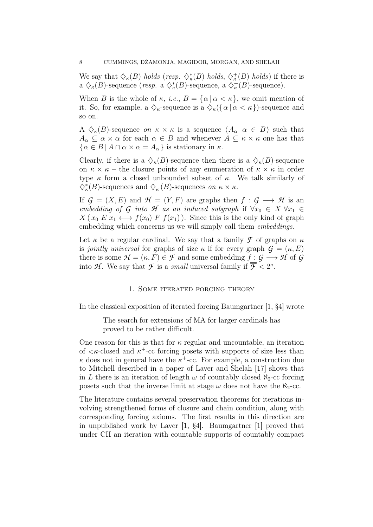We say that  $\Diamond_{\kappa}(B)$  holds (resp.  $\Diamond_{\kappa}^*(B)$  holds,  $\Diamond_{\kappa}^+(B)$  holds) if there is a  $\Diamond_{\kappa}(B)$ -sequence (*resp.* a  $\Diamond_{\kappa}^*(B)$ -sequence, a  $\Diamond_{\kappa}^+(B)$ -sequence).

When B is the whole of  $\kappa$ , *i.e.*,  $B = {\alpha | \alpha < \kappa}$ , we omit mention of it. So, for example, a  $\Diamond_{\kappa}$ -sequence is a  $\Diamond_{\kappa}(\{\alpha \mid \alpha < \kappa\})$ -sequence and so on.

A  $\Diamond_{\kappa}(B)$ -sequence on  $\kappa \times \kappa$  is a sequence  $\langle A_{\alpha} | \alpha \in B \rangle$  such that  $A_{\alpha} \subseteq \alpha \times \alpha$  for each  $\alpha \in B$  and whenever  $A \subseteq \kappa \times \kappa$  one has that  $\{\alpha \in B \mid A \cap \alpha \times \alpha = A_{\alpha}\}\$ is stationary in  $\kappa$ .

Clearly, if there is a  $\Diamond_{\kappa}(B)$ -sequence then there is a  $\Diamond_{\kappa}(B)$ -sequence on  $\kappa \times \kappa$  – the closure points of any enumeration of  $\kappa \times \kappa$  in order type  $\kappa$  form a closed unbounded subset of  $\kappa$ . We talk similarly of  $\diamondsuit^*_\kappa(B)$ -sequences and  $\diamondsuit^*_\kappa(B)$ -sequences on  $\kappa \times \kappa$ .

If  $\mathcal{G} = (X, E)$  and  $\mathcal{H} = (Y, F)$  are graphs then  $f : \mathcal{G} \longrightarrow \mathcal{H}$  is an embedding of  $G$  into  $H$  as an induced subgraph if  $\forall x_0 \in X \ \forall x_1 \in$  $X(x_0 E x_1 \leftrightarrow f(x_0) F f(x_1))$ . Since this is the only kind of graph embedding which concerns us we will simply call them *embeddings*.

Let  $\kappa$  be a regular cardinal. We say that a family  $\mathcal F$  of graphs on  $\kappa$ is *jointly universal* for graphs of size  $\kappa$  if for every graph  $\mathcal{G} = (\kappa, E)$ there is some  $\mathcal{H} = (\kappa, F) \in \mathcal{F}$  and some embedding  $f : G \longrightarrow \mathcal{H}$  of  $G$ into H. We say that  $\mathcal F$  is a *small* universal family if  $\overline{\mathcal F} < 2^{\kappa}$ .

### 1. Some iterated forcing theory

In the classical exposition of iterated forcing Baumgartner [1, §4] wrote

The search for extensions of MA for larger cardinals has proved to be rather difficult.

One reason for this is that for  $\kappa$  regular and uncountable, an iteration of  $\langle \kappa$ -closed and  $\kappa^+$ -cc forcing posets with supports of size less than  $\kappa$  does not in general have the  $\kappa^+$ -cc. For example, a construction due to Mitchell described in a paper of Laver and Shelah [17] shows that in L there is an iteration of length  $\omega$  of countably closed  $\aleph_2$ -cc forcing posets such that the inverse limit at stage  $\omega$  does not have the  $\aleph_2$ -cc.

The literature contains several preservation theorems for iterations involving strengthened forms of closure and chain condition, along with corresponding forcing axioms. The first results in this direction are in unpublished work by Laver [1, §4]. Baumgartner [1] proved that under CH an iteration with countable supports of countably compact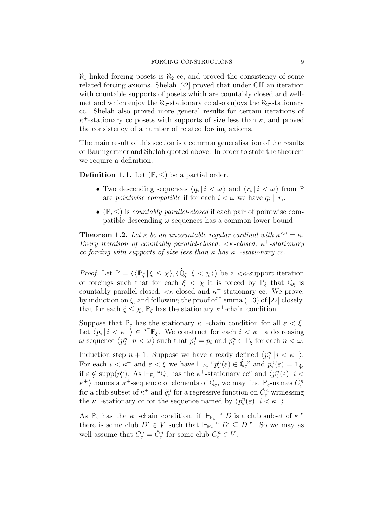#### FORCING CONSTRUCTIONS 9

 $\aleph_1$ -linked forcing posets is  $\aleph_2$ -cc, and proved the consistency of some related forcing axioms. Shelah [22] proved that under CH an iteration with countable supports of posets which are countably closed and wellmet and which enjoy the  $\aleph_2$ -stationary cc also enjoys the  $\aleph_2$ -stationary cc. Shelah also proved more general results for certain iterations of  $\kappa^+$ -stationary cc posets with supports of size less than  $\kappa$ , and proved the consistency of a number of related forcing axioms.

The main result of this section is a common generalisation of the results of Baumgartner and Shelah quoted above. In order to state the theorem we require a definition.

**Definition 1.1.** Let  $(\mathbb{P}, \leq)$  be a partial order.

- Two descending sequences  $\langle q_i | i \langle \omega \rangle$  and  $\langle r_i | i \langle \omega \rangle$  from  $\mathbb{P}$ are *pointwise compatible* if for each  $i < \omega$  we have  $q_i \parallel r_i$ .
- $(\mathbb{P}, \leq)$  is *countably parallel-closed* if each pair of pointwise compatible descending  $\omega$ -sequences has a common lower bound.

**Theorem 1.2.** Let  $\kappa$  be an uncountable regular cardinal with  $\kappa^{\leq \kappa} = \kappa$ . Every iteration of countably parallel-closed,  $\lt$   $\lt$   $\lt$ -closed,  $\lt$ <sup>+</sup>-stationary cc forcing with supports of size less than  $\kappa$  has  $\kappa^+$ -stationary cc.

*Proof.* Let  $\mathbb{P} = \langle \langle \mathbb{P}_{\xi} | \xi \leq \chi \rangle, \langle \dot{\mathbb{Q}}_{\xi} | \xi < \chi \rangle \rangle$  be a  $\langle \mathcal{K}$ -support iteration of forcings such that for each  $\xi < \chi$  it is forced by  $\mathbb{P}_{\xi}$  that  $\dot{\mathbb{Q}}_{\xi}$  is countably parallel-closed,  $\langle \kappa$ -closed and  $\kappa^+$ -stationary cc. We prove, by induction on  $\xi$ , and following the proof of Lemma (1.3) of [22] closely, that for each  $\xi \leq \chi$ ,  $\mathbb{P}_{\xi}$  has the stationary  $\kappa^{+}$ -chain condition.

Suppose that  $\mathbb{P}_{\varepsilon}$  has the stationary  $\kappa^+$ -chain condition for all  $\varepsilon < \xi$ . Let  $\langle p_i | i \langle \kappa^+ \rangle \in {\kappa^+} \mathbb{P}_{\xi}$ . We construct for each  $i \langle \kappa^+ \rangle$  a decreasing  $\omega$ -sequence  $\langle p_i^n \mid n < \omega \rangle$  such that  $p_i^0 = p_i$  and  $p_i^n \in \mathbb{P}_\xi$  for each  $n < \omega$ .

Induction step  $n + 1$ . Suppose we have already defined  $\langle p_i^n | i \rangle \langle \kappa^+ \rangle$ . For each  $i < \kappa^+$  and  $\varepsilon < \xi$  we have  $\Vdash_{P_{\varepsilon}} "p_i^n(\varepsilon) \in \dot{\mathbb{Q}}_{\varepsilon}"$  and  $p_i^n(\varepsilon) = \mathbb{1}_{q_{\varepsilon}}$ if  $\varepsilon \notin \text{supp}(p_i^n)$ . As  $\Vdash_{P_{\varepsilon}} \text{``}\dot{\mathbb{Q}}_{\varepsilon}$  has the  $\kappa^+$ -stationary cc" and  $\langle p_i^n(\varepsilon) \mid i \leq$  $\kappa^+$ ) names a  $\kappa^+$ -sequence of elements of  $\mathbb{Q}_{\varepsilon}$ , we may find  $\mathbb{P}_{\varepsilon}$ -names  $C_{\varepsilon}^n$ for a club subset of  $\kappa^+$  and  $\dot{g}^n_{\varepsilon}$  for a regressive function on  $\dot{C}^n_{\varepsilon}$  witnessing the  $\kappa^+$ -stationary cc for the sequence named by  $\langle p_i^n(\varepsilon) | i \langle \kappa^+ \rangle$ .

As  $\mathbb{P}_{\varepsilon}$  has the  $\kappa^+$ -chain condition, if  $\mathbb{P}_{\mathbb{P}_{\varepsilon}}$  "  $\dot{D}$  is a club subset of  $\kappa$ " there is some club  $D' \in V$  such that  $\Vdash_{\mathbb{P}_{\varepsilon}} \nightharpoonup^{\alpha} D' \subseteq D$  ". So we may as well assume that  $\dot{C}^n_{\varepsilon} = \hat{C}^n_{\varepsilon}$  for some club  $C^n_{\varepsilon} \in V$ .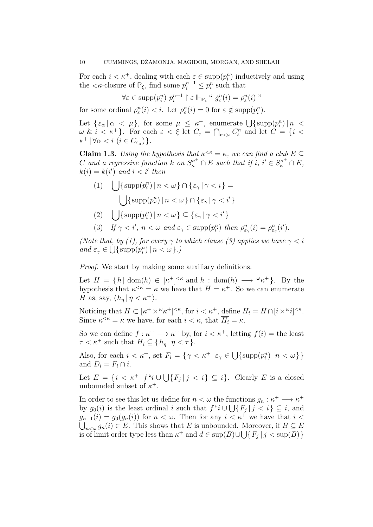For each  $i < \kappa^+$ , dealing with each  $\varepsilon \in \text{supp}(p_i^n)$  inductively and using the  $\langle \kappa$ -closure of  $\mathbb{P}_{\xi}$ , find some  $p_i^{n+1} \leq p_i^n$  such that

$$
\forall \varepsilon \in \mathrm{supp}(p_i^n) \ p_i^{n+1} \upharpoonright \varepsilon \Vdash_{\mathbb{P}_{\varepsilon}} \text{`` } \dot{g}_{\varepsilon}^n(i) = \rho_{\varepsilon}^n(i) \text{''}
$$

for some ordinal  $\rho_{\varepsilon}^n(i) < i$ . Let  $\rho_{\varepsilon}^n(i) = 0$  for  $\varepsilon \notin \text{supp}(p_i^n)$ .

Let  $\{\varepsilon_{\alpha} | \alpha \leq \mu\}$ , for some  $\mu \leq \kappa^{+}$ , enumerate  $\bigcup {\text{supp}}(p_{i}^{n}) | n \leq \kappa^{+}$  $\omega \& i < \kappa^+$ . For each  $\varepsilon < \xi$  let  $C_{\varepsilon} = \bigcap_{n < \omega} C_{\varepsilon}^n$  and let  $C = \{i < \xi \in C \mid \xi \in C_{\varepsilon} \text{ and } C_{\varepsilon} \leq \xi \text{ and } C_{\varepsilon} \leq \xi \text{ and } C_{\varepsilon} \leq \xi \text{ and } C_{\varepsilon} \leq \xi \text{ and } C_{\varepsilon} \leq \xi \text{ and } C_{\varepsilon} \leq \xi \text{ and } C_{\varepsilon}$  $\kappa^+ \, | \, \forall \alpha < i \ (i \in C_{\varepsilon_\alpha}) \}.$ 

**Claim 1.3.** Using the hypothesis that  $\kappa^{\leq \kappa} = \kappa$ , we can find a club  $E \subseteq$ C and a regressive function k on  $S_{\kappa}^{\kappa^+} \cap E$  such that if  $i, i' \in S_{\kappa}^{\kappa^+} \cap E$ ,  $k(i) = k(i')$  and  $i < i'$  then

(1)  $\bigcup \{\text{supp}(p_i^n) \mid n < \omega\} \cap \{\varepsilon_\gamma \mid \gamma < i\} =$  $\bigcup \{\text{supp}(p^n_{i'}) \mid n < \omega\} \cap \{\varepsilon_\gamma \mid \gamma < i'\}$ 

$$
(2) \quad \bigcup \{ \operatorname{supp}(p_i^n) \, | \, n < \omega \} \subseteq \{ \varepsilon_\gamma \, | \, \gamma < i' \}
$$

(3) If  $\gamma < i'$ ,  $n < \omega$  and  $\varepsilon_{\gamma} \in \text{supp}(p_{i'}^n)$  then  $\rho_{\varepsilon_{\gamma}}^n(i) = \rho_{\varepsilon_{\gamma}}^n(i').$ 

(Note that, by (1), for every  $\gamma$  to which clause (3) applies we have  $\gamma < i$ and  $\varepsilon_{\gamma} \in \bigcup \{ \text{supp}(p_i^n) \mid n < \omega \}.$ 

Proof. We start by making some auxiliary definitions.

Let  $H = \{h \mid \text{dom}(h) \in [\kappa^+]^{<\kappa} \text{ and } h : \text{dom}(h) \longrightarrow {}^{\omega}\kappa^+ \}.$  By the hypothesis that  $\kappa^{\leq \kappa} = \kappa$  we have that  $\overline{H} = \kappa^+$ . So we can enumerate H as, say,  $\langle h_n | \eta < \kappa^+ \rangle$ .

Noticing that  $H \subset [\kappa^+ \times \kappa^+]^{<\kappa}$ , for  $i < \kappa^+$ , define  $H_i = H \cap [i \times \kappa^i]^{<\kappa}$ . Since  $\kappa^{\leq \kappa} = \kappa$  we have, for each  $i < \kappa$ , that  $\overline{H_i} = \kappa$ .

So we can define  $f: \kappa^+ \longrightarrow \kappa^+$  by, for  $i < \kappa^+$ , letting  $f(i) =$  the least  $\tau < \kappa^+$  such that  $H_i \subseteq \{h_n | \eta < \tau\}.$ 

Also, for each  $i < \kappa^+$ , set  $F_i = \{ \gamma < \kappa^+ \mid \varepsilon_\gamma \in \bigcup \{ \text{supp}(p_i^n) \mid n < \omega \} \}$ and  $D_i = F_i \cap i$ .

Let  $E = \{i \leq \kappa^+ | f^{\alpha} i \cup \bigcup \{F_j | j \leq i\} \subseteq i\}.$  Clearly E is a closed unbounded subset of  $\kappa^+$ .

In order to see this let us define for  $n < \omega$  the functions  $g_n : \kappa^+ \longrightarrow \kappa^+$ by  $g_0(i)$  is the least ordinal  $\overline{i}$  such that  $f''i \cup \bigcup \{F_j | j < i\} \subseteq \overline{i}$ , and  $g_{n+1}(i) = g_0(g_n(i))$  for  $n < \omega$ . Then for any  $i < \kappa^+$  we have that  $i <$  $\bigcup_{n<\omega} g_n(i) \in E$ . This shows that E is unbounded. Moreover, if  $B \subseteq E$ is of limit order type less than  $\kappa^+$  and  $d \in \text{sup}(B) \cup \bigcup \{F_j \mid j < \text{sup}(B)\}\$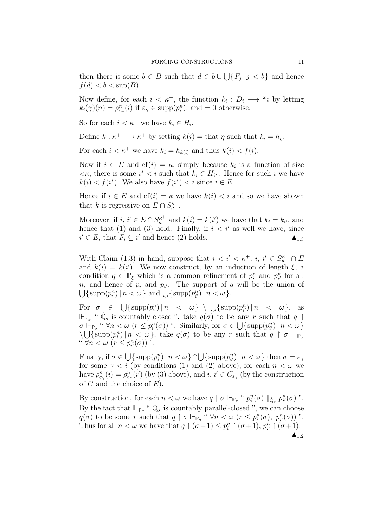then there is some  $b \in B$  such that  $d \in b \cup \bigcup \{F_j \mid j < b\}$  and hence  $f(d) < b < \sup(B)$ .

Now define, for each  $i < \kappa^+$ , the function  $k_i : D_i \longrightarrow \omega_i$  by letting  $k_i(\gamma)(n) = \rho_{\varepsilon_{\gamma}}^n(i)$  if  $\varepsilon_{\gamma} \in \text{supp}(p_i^n)$ , and  $= 0$  otherwise.

So for each  $i < \kappa^+$  we have  $k_i \in H_i$ .

Define  $k : \kappa^+ \longrightarrow \kappa^+$  by setting  $k(i) =$  that  $\eta$  such that  $k_i = h_\eta$ .

For each  $i < \kappa^+$  we have  $k_i = h_{k(i)}$  and thus  $k(i) < f(i)$ .

Now if  $i \in E$  and  $cf(i) = \kappa$ , simply because  $k_i$  is a function of size  $\langle k, \rangle$  there is some  $i^* \langle i \rangle$  such that  $k_i \in H_{i^*}$ . Hence for such i we have  $k(i) < f(i^*)$ . We also have  $f(i^*) < i$  since  $i \in E$ .

Hence if  $i \in E$  and  $cf(i) = \kappa$  we have  $k(i) < i$  and so we have shown that k is regressive on  $E \cap S_{\kappa}^{\kappa^+}$  $\frac{\kappa^+}{\kappa}$ .

Moreover, if  $i, i' \in E \cap S_{\kappa}^{\kappa^+}$  $\kappa_k^{k+}$  and  $k(i) = k(i')$  we have that  $k_i = k_{i'}$ , and hence that (1) and (3) hold. Finally, if  $i < i'$  as well we have, since  $i' \in E$ , that  $F_i \subseteq i'$  and hence (2) holds.  $\blacktriangle_{1.3}$ 

With Claim (1.3) in hand, suppose that  $i < i' < \kappa^+, i, i' \in S_{\kappa}^{\kappa^+} \cap E$ and  $k(i) = k(i')$ . We now construct, by an induction of length  $\xi$ , a condition  $q \in \mathbb{P}_{\xi}$  which is a common refinement of  $p_i^n$  and  $p_{i'}^n$  for all n, and hence of  $p_i$  and  $p_{i'}$ . The support of q will be the union of  $\bigcup \{\text{supp}(p_i^n) \mid n < \omega\} \text{ and } \bigcup \{\text{supp}(p_{i'}^n) \mid n < \omega\}.$ 

For  $\sigma \in \bigcup \{ \text{supp}(p_i^n) \mid n \leq \omega \} \setminus \bigcup \{ \text{supp}(p_{i'}^n) \mid n \leq \omega \}, \text{ as }$  $\Vdash_{\mathbb{P}_{\sigma}}$  "  $\dot{\mathbb{Q}}_{\sigma}$  is countably closed ", take  $q(\sigma)$  to be any r such that  $q \upharpoonright$  $\sigma \Vdash_{\mathbb{P}_{\sigma}} \lvert \lvert \lvert \forall n < \omega \ (r \leq p_i^n(\sigma))$  ". Similarly, for  $\sigma \in \bigcup_{i \in \mathbb{N}} \{ \text{supp}(p_{i'}^n) \mid n < \omega \}$  $\bigcup \{\text{supp}(p_i^n) \mid n < \omega\}$ , take  $q(\sigma)$  to be any r such that  $q \restriction \sigma \Vdash_{\mathbb{P}_{\sigma}}$ "  $\forall n < \omega \ (r \leq p_{i'}^n(\sigma))$ ".

Finally, if  $\sigma \in \bigcup \{\text{supp}(p_i^n) \mid n < \omega\} \cap \bigcup \{\text{supp}(p_{i'}^n) \mid n < \omega\}$  then  $\sigma = \varepsilon_\gamma$ for some  $\gamma < i$  (by conditions (1) and (2) above), for each  $n < \omega$  we have  $\rho_{\varepsilon_{\gamma}}^n(i) = \rho_{\varepsilon_{\gamma}}^n(i')$  (by (3) above), and  $i, i' \in C_{\varepsilon_{\gamma}}$  (by the construction of  $C$  and the choice of  $E$ ).

By construction, for each  $n < \omega$  we have  $q \restriction \sigma \Vdash_{\mathbb{P}_{\sigma}} " p_i^n(\sigma) \parallel_{\dot{\mathbb{Q}}_{\sigma}} p_{i'}^n(\sigma)$ ". By the fact that  $\Vdash_{\mathbb{P}_{\sigma}}$  "  $\dot{\mathbb{Q}}_{\sigma}$  is countably parallel-closed ", we can choose  $q(\sigma)$  to be some r such that  $q \restriction \sigma \Vdash_{\mathbb{P}_{\sigma}} \cdots \forall n < \omega \ (r \leq p_i^n(\sigma), \ p_{i'}^n(\sigma))$ ". Thus for all  $n < \omega$  we have that  $q \restriction (\sigma+1) \leq p_i^n \restriction (\sigma+1)$ ,  $p_{i'}^n \restriction (\sigma+1)$ .  $\blacktriangle_{1.2}$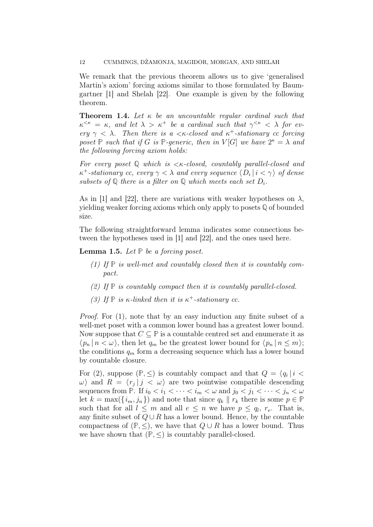We remark that the previous theorem allows us to give 'generalised Martin's axiom' forcing axioms similar to those formulated by Baumgartner [1] and Shelah [22]. One example is given by the following theorem.

**Theorem 1.4.** Let  $\kappa$  be an uncountable regular cardinal such that  $\kappa^{\leq \kappa} = \kappa$ , and let  $\lambda > \kappa^+$  be a cardinal such that  $\gamma^{\leq \kappa} < \lambda$  for every  $\gamma < \lambda$ . Then there is a  $\langle \kappa \rangle$ -closed and  $\kappa^+$ -stationary cc forcing poset  $\mathbb P$  such that if G is  $\mathbb P$ -generic, then in  $V[G]$  we have  $2^{\kappa} = \lambda$  and the following forcing axiom holds:

For every poset **Q** which is <κ-closed, countably parallel-closed and  $\kappa^+$ -stationary cc, every  $\gamma < \lambda$  and every sequence  $\langle D_i | i < \gamma \rangle$  of dense subsets of  $\mathbb Q$  there is a filter on  $\mathbb Q$  which meets each set  $D_i$ .

As in [1] and [22], there are variations with weaker hypotheses on  $\lambda$ , yielding weaker forcing axioms which only apply to posets **Q** of bounded size.

The following straightforward lemma indicates some connections between the hypotheses used in [1] and [22], and the ones used here.

**Lemma 1.5.** Let  $\mathbb P$  be a forcing poset.

- (1) If **P** is well-met and countably closed then it is countably compact.
- (2) If **P** is countably compact then it is countably parallel-closed.
- (3) If  $\mathbb{P}$  is  $\kappa$ -linked then it is  $\kappa^+$ -stationary cc.

Proof. For (1), note that by an easy induction any finite subset of a well-met poset with a common lower bound has a greatest lower bound. Now suppose that  $C \subseteq \mathbb{P}$  is a countable centred set and enumerate it as  $\langle p_n | n < \omega \rangle$ , then let  $q_m$  be the greatest lower bound for  $\langle p_n | n \le m \rangle$ ; the conditions  $q_m$  form a decreasing sequence which has a lower bound by countable closure.

For (2), suppose  $(\mathbb{P}, \leq)$  is countably compact and that  $Q = \langle q_i | i \rangle$  $\omega$  and  $R = \langle r_j | j \langle \omega \rangle$  are two pointwise compatible descending sequences from **P**. If  $i_0 < i_1 < \cdots < i_m < \omega$  and  $j_0 < j_1 < \cdots < j_n < \omega$ let  $k = \max(\{i_m, j_n\})$  and note that since  $q_k \parallel r_k$  there is some  $p \in \mathbb{P}$ such that for all  $l \leq m$  and all  $e \leq n$  we have  $p \leq q_l$ ,  $r_e$ . That is, any finite subset of  $Q \cup R$  has a lower bound. Hence, by the countable compactness of  $(\mathbb{P}, \leq)$ , we have that  $Q \cup R$  has a lower bound. Thus we have shown that  $(\mathbb{P}, \leq)$  is countably parallel-closed.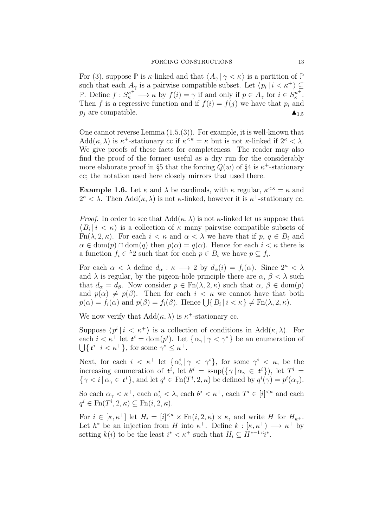For (3), suppose  $\mathbb P$  is  $\kappa$ -linked and that  $\langle A_\gamma | \gamma \langle \kappa \rangle$  is a partition of  $\mathbb P$ such that each  $A_{\gamma}$  is a pairwise compatible subset. Let  $\langle p_i | i \langle \kappa^+ \rangle \subseteq$ **P**. Define  $f: S_{\kappa}^{\kappa^+} \longrightarrow \kappa$  by  $f(i) = \gamma$  if and only if  $p \in A_{\gamma}$  for  $i \in S_{\kappa}^{\kappa^+}$  $_{\kappa}^{\prime\kappa^+}.$ Then f is a regressive function and if  $f(i) = f(j)$  we have that  $p_i$  and  $p_i$  are compatible.

One cannot reverse Lemma (1.5.(3)). For example, it is well-known that Add $(\kappa, \lambda)$  is  $\kappa^+$ -stationary cc if  $\kappa^{\leq \kappa} = \kappa$  but is not  $\kappa$ -linked if  $2^{\kappa} < \lambda$ . We give proofs of these facts for completeness. The reader may also find the proof of the former useful as a dry run for the considerably more elaborate proof in §5 that the forcing  $Q(w)$  of §4 is  $\kappa^+$ -stationary cc; the notation used here closely mirrors that used there.

**Example 1.6.** Let  $\kappa$  and  $\lambda$  be cardinals, with  $\kappa$  regular,  $\kappa^{\leq \kappa} = \kappa$  and  $2^{\kappa} < \lambda$ . Then Add $(\kappa, \lambda)$  is not  $\kappa$ -linked, however it is  $\kappa^+$ -stationary cc.

*Proof.* In order to see that  $Add(\kappa, \lambda)$  is not  $\kappa$ -linked let us suppose that  $\langle B_i | i \rangle \langle \kappa \rangle$  is a collection of  $\kappa$  many pairwise compatible subsets of Fn( $\lambda$ , 2,  $\kappa$ ). For each  $i < \kappa$  and  $\alpha < \lambda$  we have that if p,  $q \in B_i$  and  $\alpha \in \text{dom}(p) \cap \text{dom}(q)$  then  $p(\alpha) = q(\alpha)$ . Hence for each  $i < \kappa$  there is a function  $f_i \in \lambda_2$  such that for each  $p \in B_i$  we have  $p \subseteq f_i$ .

For each  $\alpha < \lambda$  define  $d_{\alpha} : \kappa \longrightarrow 2$  by  $d_{\alpha}(i) = f_i(\alpha)$ . Since  $2^{\kappa} < \lambda$ and  $\lambda$  is regular, by the pigeon-hole principle there are  $\alpha$ ,  $\beta < \lambda$  such that  $d_{\alpha} = d_{\beta}$ . Now consider  $p \in \text{Fn}(\lambda, 2, \kappa)$  such that  $\alpha, \beta \in \text{dom}(p)$ and  $p(\alpha) \neq p(\beta)$ . Then for each  $i < \kappa$  we cannot have that both  $p(\alpha) = f_i(\alpha)$  and  $p(\beta) = f_i(\beta)$ . Hence  $\bigcup \{ B_i \mid i < \kappa \} \neq \text{Fn}(\lambda, 2, \kappa)$ .

We now verify that  $Add(\kappa, \lambda)$  is  $\kappa^+$ -stationary cc.

Suppose  $\langle p^i \mid i \leq \kappa^+ \rangle$  is a collection of conditions in Add $(\kappa, \lambda)$ . For each  $i < \kappa^+$  let  $t^i = \text{dom}(p^i)$ . Let  $\{\alpha_\gamma \mid \gamma < \gamma^*\}$  be an enumeration of  $\bigcup \{ t^i \, | \, i < \kappa^+ \},$  for some  $\gamma^* \leq \kappa^+$ .

Next, for each  $i < \kappa^+$  let  $\{\alpha^i_\gamma | \gamma < \gamma^i\}$ , for some  $\gamma^i < \kappa$ , be the increasing enumeration of  $t^i$ , let  $\theta^i = \text{ssup}(\{\gamma \mid \alpha_{\gamma} \in t^i\})$ , let  $T^i =$  $\{\gamma \leq i \mid \alpha_{\gamma} \in t^{i}\},\$ and let  $q^{i} \in \text{Fn}(T^{i}, 2, \kappa)$  be defined by  $q^{i}(\gamma) = p^{i}(\alpha_{\gamma}).$ 

So each  $\alpha_{\gamma} < \kappa^{+}$ , each  $\alpha_{\gamma}^{i} < \lambda$ , each  $\theta^{i} < \kappa^{+}$ , each  $T^{i} \in [i]^{<\kappa}$  and each  $q^i \in \operatorname{Fn}(T^i, 2, \kappa) \subseteq \operatorname{Fn}(i, 2, \kappa).$ 

For  $i \in [\kappa, \kappa^+]$  let  $H_i = [i]^{<\kappa} \times \text{Fn}(i, 2, \kappa) \times \kappa$ , and write H for  $H_{\kappa^+}$ . Let  $h^*$  be an injection from H into  $\kappa^+$ . Define  $k : [\kappa, \kappa^+] \longrightarrow \kappa^+$  by setting  $k(i)$  to be the least  $i^* < \kappa^+$  such that  $H_i \subseteq H^{*-1}$  " $i^*$ .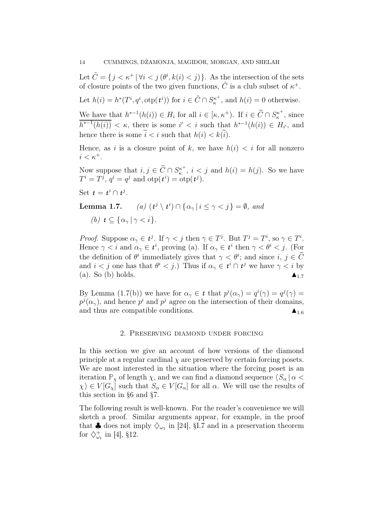Let  $\tilde{C} = \{j < \kappa^+ \, | \, \forall i < j \, (\theta^i, k(i) < j) \}.$  As the intersection of the sets of closure points of the two given functions,  $\tilde{C}$  is a club subset of  $\kappa^+$ .

Let  $h(i) = h^*(T^i, q^i, \text{otp}(t^i))$  for  $i \in \tilde{C} \cap S_{\kappa}^{\kappa^+}$  $\kappa_{\kappa}^{\kappa^+}$ , and  $h(i) = 0$  otherwise.

We have that  $h^{*-1}(h(i)) \in H_i$  for all  $i \in [\kappa, \kappa^+]$ . If  $i \in \widetilde{C} \cap S_{\kappa}^{\kappa^+}$  $\kappa^{\kappa^+}$ , since  $\overline{h^{*-1}(h(i))} < \kappa$ , there is some  $i' < i$  such that  $h^{*-1}(h(i)) \in H_{i'}$ , and hence there is some  $\tilde{i} < i$  such that  $h(i) < k(\tilde{i})$ .

Hence, as i is a closure point of k, we have  $h(i) < i$  for all nonzero  $i < \kappa^+$ .

Now suppose that  $i, j \in \widetilde{C} \cap S_{\kappa}^{\kappa^+}$  $\kappa^{\kappa^+}$ ,  $i < j$  and  $h(i) = h(j)$ . So we have  $T^i = T^j$ ,  $q^i = q^j$  and  $\text{otp}(t^i) = \text{otp}(t^j)$ .

Set  $t = t^i \cap t^j$ .

**Lemma 1.7.** (a) 
$$
(t^j \setminus t^i) \cap \{ \alpha_\gamma | i \le \gamma < j \} = \emptyset
$$
, and  
(b)  $t \subseteq \{ \alpha_\gamma | \gamma < i \}.$ 

*Proof.* Suppose  $\alpha_{\gamma} \in t^{j}$ . If  $\gamma < j$  then  $\gamma \in T^{j}$ . But  $T^{j} = T^{i}$ , so  $\gamma \in T^{i}$ . Hence  $\gamma < i$  and  $\alpha_{\gamma} \in t^i$ , proving (a). If  $\alpha_{\gamma} \in t^i$  then  $\gamma < \theta^i < j$ . (For the definition of  $\theta^i$  immediately gives that  $\gamma < \theta^i$ ; and since  $i, j \in C$ and  $i < j$  one has that  $\theta^i < j$ .) Thus if  $\alpha_\gamma \in t^i \cap t^j$  we have  $\gamma < i$  by  $(a)$ . So  $(b)$  holds.

By Lemma (1.7(b)) we have for  $\alpha_{\gamma} \in t$  that  $p^{i}(\alpha_{\gamma}) = q^{i}(\gamma) = q^{j}(\gamma) =$  $p^j(\alpha_\gamma)$ , and hence  $p^i$  and  $p^j$  agree on the intersection of their domains, and thus are compatible conditions.  $\blacktriangle_{1.6}$ 

### 2. Preserving diamond under forcing

In this section we give an account of how versions of the diamond principle at a regular cardinal  $\chi$  are preserved by certain forcing posets. We are most interested in the situation where the forcing poset is an iteration  $\mathbb{P}_{\chi}$  of length  $\chi$ , and we can find a diamond sequence  $\langle S_{\alpha} | \alpha \rangle$  $\chi \in V[G_{\chi}]$  such that  $S_{\alpha} \in V[G_{\alpha}]$  for all  $\alpha$ . We will use the results of this section in §6 and §7.

The following result is well-known. For the reader's convenience we will sketch a proof. Similar arguments appear, for example, in the proof that  $\clubsuit$  does not imply  $\diamondsuit_{\omega_1}$  in [24], §I.7 and in a preservation theorem for  $\diamondsuit^+_{\omega_1}$  in [4], §12.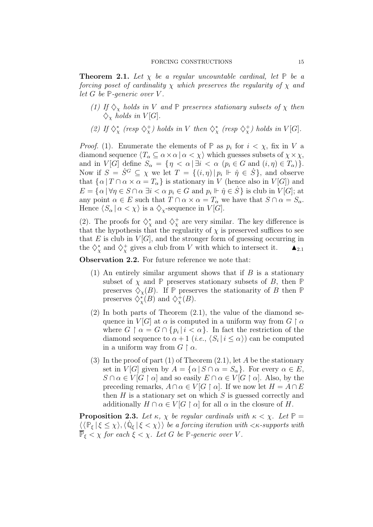**Theorem 2.1.** Let  $\chi$  be a regular uncountable cardinal, let  $\mathbb{P}$  be a forcing poset of cardinality  $\chi$  which preserves the regularity of  $\chi$  and let  $G$  be  $\mathbb{P}$ -generic over  $V$ .

- (1) If  $\Diamond_{\chi}$  holds in V and  $\mathbb P$  preserves stationary subsets of  $\chi$  then  $\diamondsuit_{\chi}$  holds in  $V[G]$ .
- (2) If  $\diamondsuit^*_\chi$  (resp  $\diamondsuit^*_\chi$ ) holds in V then  $\diamondsuit^*_\chi$  (resp  $\diamondsuit^*_\chi$ ) holds in V[G].

*Proof.* (1). Enumerate the elements of  $\mathbb{P}$  as  $p_i$  for  $i < \chi$ , fix in V a diamond sequence  $\langle T_\alpha \subseteq \alpha \times \alpha \mid \alpha < \chi \rangle$  which guesses subsets of  $\chi \times \chi$ , and in  $V[G]$  define  $S_\alpha = \{ \eta < \alpha \mid \exists i < \alpha \ (p_i \in G \text{ and } (i, \eta) \in T_\alpha ) \}.$ Now if  $S = \dot{S}^G \subseteq \chi$  we let  $T = \{(i, \eta) | p_i \Vdash \hat{\eta} \in \dot{S}\}\$ , and observe that  $\{\alpha | T \cap \alpha \times \alpha = T_{\alpha}\}\$ is stationary in V (hence also in V[G]) and  $E = \{ \alpha \mid \forall \eta \in S \cap \alpha \exists i < \alpha \ p_i \in G \text{ and } p_i \Vdash \hat{\eta} \in \dot{S} \}$  is club in  $V[G]$ ; at any point  $\alpha \in E$  such that  $T \cap \alpha \times \alpha = T_\alpha$  we have that  $S \cap \alpha = S_\alpha$ . Hence  $\langle S_\alpha | \alpha < \chi \rangle$  is a  $\diamondsuit_\chi$ -sequence in  $V[G]$ .

(2). The proofs for  $\diamondsuit^*_{\chi}$  and  $\diamondsuit^+_{\chi}$  are very similar. The key difference is that the hypothesis that the regularity of  $\chi$  is preserved suffices to see that  $E$  is club in  $V[G]$ , and the stronger form of guessing occurring in the  $\diamondsuit^*_\chi$  and  $\diamondsuit^*_\chi$  gives a club from V with which to intersect it.  $\blacktriangle_{2,1}$ 

Observation 2.2. For future reference we note that:

- (1) An entirely similar argument shows that if  $B$  is a stationary subset of  $\chi$  and  $\mathbb P$  preserves stationary subsets of  $B$ , then  $\mathbb P$ preserves  $\Diamond_{\chi}(B)$ . If  $\mathbb P$  preserves the stationarity of B then  $\mathbb P$ preserves  $\diamondsuit^*_{\chi}(B)$  and  $\diamondsuit^+_{\chi}(B)$ .
- (2) In both parts of Theorem (2.1), the value of the diamond sequence in  $V[G]$  at  $\alpha$  is computed in a uniform way from  $G \restriction \alpha$ where  $G \restriction \alpha = G \cap \{p_i \mid i < \alpha\}$ . In fact the restriction of the diamond sequence to  $\alpha + 1$  (*i.e.*,  $\langle S_i | i \le \alpha \rangle$ ) can be computed in a uniform way from  $G \restriction \alpha$ .
- (3) In the proof of part (1) of Theorem  $(2.1)$ , let A be the stationary set in  $V[G]$  given by  $A = {\alpha | S \cap \alpha = S_{\alpha}}$ . For every  $\alpha \in E$ ,  $S \cap \alpha \in V[G \restriction \alpha]$  and so easily  $E \cap \alpha \in V[G \restriction \alpha]$ . Also, by the preceding remarks,  $A \cap \alpha \in V[G \restriction \alpha]$ . If we now let  $H = A \cap E$ then  $H$  is a stationary set on which  $S$  is guessed correctly and additionally  $H \cap \alpha \in V[G \restriction \alpha]$  for all  $\alpha$  in the closure of H.

**Proposition 2.3.** Let  $\kappa$ ,  $\chi$  be regular cardinals with  $\kappa < \chi$ . Let  $\mathbb{P} =$  $\langle \langle \mathbb{P}_{\xi} | \xi \leq \chi \rangle, \langle \dot{\mathbb{Q}}_{\xi} | \xi < \chi \rangle \rangle$  be a forcing iteration with  $\langle \kappa$ -supports with  $\overrightarrow{P}_{\xi} < \chi$  for each  $\xi < \chi$ . Let G be P-generic over V.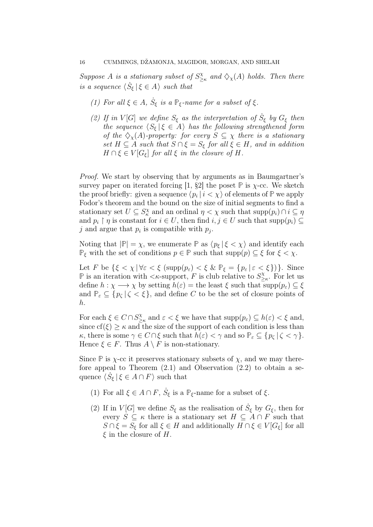Suppose A is a stationary subset of  $S^{\chi}_{\geq}$  $\frac{\partial X}{\partial \varkappa}$  and  $\diamondsuit_{\chi}(A)$  holds. Then there is a sequence  $\langle \dot{S}_{\xi} | \xi \in A \rangle$  such that

- (1) For all  $\xi \in A$ ,  $\dot{S}_{\xi}$  is a  $\mathbb{P}_{\xi}$ -name for a subset of  $\xi$ .
- (2) If in V[G] we define  $S_{\xi}$  as the interpretation of  $\dot{S}_{\xi}$  by  $G_{\xi}$  then the sequence  $\langle S_{\xi} | \xi \in A \rangle$  has the following strengthened form of the  $\Diamond_{\chi}(A)$ -property: for every  $S \subseteq \chi$  there is a stationary set  $H \subseteq A$  such that  $S \cap \xi = S_{\xi}$  for all  $\xi \in H$ , and in addition  $H \cap \xi \in V[G_{\xi}]$  for all  $\xi$  in the closure of H.

Proof. We start by observing that by arguments as in Baumgartner's survey paper on iterated forcing [1,  $\S2$ ] the poset  $\mathbb P$  is  $\chi$ -cc. We sketch the proof briefly: given a sequence  $\langle p_i | i \langle \chi \rangle$  of elements of  $\mathbb P$  we apply Fodor's theorem and the bound on the size of initial segments to find a stationary set  $U \subseteq S_{\kappa}^{\chi}$  and an ordinal  $\eta < \chi$  such that  $\text{supp}(p_i) \cap i \subseteq \eta$ and  $p_i \restriction \eta$  is constant for  $i \in U$ , then find  $i, j \in U$  such that  $\text{supp}(p_i) \subseteq$ j and argue that  $p_i$  is compatible with  $p_j$ .

Noting that  $|\mathbb{P}| = \chi$ , we enumerate  $\mathbb{P}$  as  $\langle p_{\xi} | \xi < \chi \rangle$  and identify each  $\mathbb{P}_{\xi}$  with the set of conditions  $p \in \mathbb{P}$  such that  $\text{supp}(p) \subseteq \xi$  for  $\xi < \chi$ .

Let F be  $\{\xi < \chi \, | \, \forall \varepsilon < \xi \, (\text{supp}(p_{\varepsilon}) < \xi \, \& \, \mathbb{P}_{\xi} = \{p_{\varepsilon} \, | \, \varepsilon < \xi\})\}.$  Since **P** is an iteration with  $\lt k$ -support, F is club relative to  $S^{\chi}_{\gt k}$ ≥κ . For let us define  $h : \chi \longrightarrow \chi$  by setting  $h(\varepsilon) =$  the least  $\xi$  such that  $\text{supp}(p_{\varepsilon}) \subseteq \xi$ and  $\mathbb{P}_{\varepsilon} \subseteq \{p_{\zeta} | \zeta < \xi\}$ , and define C to be the set of closure points of h.

For each  $\xi \in C \cap S_\geq^{\chi}$  $\sum_{\epsilon}^{\chi}$  and  $\varepsilon < \xi$  we have that  $\text{supp}(p_{\varepsilon}) \subseteq h(\varepsilon) < \xi$  and, since  $cf(\xi) \geq \kappa$  and the size of the support of each condition is less than  $\kappa$ , there is some  $\gamma \in C \cap \xi$  such that  $h(\varepsilon) < \gamma$  and so  $\mathbb{P}_{\varepsilon} \subseteq \{p_{\zeta} | \zeta < \gamma\}.$ Hence  $\xi \in F$ . Thus  $A \setminus F$  is non-stationary.

Since  $\mathbb P$  is  $\chi$ -cc it preserves stationary subsets of  $\chi$ , and we may therefore appeal to Theorem  $(2.1)$  and Observation  $(2.2)$  to obtain a sequence  $\langle \dot{S}_{\xi} | \xi \in A \cap F \rangle$  such that

- (1) For all  $\xi \in A \cap F$ ,  $\dot{S}_{\xi}$  is a  $\mathbb{P}_{\xi}$ -name for a subset of  $\xi$ .
- (2) If in  $V[G]$  we define  $S_{\xi}$  as the realisation of  $\dot{S}_{\xi}$  by  $G_{\xi}$ , then for every  $S \subseteq \kappa$  there is a stationary set  $H \subseteq A \cap F$  such that  $S \cap \xi = S_{\xi}$  for all  $\xi \in H$  and additionally  $H \cap \xi \in V[G_{\xi}]$  for all  $\xi$  in the closure of H.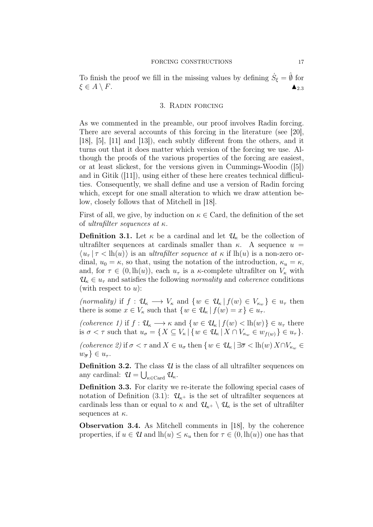To finish the proof we fill in the missing values by defining  $\dot{S}_{\xi} = \hat{\theta}$  for  $\xi \in A \setminus F.$   $\blacktriangle_{2.3}$ 

### 3. Radin forcing

As we commented in the preamble, our proof involves Radin forcing. There are several accounts of this forcing in the literature (see [20], [18], [5], [11] and [13]), each subtly different from the others, and it turns out that it does matter which version of the forcing we use. Although the proofs of the various properties of the forcing are easiest, or at least slickest, for the versions given in Cummings-Woodin ([5]) and in Gitik ([11]), using either of these here creates technical difficulties. Consequently, we shall define and use a version of Radin forcing which, except for one small alteration to which we draw attention below, closely follows that of Mitchell in [18].

First of all, we give, by induction on  $\kappa \in \text{Card}$ , the definition of the set of ultrafilter sequences at  $\kappa$ .

**Definition 3.1.** Let  $\kappa$  be a cardinal and let  $\mathcal{U}_{\kappa}$  be the collection of ultrafilter sequences at cardinals smaller than  $\kappa$ . A sequence  $u =$  $\langle u_{\tau} | \tau \langle h(u) \rangle$  is an *ultrafilter sequence at*  $\kappa$  if lh $(u)$  is a non-zero ordinal,  $u_0 = \kappa$ , so that, using the notation of the introduction,  $\kappa_u = \kappa$ , and, for  $\tau \in (0, \text{lh}(u))$ , each  $u_{\tau}$  is a  $\kappa$ -complete ultrafilter on  $V_{\kappa}$  with  $\mathcal{U}_{\kappa} \in u_{\tau}$  and satisfies the following *normality* and *coherence* conditions (with respect to  $u$ ):

(normality) if  $f: \mathcal{U}_{\kappa} \longrightarrow V_{\kappa}$  and  $\{w \in \mathcal{U}_{\kappa} | f(w) \in V_{\kappa_w}\}\in u_{\tau}$  then there is some  $x \in V_{\kappa}$  such that  $\{w \in \mathcal{U}_{\kappa} | f(w) = x\} \in u_{\tau}$ .

(coherence 1) if  $f: \mathcal{U}_{\kappa} \longrightarrow \kappa$  and  $\{w \in \mathcal{U}_{\kappa} | f(w) < \mathrm{lh}(w)\}\in u_{\tau}$  there is  $\sigma < \tau$  such that  $u_{\sigma} = \{X \subseteq V_{\kappa} | \{w \in \mathcal{U}_{\kappa} | X \cap V_{\kappa_w} \in w_{f(w)} \} \in u_{\tau} \}.$ 

(coherence 2) if  $\sigma < \tau$  and  $X \in u_{\sigma}$  then  $\{w \in \mathcal{U}_{\kappa} \mid \exists \overline{\sigma} < \text{lh}(w) X \cap V_{\kappa_w} \in$  $w_{\overline{\sigma}}\}\in u_{\tau}$ .

**Definition 3.2.** The class  $U$  is the class of all ultrafilter sequences on any cardinal:  $\mathcal{U} = \bigcup_{\kappa \in \text{Card}} \mathcal{U}_{\kappa}$ .

Definition 3.3. For clarity we re-iterate the following special cases of notation of Definition (3.1):  $\mathcal{U}_{\kappa^+}$  is the set of ultrafilter sequences at cardinals less than or equal to  $\kappa$  and  $\mathcal{U}_{\kappa^+} \setminus \mathcal{U}_{\kappa}$  is the set of ultrafilter sequences at  $\kappa$ .

Observation 3.4. As Mitchell comments in [18], by the coherence properties, if  $u \in \mathcal{U}$  and  $lh(u) \leq \kappa_u$  then for  $\tau \in (0, lh(u))$  one has that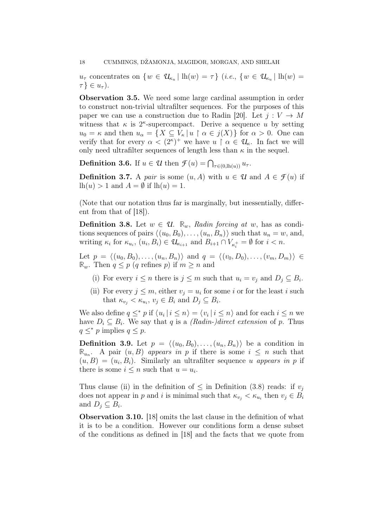$u_{\tau}$  concentrates on  $\{w \in \mathcal{U}_{\kappa_u} \mid \mathrm{lh}(w) = \tau\}$  (*i.e.*,  $\{w \in \mathcal{U}_{\kappa_u} \mid \mathrm{lh}(w) = \tau\}$ )  $\tau \} \in u_{\tau}$ ).

Observation 3.5. We need some large cardinal assumption in order to construct non-trivial ultrafilter sequences. For the purposes of this paper we can use a construction due to Radin [20]. Let  $j: V \to M$ witness that  $\kappa$  is  $2^{\kappa}$ -supercompact. Derive a sequence u by setting  $u_0 = \kappa$  and then  $u_\alpha = \{X \subseteq V_\kappa | u \restriction \alpha \in j(X)\}\)$  for  $\alpha > 0$ . One can verify that for every  $\alpha < (2^{\kappa})^+$  we have  $u \restriction \alpha \in \mathcal{U}_{\kappa}$ . In fact we will only need ultrafilter sequences of length less than  $\kappa$  in the sequel.

**Definition 3.6.** If  $u \in \mathcal{U}$  then  $\mathcal{F}(u) = \bigcap_{\tau \in (0, \text{lh}(u))} u_{\tau}$ .

**Definition 3.7.** A pair is some  $(u, A)$  with  $u \in \mathcal{U}$  and  $A \in \mathcal{F}(u)$  if  $lh(u) > 1$  and  $A = \emptyset$  if  $lh(u) = 1$ .

(Note that our notation thus far is marginally, but inessentially, different from that of [18]).

**Definition 3.8.** Let  $w \in \mathcal{U}$ .  $\mathbb{R}_w$ , Radin forcing at w, has as conditions sequences of pairs  $\langle (u_0, B_0), \ldots, (u_n, B_n) \rangle$  such that  $u_n = w$ , and, writing  $\kappa_i$  for  $\kappa_{u_i}$ ,  $(u_i, B_i) \in \mathcal{U}_{\kappa_{i+1}}$  and  $B_{i+1} \cap V_{\kappa_i^+} = \emptyset$  for  $i < n$ .

Let  $p = \langle (u_0, B_0), \ldots, (u_n, B_n) \rangle$  and  $q = \langle (v_0, D_0), \ldots, (v_m, D_m) \rangle \in$  $\mathbb{R}_w$ . Then  $q \leq p$  (q refines p) if  $m \geq n$  and

- (i) For every  $i \leq n$  there is  $j \leq m$  such that  $u_i = v_j$  and  $D_j \subseteq B_i$ .
- (ii) For every  $j \leq m$ , either  $v_j = u_i$  for some i or for the least i such that  $\kappa_{v_j} < \kappa_{u_i}, v_j \in B_i$  and  $D_j \subseteq B_i$ .

We also define  $q \leq^* p$  if  $\langle u_i | i \leq n \rangle = \langle v_i | i \leq n \rangle$  and for each  $i \leq n$  we have  $D_i \subseteq B_i$ . We say that q is a *(Radin-)direct extension* of p. Thus  $q \leq^* p$  implies  $q \leq p$ .

**Definition 3.9.** Let  $p = \langle (u_0, B_0), \ldots, (u_n, B_n) \rangle$  be a condition in  $\mathbb{R}_{u_n}$ . A pair  $(u, B)$  appears in p if there is some  $i \leq n$  such that  $(u, B) = (u_i, B_i)$ . Similarly an ultrafilter sequence u appears in p if there is some  $i \leq n$  such that  $u = u_i$ .

Thus clause (ii) in the definition of  $\leq$  in Definition (3.8) reads: if  $v_j$ does not appear in p and i is minimal such that  $\kappa_{v_j} < \kappa_{u_i}$  then  $v_j \in B_i$ and  $D_j \subseteq B_i$ .

Observation 3.10. [18] omits the last clause in the definition of what it is to be a condition. However our conditions form a dense subset of the conditions as defined in [18] and the facts that we quote from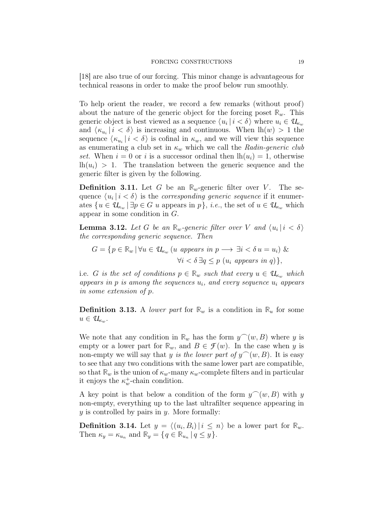[18] are also true of our forcing. This minor change is advantageous for technical reasons in order to make the proof below run smoothly.

To help orient the reader, we record a few remarks (without proof) about the nature of the generic object for the forcing poset  $\mathbb{R}_w$ . This generic object is best viewed as a sequence  $\langle u_i | i < \delta \rangle$  where  $u_i \in \mathcal{U}_{\kappa_w}$ and  $\langle \kappa_{u_i} | i \langle \delta \rangle$  is increasing and continuous. When  $lh(w) > 1$  the sequence  $\langle \kappa_{u_i} | i < \delta \rangle$  is cofinal in  $\kappa_w$ , and we will view this sequence as enumerating a club set in  $\kappa_w$  which we call the Radin-generic club set. When  $i = 0$  or i is a successor ordinal then  $lh(u_i) = 1$ , otherwise  $lh(u_i) > 1$ . The translation between the generic sequence and the generic filter is given by the following.

**Definition 3.11.** Let G be an  $\mathbb{R}_w$ -generic filter over V. The sequence  $\langle u_i | i < \delta \rangle$  is the *corresponding generic sequence* if it enumerates  $\{u \in \mathcal{U}_{\kappa_w} \mid \exists p \in G \ u \text{ appears in } p\}, i.e., \text{ the set of } u \in \mathcal{U}_{\kappa_w} \text{ which} \}$ appear in some condition in G.

**Lemma 3.12.** Let G be an  $\mathbb{R}_w$ -generic filter over V and  $\langle u_i | i < \delta \rangle$ the corresponding generic sequence. Then

$$
G = \{ p \in \mathbb{R}_w \, | \, \forall u \in \mathcal{U}_{\kappa_w} \, (u \text{ appears in } p \longrightarrow \exists i < \delta u = u_i) \, \& \, \forall i < \delta \, \exists q \le p \, (u_i \text{ appears in } q) \},
$$

i.e. G is the set of conditions  $p \in \mathbb{R}_w$  such that every  $u \in \mathcal{U}_{\kappa_w}$  which appears in  $p$  is among the sequences  $u_i$ , and every sequence  $u_i$  appears in some extension of p.

**Definition 3.13.** A lower part for  $\mathbb{R}_w$  is a condition in  $\mathbb{R}_u$  for some  $u \in \mathcal{U}_{\kappa_w}.$ 

We note that any condition in  $\mathbb{R}_w$  has the form  $y^{\frown}(w, B)$  where y is empty or a lower part for  $\mathbb{R}_w$ , and  $B \in \mathcal{F}(w)$ . In the case when y is non-empty we will say that y is the lower part of  $y^{\frown}(w, B)$ . It is easy to see that any two conditions with the same lower part are compatible, so that  $\mathbb{R}_w$  is the union of  $\kappa_w$ -many  $\kappa_w$ -complete filters and in particular it enjoys the  $\kappa_w^+$ -chain condition.

A key point is that below a condition of the form  $y^{\frown}(w, B)$  with y non-empty, everything up to the last ultrafilter sequence appearing in  $y$  is controlled by pairs in  $y$ . More formally:

**Definition 3.14.** Let  $y = \langle (u_i, B_i) | i \leq n \rangle$  be a lower part for  $\mathbb{R}_w$ . Then  $\kappa_y = \kappa_{u_n}$  and  $\mathbb{R}_y = \{q \in \mathbb{R}_{u_n} \mid q \leq y\}.$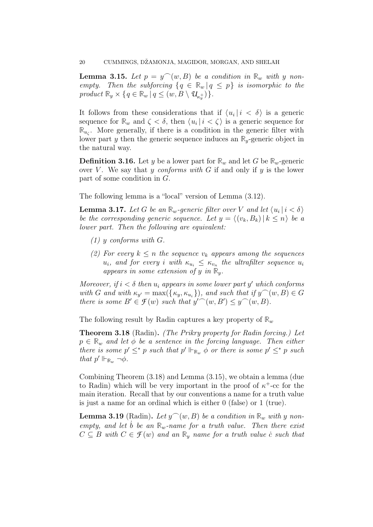**Lemma 3.15.** Let  $p = y^{\frown}(w, B)$  be a condition in  $\mathbb{R}_w$  with y nonempty. Then the subforcing  $\{q \in \mathbb{R}_w | q \leq p\}$  is isomorphic to the product  $\mathbb{R}_y \times \{q \in \mathbb{R}_w \mid q \leq (w, B \setminus \mathcal{U}_{\kappa_y^+})\}.$ 

It follows from these considerations that if  $\langle u_i | i \rangle \langle \delta \rangle$  is a generic sequence for  $\mathbb{R}_w$  and  $\zeta < \delta$ , then  $\langle u_i | i < \zeta \rangle$  is a generic sequence for  $\mathbb{R}_{u_{\zeta}}$ . More generally, if there is a condition in the generic filter with lower part y then the generic sequence induces an **R**y-generic object in the natural way.

**Definition 3.16.** Let y be a lower part for  $\mathbb{R}_w$  and let G be  $\mathbb{R}_w$ -generic over V. We say that y conforms with G if and only if y is the lower part of some condition in G.

The following lemma is a "local" version of Lemma (3.12).

**Lemma 3.17.** Let G be an  $\mathbb{R}_w$ -generic filter over V and let  $\langle u_i | i < \delta \rangle$ be the corresponding generic sequence. Let  $y = \langle (v_k, B_k) | k \leq n \rangle$  be a lower part. Then the following are equivalent:

- $(1)$  y conforms with G.
- (2) For every  $k \leq n$  the sequence  $v_k$  appears among the sequences  $u_i$ , and for every i with  $\kappa_{u_i} \leq \kappa_{v_n}$  the ultrafilter sequence  $u_i$ appears in some extension of y in  $\mathbb{R}_y$ .

Moreover, if  $i < \delta$  then  $u_i$  appears in some lower part y' which conforms with G and with  $\kappa_{y'} = \max({\{\kappa_y, \kappa_{u_i}\}})$ , and such that if  $y^{\frown}(w, B) \in G$ there is some  $B' \in \mathcal{F}(w)$  such that  $y''(w, B') \leq y'(w, B)$ .

The following result by Radin captures a key property of  $\mathbb{R}_w$ 

Theorem 3.18 (Radin). (The Prikry property for Radin forcing.) Let  $p \in \mathbb{R}_w$  and let  $\phi$  be a sentence in the forcing language. Then either there is some  $p' \leq^* p$  such that  $p' \Vdash_{\mathbb{R}_w} \phi$  or there is some  $p' \leq^* p$  such that  $p' \Vdash_{\mathbb{R}_w} \neg \phi$ .

Combining Theorem (3.18) and Lemma (3.15), we obtain a lemma (due to Radin) which will be very important in the proof of  $\kappa^+$ -cc for the main iteration. Recall that by our conventions a name for a truth value is just a name for an ordinal which is either 0 (false) or 1 (true).

**Lemma 3.19** (Radin). Let  $y^{\frown}(w, B)$  be a condition in  $\mathbb{R}_w$  with y nonempty, and let b be an  $\mathbb{R}_w$ -name for a truth value. Then there exist  $C \subseteq B$  with  $C \in \mathcal{F}(w)$  and an  $\mathbb{R}_v$  name for a truth value c such that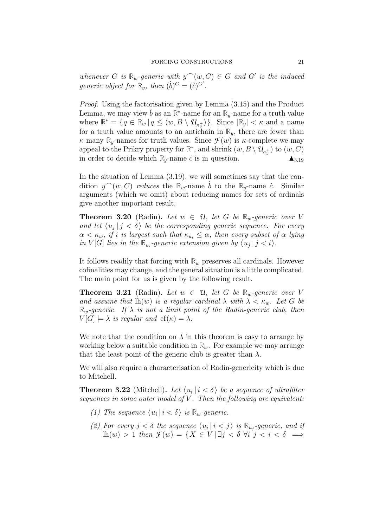whenever G is  $\mathbb{R}_w$ -generic with  $y^{\frown}(w, C) \in G$  and G' is the induced generic object for  $\mathbb{R}_y$ , then  $(\dot{b})^G = (\dot{c})^{G'}$ .

Proof. Using the factorisation given by Lemma (3.15) and the Product Lemma, we may view  $\dot{b}$  as an  $\mathbb{R}^*$ -name for an  $\mathbb{R}_y$ -name for a truth value where  $\mathbb{R}^* = \{q \in \mathbb{R}_w | q \leq (w, B \setminus \mathcal{U}_{\kappa_y^+})\}$ . Since  $|\mathbb{R}_y| < \kappa$  and a name for a truth value amounts to an antichain in  $\mathbb{R}_y$ , there are fewer than  $\kappa$  many  $\mathbb{R}_v$ -names for truth values. Since  $\mathcal{F}(w)$  is  $\kappa$ -complete we may appeal to the Prikry property for  $\mathbb{R}^*$ , and shrink  $(w, B \setminus \mathcal{U}_{\kappa_y^+})$  to  $(w, C)$ in order to decide which  $\mathbb{R}_y$ -name *c* is in question.

In the situation of Lemma (3.19), we will sometimes say that the condition  $y^{\frown}(w, C)$  reduces the  $\mathbb{R}_w$ -name *b* to the  $\mathbb{R}_y$ -name *c*<sup>.</sup> Similar arguments (which we omit) about reducing names for sets of ordinals give another important result.

**Theorem 3.20** (Radin). Let  $w \in \mathcal{U}$ , let G be  $\mathbb{R}_w$ -generic over V and let  $\langle u_j | j \rangle \langle \delta \rangle$  be the corresponding generic sequence. For every  $\alpha < \kappa_w$ , if i is largest such that  $\kappa_{u_i} \leq \alpha$ , then every subset of  $\alpha$  lying in  $V[G]$  lies in the  $\mathbb{R}_{u_i}$ -generic extension given by  $\langle u_j | j \rangle$ .

It follows readily that forcing with  $\mathbb{R}_w$  preserves all cardinals. However cofinalities may change, and the general situation is a little complicated. The main point for us is given by the following result.

**Theorem 3.21** (Radin). Let  $w \in \mathcal{U}$ , let G be  $\mathbb{R}_w$ -generic over V and assume that  $lh(w)$  is a regular cardinal  $\lambda$  with  $\lambda < \kappa_w$ . Let G be  $\mathbb{R}_{w}$ -generic. If  $\lambda$  is not a limit point of the Radin-generic club, then  $V[G] \models \lambda$  is regular and  $cf(\kappa) = \lambda$ .

We note that the condition on  $\lambda$  in this theorem is easy to arrange by working below a suitable condition in  $\mathbb{R}_w$ . For example we may arrange that the least point of the generic club is greater than  $\lambda$ .

We will also require a characterisation of Radin-genericity which is due to Mitchell.

**Theorem 3.22** (Mitchell). Let  $\langle u_i | i \rangle \langle \delta \rangle$  be a sequence of ultrafilter sequences in some outer model of  $V$ . Then the following are equivalent:

- (1) The sequence  $\langle u_i | i < \delta \rangle$  is  $\mathbb{R}_w$ -generic.
- (2) For every  $j < \delta$  the sequence  $\langle u_i | i < j \rangle$  is  $\mathbb{R}_{u_j}$ -generic, and if lh(w) > 1 then  $\mathcal{F}(w) = \{X \in V \mid \exists j < \delta \ \forall i \ j < i < \delta \implies$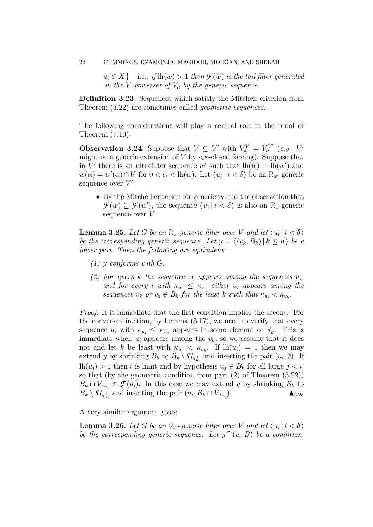$u_i \in X$  } – i.e., if  $\text{lh}(w) > 1$  then  $\mathcal{F}(w)$  is the tail filter generated on the V-powerset of  $V_{\kappa}$  by the generic sequence.

Definition 3.23. Sequences which satisfy the Mitchell criterion from Theorem  $(3.22)$  are sometimes called *geometric sequences*.

The following considerations will play a central role in the proof of Theorem (7.10).

**Observation 3.24.** Suppose that  $V \subseteq V'$  with  $V_{\kappa}^V = V_{\kappa}^V$  $\kappa^{VV'}$  (e.g.,  $V'$ might be a generic extension of  $V$  by  $\lt$   $\lt$  closed forcing). Suppose that in V' there is an ultrafilter sequence w' such that  $lh(w) = lh(w')$  and  $w(\alpha) = w'(\alpha) \cap V$  for  $0 < \alpha < \text{lh}(w)$ . Let  $\langle u_i | i < \delta \rangle$  be an  $\mathbb{R}_{w'}$ -generic sequence over  $V'$ .

• By the Mitchell criterion for genericity and the observation that  $\mathcal{F}(w) \subseteq \mathcal{F}(w')$ , the sequence  $\langle u_i | i \langle \delta \rangle$  is also an  $\mathbb{R}_w$ -generic sequence over  $V$ .

**Lemma 3.25.** Let G be an  $\mathbb{R}_w$ -generic filter over V and let  $\langle u_i | i < \delta \rangle$ be the corresponding generic sequence. Let  $y = \langle (v_k, B_k) | k \leq n \rangle$  be a lower part. Then the following are equivalent:

- (1) y conforms with G.
- (2) For every k the sequence  $v_k$  appears among the sequences  $u_i$ , and for every i with  $\kappa_{u_i} \leq \kappa_{v_n}$  either  $u_i$  appears among the sequences  $v_k$  or  $u_i \in B_k$  for the least k such that  $\kappa_{u_i} < \kappa_{v_k}$ .

Proof. It is immediate that the first condition implies the second. For the converse direction, by Lemma (3.17), we need to verify that every sequence  $u_i$  with  $\kappa_{u_i} \leq \kappa_{v_n}$  appears in some element of  $\mathbb{R}_v$ . This is immediate when  $u_i$  appears among the  $v_k$ , so we assume that it does not and let k be least with  $\kappa_{u_i} < \kappa_{v_k}$ . If  $lh(u_i) = 1$  then we may extend y by shrinking  $B_k$  to  $B_k \setminus \mathcal{U}_{\kappa_{u_i}^+}$  and inserting the pair  $(u_i, \emptyset)$ . If lh $(u_i) > 1$  then *i* is limit and by hypothesis  $u_j \in B_k$  for all large  $j < i$ , so that (by the geometric condition from part (2) of Theorem (3.22))  $B_k \cap V_{\kappa_{u_i}} \in \mathcal{F}(u_i)$ . In this case we may extend y by shrinking  $B_k$  to  $B_k \setminus \mathcal{U}_{\kappa_{u_i}^+}$  and inserting the pair  $(u_i, B_k \cap V_{\kappa_{u_i}})$  $\triangle$ <sub>3.25</sub>

A very similar argument gives:

**Lemma 3.26.** Let G be an  $\mathbb{R}_w$ -generic filter over V and let  $\langle u_i | i < \delta \rangle$ be the corresponding generic sequence. Let  $y^{\frown}(w, B)$  be a condition.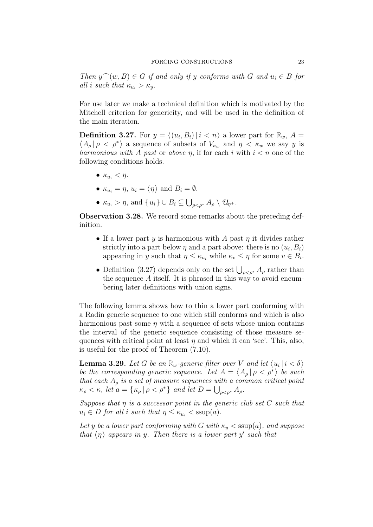Then  $y^{\frown}(w, B) \in G$  if and only if y conforms with G and  $u_i \in B$  for all i such that  $\kappa_{u_i} > \kappa_{u_i}$ .

For use later we make a technical definition which is motivated by the Mitchell criterion for genericity, and will be used in the definition of the main iteration.

**Definition 3.27.** For  $y = \langle (u_i, B_i) | i \langle n \rangle \rangle$  a lower part for  $\mathbb{R}_w$ ,  $A =$  $\langle A_{\rho} | \rho \langle \rho^* \rangle$  a sequence of subsets of  $V_{\kappa_w}$  and  $\eta \langle \kappa_w \rangle$  we say y is harmonious with A past or above  $\eta$ , if for each i with  $i < n$  one of the following conditions holds.

- $\kappa_{u_i} < \eta$ .
- $\kappa_{u_i} = \eta, u_i = \langle \eta \rangle$  and  $B_i = \emptyset$ .
- $\kappa_{u_i} > \eta$ , and  $\{u_i\} \cup B_i \subseteq \bigcup_{\rho < \rho^*} A_\rho \setminus \mathcal{U}_{\eta^+}.$

Observation 3.28. We record some remarks about the preceding definition.

- If a lower part  $y$  is harmonious with  $A$  past  $\eta$  it divides rather strictly into a part below  $\eta$  and a part above: there is no  $(u_i, B_i)$ appearing in y such that  $\eta \leq \kappa_{u_i}$  while  $\kappa_v \leq \eta$  for some  $v \in B_i$ .
- Definition (3.27) depends only on the set  $\bigcup_{\rho < \rho^*} A_\rho$  rather than the sequence A itself. It is phrased in this way to avoid encumbering later definitions with union signs.

The following lemma shows how to thin a lower part conforming with a Radin generic sequence to one which still conforms and which is also harmonious past some  $\eta$  with a sequence of sets whose union contains the interval of the generic sequence consisting of those measure sequences with critical point at least  $\eta$  and which it can 'see'. This, also, is useful for the proof of Theorem (7.10).

**Lemma 3.29.** Let G be an  $\mathbb{R}_w$ -generic filter over V and let  $\langle u_i | i < \delta \rangle$ be the corresponding generic sequence. Let  $A = \langle A_{\rho} | \rho \langle \rho^* \rangle$  be such that each  $A_{\rho}$  is a set of measure sequences with a common critical point  $\kappa_{\rho} < \kappa$ , let  $a = {\kappa_{\rho} | \rho < \rho^* }$  and let  $D = \bigcup_{\rho < \rho^*} A_{\rho}$ .

Suppose that  $\eta$  is a successor point in the generic club set  $C$  such that  $u_i \in D$  for all i such that  $\eta \leq \kappa_{u_i} < \text{ssup}(a)$ .

Let y be a lower part conforming with G with  $\kappa_y < \text{ssup}(a)$ , and suppose that  $\langle \eta \rangle$  appears in y. Then there is a lower part y' such that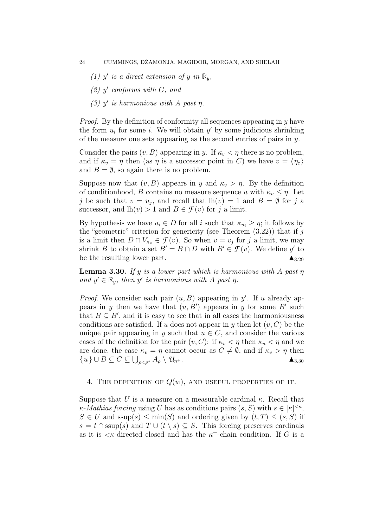- (1) y' is a direct extension of y in  $\mathbb{R}_y$ ,
- $(2)$  y' conforms with G, and
- (3)  $y'$  is harmonious with A past  $\eta$ .

Proof. By the definition of conformity all sequences appearing in y have the form  $u_i$  for some *i*. We will obtain  $y'$  by some judicious shrinking of the measure one sets appearing as the second entries of pairs in  $y$ .

Consider the pairs  $(v, B)$  appearing in y. If  $\kappa_v < \eta$  there is no problem, and if  $\kappa_v = \eta$  then (as  $\eta$  is a successor point in C) we have  $v = \langle \eta_{\varepsilon} \rangle$ and  $B = \emptyset$ , so again there is no problem.

Suppose now that  $(v, B)$  appears in y and  $\kappa_v > \eta$ . By the definition of conditionhood, B contains no measure sequence u with  $\kappa_u \leq \eta$ . Let j be such that  $v = u_j$ , and recall that  $lh(v) = 1$  and  $B = \emptyset$  for j a successor, and  $lh(v) > 1$  and  $B \in \mathcal{F}(v)$  for j a limit.

By hypothesis we have  $u_i \in D$  for all i such that  $\kappa_{u_i} \geq \eta$ ; it follows by the "geometric" criterion for genericity (see Theorem  $(3.22)$ ) that if j is a limit then  $D \cap V_{\kappa_v} \in \mathcal{F}(v)$ . So when  $v = v_j$  for j a limit, we may shrink *B* to obtain a set  $B' = B \cap D$  with  $B' \in \mathcal{F}(v)$ . We define y' to be the resulting lower part.

**Lemma 3.30.** If y is a lower part which is harmonious with A past  $\eta$ and  $y' \in \mathbb{R}_y$ , then y' is harmonious with A past  $\eta$ .

*Proof.* We consider each pair  $(u, B)$  appearing in y'. If u already appears in y then we have that  $(u, B')$  appears in y for some B' such that  $B \subseteq B'$ , and it is easy to see that in all cases the harmoniousness conditions are satisfied. If u does not appear in y then let  $(v, C)$  be the unique pair appearing in y such that  $u \in C$ , and consider the various cases of the definition for the pair  $(v, C)$ : if  $\kappa_v < \eta$  then  $\kappa_u < \eta$  and we are done, the case  $\kappa_v = \eta$  cannot occur as  $C \neq \emptyset$ , and if  $\kappa_v > \eta$  then  $\{u\} \cup B \subseteq C \subseteq \bigcup_{\rho < \rho^*} A_\rho \setminus \mathcal{U}_{\eta^+}.$   $\blacktriangle_{3.30}$ 

# 4. THE DEFINITION OF  $Q(w)$ , AND USEFUL PROPERTIES OF IT.

Suppose that U is a measure on a measurable cardinal  $\kappa$ . Recall that  $\kappa$ -*Mathias forcing* using U has as conditions pairs  $(s, S)$  with  $s \in [\kappa]^{<\kappa}$ ,  $S \in U$  and ssup(s)  $\leq \min(S)$  and ordering given by  $(t, T) \leq (s, S)$  if  $s = t \cap \text{ssup}(s)$  and  $T \cup (t \setminus s) \subseteq S$ . This forcing preserves cardinals as it is  $\lt$  *k*-directed closed and has the  $\kappa^+$ -chain condition. If G is a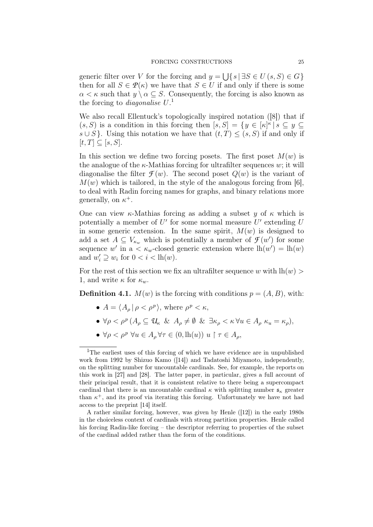generic filter over V for the forcing and  $y = \bigcup \{ s | \exists S \in U(s, S) \in G \}$ then for all  $S \in \mathcal{P}(\kappa)$  we have that  $S \in U$  if and only if there is some  $\alpha < \kappa$  such that  $y \setminus \alpha \subset S$ . Consequently, the forcing is also known as the forcing to *diagonalise*  $U$ <sup>1</sup>

We also recall Ellentuck's topologically inspired notation ([8]) that if  $(s, S)$  is a condition in this forcing then  $[s, S] = \{y \in [\kappa]^\kappa | s \subseteq y \subseteq$  $s \cup S$ . Using this notation we have that  $(t, T) \leq (s, S)$  if and only if  $[t, T] \subseteq [s, S].$ 

In this section we define two forcing posets. The first poset  $M(w)$  is the analogue of the  $\kappa$ -Mathias forcing for ultrafilter sequences w; it will diagonalise the filter  $\mathcal{F}(w)$ . The second poset  $Q(w)$  is the variant of  $M(w)$  which is tailored, in the style of the analogous forcing from [6]. to deal with Radin forcing names for graphs, and binary relations more generally, on  $\kappa^+$ .

One can view  $\kappa$ -Mathias forcing as adding a subset y of  $\kappa$  which is potentially a member of  $U'$  for some normal measure  $U'$  extending  $U$ in some generic extension. In the same spirit,  $M(w)$  is designed to add a set  $A \subseteq V_{\kappa_w}$  which is potentially a member of  $\mathcal{F}(w')$  for some sequence w' in a  $\lt$   $\kappa_w$ -closed generic extension where  $\text{lh}(w') = \text{lh}(w)$ and  $w'_i \supseteq w_i$  for  $0 < i < \ln(w)$ .

For the rest of this section we fix an ultrafilter sequence w with  $\ln(w)$ 1, and write  $\kappa$  for  $\kappa_w$ .

**Definition 4.1.**  $M(w)$  is the forcing with conditions  $p = (A, B)$ , with:

- $A = \langle A_\rho | \rho < \rho^p \rangle$ , where  $\rho^p < \kappa$ ,
- $\bullet \ \forall \rho < \rho^p \left( A_\rho \subseteq u_\kappa \ \& \ A_\rho \neq \emptyset \ \& \ \exists \kappa_\rho < \kappa \ \forall u \in A_\rho \ \kappa_u = \kappa_\rho \right),$
- $\bullet \forall \rho < \rho^p \; \forall u \in A_\rho \forall \tau \in (0, \mathrm{lh}(u)) \; u \upharpoonright \tau \in A_\rho,$

<sup>&</sup>lt;sup>1</sup>The earliest uses of this forcing of which we have evidence are in unpublished work from 1992 by Shizuo Kamo ([14]) and Tadatoshi Miyamoto, independently, on the splitting number for uncountable cardinals. See, for example, the reports on this work in [27] and [28]. The latter paper, in particular, gives a full account of their principal result, that it is consistent relative to there being a supercompact cardinal that there is an uncountable cardinal  $\kappa$  with splitting number  $\mathfrak{s}_{\kappa}$  greater than  $\kappa^+$ , and its proof via iterating this forcing. Unfortunately we have not had access to the preprint [14] itself.

A rather similar forcing, however, was given by Henle ([12]) in the early 1980s in the choiceless context of cardinals with strong partition properties. Henle called his forcing Radin-like forcing – the descriptor referring to properties of the subset of the cardinal added rather than the form of the conditions.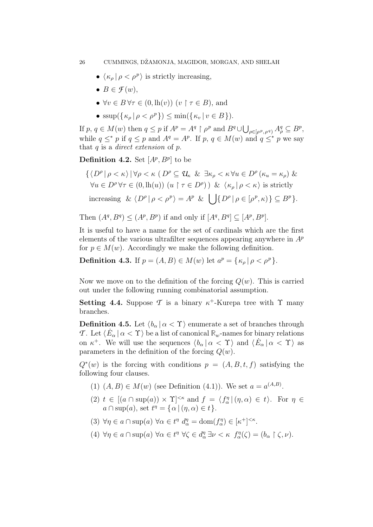- $\langle \kappa_\rho | \rho < \rho^p \rangle$  is strictly increasing,
- $B \in \mathcal{F}(w)$ ,
- $\forall v \in B$   $\forall \tau \in (0, \text{lh}(v))$   $(v \upharpoonright \tau \in B)$ , and
- $\sup(\{\kappa_o | \rho < \rho^p\}) \le \min(\{\kappa_v | v \in B\}).$

If  $p, q \in M(w)$  then  $q \leq p$  if  $A^p = A^q \restriction \rho^p$  and  $B^q \cup \bigcup_{\rho \in [\rho^p, \rho^q)} A^q_{\rho} \subseteq B^p$ , while  $q \leq^* p$  if  $q \leq p$  and  $A^q = A^p$ . If  $p, q \in M(w)$  and  $q \leq^* p$  we say that q is a *direct extension* of  $p$ .

**Definition 4.2.** Set  $[A^p, B^p]$  to be

$$
\{\langle D^{\rho} | \rho < \kappa \rangle \, | \, \forall \rho < \kappa \, (D^{\rho} \subseteq \mathcal{U}_{\kappa} \& \exists \kappa_{\rho} < \kappa \, \forall u \in D^{\rho} \, (\kappa_u = \kappa_{\rho}) \& \forall u \in D^{\rho} \, \forall \tau \in (0, \text{lh}(u)) \, (u \upharpoonright \tau \in D^{\rho}) \, \& \langle \kappa_{\rho} | \rho < \kappa \rangle \text{ is strictly increasing } \& \langle D^{\rho} | \rho < \rho^{p} \rangle = A^{p} \& \bigcup \{ D^{\rho} | \rho \in [\rho^{p}, \kappa) \} \subseteq B^{p} \}.
$$

Then 
$$
(A^q, B^q) \leq (A^p, B^p)
$$
 if and only if  $[A^q, B^q] \subseteq [A^p, B^p]$ .

It is useful to have a name for the set of cardinals which are the first elements of the various ultrafilter sequences appearing anywhere in  $A^p$ for  $p \in M(w)$ . Accordingly we make the following definition.

**Definition 4.3.** If  $p = (A, B) \in M(w)$  let  $a^p = {\kappa_\rho | \rho < \rho^p}.$ 

Now we move on to the definition of the forcing  $Q(w)$ . This is carried out under the following running combinatorial assumption.

**Setting 4.4.** Suppose  $\mathcal{T}$  is a binary  $\kappa^+$ -Kurepa tree with  $\Upsilon$  many branches.

**Definition 4.5.** Let  $\langle b_{\alpha} | \alpha < \Upsilon \rangle$  enumerate a set of branches through *T*. Let  $\langle E_\alpha | \alpha < \Upsilon \rangle$  be a list of canonical  $\mathbb{R}_w$ -names for binary relations on  $\kappa^+$ . We will use the sequences  $\langle b_\alpha | \alpha < \Upsilon \rangle$  and  $\langle \dot{E}_\alpha | \alpha < \Upsilon \rangle$  as parameters in the definition of the forcing  $Q(w)$ .

 $Q^*(w)$  is the forcing with conditions  $p = (A, B, t, f)$  satisfying the following four clauses.

- (1)  $(A, B) \in M(w)$  (see Definition (4.1)). We set  $a = a^{(A,B)}$ .
- (2)  $t \in [(a \cap \sup(a)) \times \Upsilon]^{<\kappa}$  and  $f = \langle f_\alpha^\eta | (\eta, \alpha) \in t \rangle$ . For  $\eta \in$  $a \cap \sup(a)$ , set  $t^{\eta} = \{ \alpha \mid (\eta, \alpha) \in t \}.$
- (3)  $\forall \eta \in a \cap \text{sup}(a) \ \forall \alpha \in t^{\eta} \ d_{\alpha}^{\eta} = \text{dom}(f_{\alpha}^{\eta}) \in [\kappa^{+}]^{<\kappa}.$
- (4)  $\forall \eta \in a \cap \text{sup}(a) \ \forall \alpha \in t^{\eta} \ \forall \zeta \in d_{\alpha}^{\eta} \exists \nu \lt \kappa \ f_{\alpha}^{\eta}(\zeta) = (b_{\alpha} \upharpoonright \zeta, \nu).$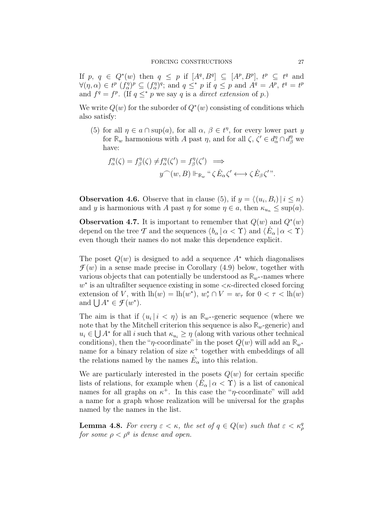If p,  $q \in Q^*(w)$  then  $q \leq p$  if  $[A^q, B^q] \subseteq [A^p, B^p]$ ,  $t^p \subseteq t^q$  and  $\forall (\eta, \alpha) \in t^p \; (f_{\alpha}^{\eta})^p \subseteq (f_{\alpha}^{\eta})^q$ ; and  $q \leq^* p$  if  $q \leq p$  and  $A^q = A^p$ ,  $t^q = t^p$ and  $f^q = f^p$ . (If  $q \leq^* p$  we say q is a direct extension of p.)

We write  $Q(w)$  for the suborder of  $Q^*(w)$  consisting of conditions which also satisfy:

(5) for all  $\eta \in a \cap \text{sup}(a)$ , for all  $\alpha, \beta \in t^{\eta}$ , for every lower part y for  $\mathbb{R}_w$  harmonious with A past  $\eta$ , and for all  $\zeta$ ,  $\zeta' \in d_{\alpha}^{\eta} \cap d_{\beta}^{\eta}$  we have:

$$
f_{\alpha}^{\eta}(\zeta) = f_{\beta}^{\eta}(\zeta) \neq f_{\alpha}^{\eta}(\zeta') = f_{\beta}^{\eta}(\zeta') \implies
$$

$$
y^{\frown}(w, B) \Vdash_{\mathbb{R}_w} \text{``$\zeta \dot{E}_{\alpha} \zeta' \longleftrightarrow \zeta \dot{E}_{\beta} \zeta'$''}.
$$

**Observation 4.6.** Observe that in clause (5), if  $y = \langle (u_i, B_i) | i \le n \rangle$ and y is harmonious with A past  $\eta$  for some  $\eta \in a$ , then  $\kappa_{u_n} \leq \sup(a)$ .

Observation 4.7. It is important to remember that  $Q(w)$  and  $Q^*(w)$ depend on the tree T and the sequences  $\langle b_\alpha | \alpha < \Upsilon \rangle$  and  $\langle \dot{E}_\alpha | \alpha < \Upsilon \rangle$ even though their names do not make this dependence explicit.

The poset  $Q(w)$  is designed to add a sequence  $A^*$  which diagonalises  $\mathcal{F}(w)$  in a sense made precise in Corollary (4.9) below, together with various objects that can potentially be understood as  $\mathbb{R}_{w^*}$ -names where  $w^*$  is an ultrafilter sequence existing in some  $\lt k$ -directed closed forcing extension of V, with  $lh(w) = lh(w^*)$ ,  $w^*_{\tau} \cap V = w_{\tau}$  for  $0 < \tau < lh(w)$ and  $\bigcup A^* \in \mathcal{F}(w^*)$ .

The aim is that if  $\langle u_i | i \langle \eta \rangle$  is an  $\mathbb{R}_{w^*}$ -generic sequence (where we note that by the Mitchell criterion this sequence is also  $\mathbb{R}_w$ -generic) and  $u_i \in \bigcup A^*$  for all i such that  $\kappa_{u_i} \geq \eta$  (along with various other technical conditions), then the " $\eta$ -coordinate" in the poset  $Q(w)$  will add an  $\mathbb{R}_{w^*}$ name for a binary relation of size  $\kappa^+$  together with embeddings of all the relations named by the names  $\dot{E}_{\alpha}$  into this relation.

We are particularly interested in the posets  $Q(w)$  for certain specific lists of relations, for example when  $\langle E_{\alpha} | \alpha < \Upsilon \rangle$  is a list of canonical names for all graphs on  $\kappa^+$ . In this case the "*η*-coordinate" will add a name for a graph whose realization will be universal for the graphs named by the names in the list.

**Lemma 4.8.** For every  $\varepsilon < \kappa$ , the set of  $q \in Q(w)$  such that  $\varepsilon < \kappa_q^q$ for some  $\rho < \rho^q$  is dense and open.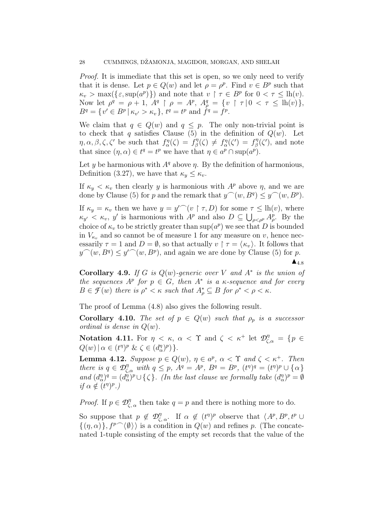Proof. It is immediate that this set is open, so we only need to verify that it is dense. Let  $p \in Q(w)$  and let  $\rho = \rho^p$ . Find  $v \in B^p$  such that  $\kappa_v > \max(\{\varepsilon, \sup(a^p)\})$  and note that  $v \restriction \tau \in B^p$  for  $0 < \tau \leq \ln(v)$ . Now let  $\rho^q = \rho + 1$ ,  $A^q \upharpoonright \rho = A^p$ ,  $A^q_\rho = \{ v \upharpoonright \tau | 0 < \tau \leq \text{lh}(v) \},$  $B^{q} = \{v' \in B^{p} | \kappa_{v'} > \kappa_{v}\}, t^{q} = t^{p} \text{ and } f^{q} = f^{p}.$ 

We claim that  $q \in Q(w)$  and  $q \leq p$ . The only non-trivial point is to check that q satisfies Clause (5) in the definition of  $Q(w)$ . Let  $\eta, \alpha, \beta, \zeta, \zeta'$  be such that  $f_{\alpha}^{\eta}(\zeta) = f_{\beta}^{\eta}$  $f_{\beta}^{\eta}(\zeta) \neq f_{\alpha}^{\eta}(\zeta') = f_{\beta}^{\eta}$  $\mathcal{E}_{\beta}^{\eta}(\zeta')$ , and note that since  $(\eta, \alpha) \in t^q = t^p$  we have that  $\eta \in a^p \cap \text{sup}(a^p)$ .

Let y be harmonious with  $A<sup>q</sup>$  above  $\eta$ . By the definition of harmonious, Definition (3.27), we have that  $\kappa_y \leq \kappa_v$ .

If  $\kappa_y < \kappa_v$  then clearly y is harmonious with  $A^p$  above  $\eta$ , and we are done by Clause (5) for p and the remark that  $y^{\frown}(w, B^q) \leq y^{\frown}(w, B^p)$ .

If  $\kappa_y = \kappa_v$  then we have  $y = y'^{\frown}(v \restriction \tau, D)$  for some  $\tau \leq \text{lh}(v)$ , where  $\kappa_{y'} < \kappa_v$ , y' is harmonious with  $A^p$  and also  $D \subseteq \bigcup_{\rho < \rho^p} A^p_\rho$ . By the choice of  $\kappa_v$  to be strictly greater than  $\sup(a^p)$  we see that D is bounded in  $V_{\kappa_v}$  and so cannot be of measure 1 for any measure on v, hence necessarily  $\tau = 1$  and  $D = \emptyset$ , so that actually  $v \upharpoonright \tau = \langle \kappa_v \rangle$ . It follows that  $y^{\frown}(w, B^q) \leq y'^{\frown}(w, B^p)$ , and again we are done by Clause (5) for p.  $\blacktriangle_{4.8}$ 

**Corollary 4.9.** If G is  $Q(w)$ -generic over V and  $A^*$  is the union of the sequences  $A^p$  for  $p \in G$ , then  $A^*$  is a  $\kappa$ -sequence and for every  $B \in \mathcal{F}(w)$  there is  $\rho^* < \kappa$  such that  $A_{\rho}^* \subseteq B$  for  $\rho^* < \rho < \kappa$ .

The proof of Lemma (4.8) also gives the following result.

**Corollary 4.10.** The set of  $p \in Q(w)$  such that  $\rho_p$  is a successor ordinal is dense in  $Q(w)$ .

Notation 4.11. For  $\eta < \kappa$ ,  $\alpha < \Upsilon$  and  $\zeta < \kappa^+$  let  $\mathcal{D}_{\zeta,\alpha}^{\eta} = \{p \in$  $Q(w) | \alpha \in (t^{\eta})^p \& \zeta \in (d_{\alpha}^{\eta})^p$  }.

**Lemma 4.12.** Suppose  $p \in Q(w)$ ,  $\eta \in a^p$ ,  $\alpha < \Upsilon$  and  $\zeta < \kappa^+$ . Then there is  $q \in \mathcal{D}_{\zeta,\alpha}^{\eta}$  with  $q \leq p$ ,  $A^q = A^p$ ,  $B^q = B^p$ ,  $(t^{\eta})^q = (t^{\eta})^p \cup {\alpha}$ and  $(d_{\alpha}^{\eta})^q = (d_{\alpha}^{\eta})^p \cup \{\zeta\}$ . (In the last clause we formally take  $(d_{\alpha}^{\eta})^p = \emptyset$ if  $\alpha \notin (t^{\eta})^p$ .)

*Proof.* If  $p \in \mathcal{D}_{\zeta,\alpha}^{\eta}$  then take  $q = p$  and there is nothing more to do.

So suppose that  $p \notin \mathcal{D}_{\zeta,\alpha}^{\eta}$ . If  $\alpha \notin (t^{\eta})^p$  observe that  $\langle A^p, B^p, t^p \cup$  $\{(\eta, \alpha)\}\, , f^{p}(\emptyset)\}$  is a condition in  $Q(w)$  and refines p. (The concatenated 1-tuple consisting of the empty set records that the value of the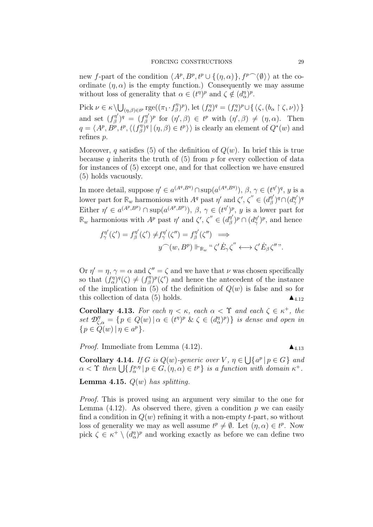new f-part of the condition  $\langle A^p, B^p, t^p \cup \{(\eta, \alpha)\}, f^p \widehat{\phantom{\alpha}}(\emptyset) \rangle$  at the coordinate  $(\eta, \alpha)$  is the empty function.) Consequently we may assume without loss of generality that  $\alpha \in (t^{\eta})^p$  and  $\zeta \notin (d_{\alpha}^{\eta})^p$ .

Pick  $\nu \in \kappa \setminus \bigcup_{(\eta,\beta)\in t^p} \mathrm{rge}((\pi_1 \cdot f_\beta^\eta))$  $(f_{\alpha}^{\eta})^p$ , let  $(f_{\alpha}^{\eta})^q = (f_{\alpha}^{\eta})^p \cup \{ \langle \zeta, (b_{\alpha} \restriction \zeta, \nu) \rangle \}$ and set  $(f^{\eta'}_{\beta})$  $(g^{n'}_{\beta})^q = (f^{\eta'}_{\beta})^q$  $(\eta')^p$  for  $(\eta', \beta) \in t^p$  with  $(\eta', \beta) \neq (\eta, \alpha)$ . Then  $q = \langle A^p, B^p, t^p, \langle (f^{\eta}_{\beta}% ,f^{\eta}_{\beta},f^{\eta}_{\beta},f^{\eta}_{\beta},f^{\eta}_{\beta},f^{\eta}_{\beta}\rangle )$  $\mathcal{E}^{(\eta)}_{\beta}(\eta, \beta) \in t^p \rangle$  is clearly an element of  $Q^*(w)$  and refines p.

Moreover, q satisfies (5) of the definition of  $Q(w)$ . In brief this is true because q inherits the truth of  $(5)$  from p for every collection of data for instances of (5) except one, and for that collection we have ensured (5) holds vacuously.

In more detail, suppose  $\eta' \in a^{(A^q, B^q)} \cap \text{sup}(a^{(A^q, B^q)}), \beta, \gamma \in (t^{\eta'})^q, y$  is a lower part for  $\mathbb{R}_w$  harmonious with  $A^q$  past  $\eta'$  and  $\zeta', \zeta'' \in (d_g^{\eta'})$  $(\beta^{\eta'})^q\cap(d_\gamma^{\eta'})$  $(\frac{\eta'}{\gamma})^q$ Either  $\eta' \in a^{(A^p, B^p)} \cap \text{sup}(a^{(A^p, B^p)}), \beta, \gamma \in (t^{\eta'})^p$ , y is a lower part for  $\mathbb{R}_w$  harmonious with  $A^p$  past  $\eta'$  and  $\zeta', \zeta'' \in (d_{\beta}^{\eta'}$  $(\begin{smallmatrix} \eta' \ \beta \end{smallmatrix})^p \cap (d_\gamma^{\eta'}$  $(\gamma')^p$ , and hence

$$
f^{\eta'}_{\gamma}(\zeta') = f^{\eta'}_{\beta}(\zeta') \neq f^{\eta'}_{\gamma}(\zeta'') = f^{\eta'}_{\beta}(\zeta'') \implies
$$
  

$$
y^{\frown}(w, B^p) \Vdash_{\mathbb{R}_w} " \zeta' \dot{E}_{\gamma} \zeta'' \longleftrightarrow \zeta' \dot{E}_{\beta} \zeta''".
$$

Or  $\eta' = \eta$ ,  $\gamma = \alpha$  and  $\zeta'' = \zeta$  and we have that  $\nu$  was chosen specifically so that  $(f_{\alpha}^{\eta})^q(\zeta) \neq (f_{\beta}^{\eta})^q$  $\binom{n}{\beta}^p(\zeta)$  and hence the antecedent of the instance of the implication in (5) of the definition of  $Q(w)$  is false and so for this collection of data (5) holds.  $\blacktriangle_{4.12}$ 

**Corollary 4.13.** For each  $\eta < \kappa$ , each  $\alpha < \Upsilon$  and each  $\zeta \in \kappa^+$ , the set  $\mathcal{D}_{\zeta,\alpha}^{\eta} = \{p \in Q(w) | \alpha \in (t^{\eta})^p \& \zeta \in (d_{\alpha}^{\eta})^p \}$  is dense and open in  $\{p \in \ddot{Q}(w) \mid \eta \in a^p\}.$ 

*Proof.* Immediate from Lemma  $(4.12)$ .

**Corollary 4.14.** If G is  $Q(w)$ -generic over V,  $\eta \in \bigcup \{a^p | p \in G\}$  and  $\alpha < \Upsilon$  then  $\bigcup \{ f_{\alpha}^{p,\eta} \mid p \in G, (\eta, \alpha) \in t^p \}$  is a function with domain  $\kappa^+$ .

**Lemma 4.15.**  $Q(w)$  has splitting.

Proof. This is proved using an argument very similar to the one for Lemma  $(4.12)$ . As observed there, given a condition p we can easily find a condition in  $Q(w)$  refining it with a non-empty t-part, so without loss of generality we may as well assume  $t^p \neq \emptyset$ . Let  $(\eta, \alpha) \in t^p$ . Now pick  $\zeta \in \kappa^+ \setminus (d_{\alpha}^{\eta})^p$  and working exactly as before we can define two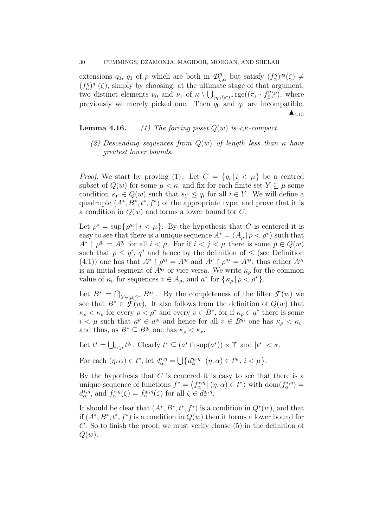extensions  $q_0$ ,  $q_1$  of p which are both in  $\mathcal{D}^{\eta}_{\zeta,\alpha}$  but satisfy  $(f^{\eta}_{\alpha})^{q_0}(\zeta) \neq$  $(f_{\alpha}^{\eta})^{q_1}(\zeta)$ , simply by choosing, at the ultimate stage of that argument, two distinct elements  $\nu_0$  and  $\nu_1$  of  $\kappa \setminus \bigcup_{(\eta,\beta)\in t^p} \text{rge}((\pi_1 \cdot f_\beta^{\eta})$  $(\beta^{\eta})^p$ ), where previously we merely picked one. Then  $q_0$  and  $q_1$  are incompatible.  $\blacktriangle_{4.15}$ 

Lemma 4.16. (1) The forcing poset Q(w) is <κ-compact.

(2) Descending sequences from  $Q(w)$  of length less than  $\kappa$  have greatest lower bounds.

*Proof.* We start by proving (1). Let  $C = \{q_i | i \lt \mu\}$  be a centred subset of  $Q(w)$  for some  $\mu < \kappa$ , and fix for each finite set  $Y \subseteq \mu$  some condition  $s_Y \in Q(w)$  such that  $s_Y \leq q_i$  for all  $i \in Y$ . We will define a quadruple  $(A^*, B^*, t^*, f^*)$  of the appropriate type, and prove that it is a condition in  $Q(w)$  and forms a lower bound for C.

Let  $\rho^* = \sup \{ \rho^{q_i} \mid i < \mu \}.$  By the hypothesis that C is centered it is easy to see that there is a unique sequence  $A^* = \langle A_\rho | \rho \langle \rho^* \rangle$  such that  $A^*$   $\rho^{q_i} = A^{q_i}$  for all  $i < \mu$ . For if  $i < j < \mu$  there is some  $p \in Q(w)$ such that  $p \leq q^i$ ,  $q^j$  and hence by the definition of  $\leq$  (see Definition (4.1)) one has that  $A^p \restriction \rho^{q_i} = A^{q_i}$  and  $A^p \restriction \rho^{q_j} = A^{q_j}$ ; thus either  $A^{q_i}$ is an initial segment of  $A^{q_j}$  or vice versa. We write  $\kappa_o$  for the common value of  $\kappa_v$  for sequences  $v \in A_\rho$ , and  $a^*$  for  $\{\kappa_\rho \mid \rho < \rho^*\}.$ 

Let  $B^* = \bigcap_{Y \in [\mu]^{< \omega}} B^{s_Y}$ . By the completeness of the filter  $\mathcal{F}(w)$  we see that  $B^* \in \mathcal{F}(w)$ . It also follows from the definition of  $Q(w)$  that  $\kappa_{\rho} < \kappa_v$  for every  $\rho < \rho^*$  and every  $v \in B^*$ , for if  $\kappa_{\rho} \in a^*$  there is some  $i < \mu$  such that  $\kappa^{\rho} \in a^{q_i}$  and hence for all  $v \in B^{q_i}$  one has  $\kappa_{\rho} < \kappa_v$ , and thus, as  $B^* \subseteq B^{q_i}$  one has  $\kappa_\rho < \kappa_v$ .

Let  $t^* = \bigcup_{i < \mu} t^{q_i}$ . Clearly  $t^* \subseteq (a^* \cap \sup(a^*)) \times \Upsilon$  and  $|t^*| < \kappa$ .

For each  $(\eta, \alpha) \in t^*$ , let  $d_{\alpha}^{*,\eta} = \bigcup \{ d_{\alpha}^{q_i, \eta} | (\eta, \alpha) \in t^{q_i}, i < \mu \}.$ 

By the hypothesis that  $C$  is centered it is easy to see that there is a unique sequence of functions  $f^* = \langle f_{\alpha}^{*,\eta} | (\eta, \alpha) \in t^* \rangle$  with  $dom(f_{\alpha}^{*,\eta}) =$  $d_{\alpha}^{*,\eta}$ , and  $f_{\alpha}^{*,\eta}(\zeta) = f_{\alpha}^{q_i,\eta}(\zeta)$  for all  $\zeta \in d_{\alpha}^{q_i,\eta}$ .

It should be clear that  $(A^*, B^*, t^*, f^*)$  is a condition in  $Q^*(w)$ , and that if  $(A^*, B^*, t^*, f^*)$  is a condition in  $Q(w)$  then it forms a lower bound for C. So to finish the proof, we must verify clause (5) in the definition of  $Q(w)$ .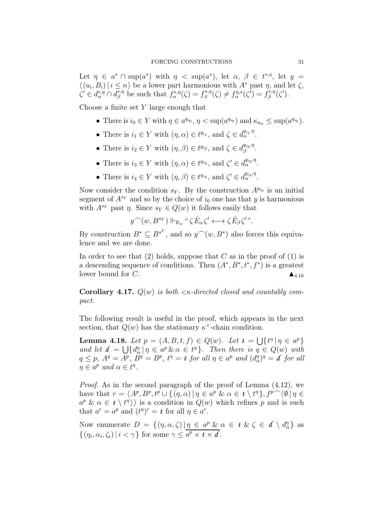Let  $\eta \in a^* \cap \sup(a^*)$  with  $\eta < \sup(a^*)$ , let  $\alpha, \beta \in t^{*,\eta}$ , let  $y =$  $\langle (u_i, B_i) | i \leq n \rangle$  be a lower part harmonious with  $A^*$  past  $\eta$ , and let  $\zeta$ ,  $\zeta' \in d_\alpha^{*,\eta} \cap d_\beta^{*,\eta}$ \*,η be such that  $f_{\alpha}^{*,\eta}(\zeta) = f_{\beta}^{*,\eta}$  $f_{\beta}^{*,\eta}(\zeta) \neq f_{\alpha}^{\eta,*}(\zeta') = f_{\beta}^{*,\eta}$  $\int_{\beta}^{*,\eta}(\zeta').$ 

Choose a finite set  $Y$  large enough that

- There is  $i_0 \in Y$  with  $\eta \in a^{q_{i_0}}, \eta < \sup(a^{q_{i_0}})$  and  $\kappa_{u_n} \leq \sup(a^{q_{i_0}})$ .
- There is  $i_1 \in Y$  with  $(\eta, \alpha) \in t^{q_{i_1}},$  and  $\zeta \in d_{\alpha}^{q_{i_1}, \eta}$ .
- There is  $i_2 \in Y$  with  $(\eta, \beta) \in t^{q_{i_2}}$ , and  $\zeta \in d_{\beta}^{q_{i_2}, \eta}$  $\frac{q_{i_2},\eta}{\beta}.$
- There is  $i_3 \in Y$  with  $(\eta, \alpha) \in t^{q_{i_3}},$  and  $\zeta' \in d_{\alpha}^{q_{i_3}, \eta}$ .
- There is  $i_4 \in Y$  with  $(\eta, \beta) \in t^{q_{i_4}},$  and  $\zeta' \in d_{\alpha}^{q_{i_4}, \eta}$ .

Now consider the condition  $s_Y$ . By the construction  $A^{q_{i_0}}$  is an initial segment of  $A^{s_Y}$  and so by the choice of  $i_0$  one has that y is harmonious with  $A^{s_Y}$  past  $\eta$ . Since  $s_Y \in Q(w)$  it follows easily that

$$
y^{\frown}(w,B^{s_Y})\Vdash_{\mathbb{R}_w}``\zeta\dot{E}_\alpha\zeta'\longleftrightarrow\zeta\dot{E}_\beta\zeta'".
$$

By construction  $B^* \subseteq B^{s^Y}$ , and so  $y^{\frown}(w, B^*)$  also forces this equivalence and we are done.

In order to see that  $(2)$  holds, suppose that C as in the proof of  $(1)$  is a descending sequence of conditions. Then  $(A^*, B^*, t^*, f^*)$  is a greatest lower bound for C.

Corollary 4.17.  $Q(w)$  is both  $\lt$  *k*-directed closed and countably compact.

The following result is useful in the proof, which appears in the next section, that  $Q(w)$  has the stationary  $\kappa^+$ -chain condition.

Lemma 4.18. Let  $p = (A, B, t, f) \in Q(w)$ . Let  $t = \bigcup \{t^n | \eta \in a^p\}$ and let  $d = \bigcup \{ d_{\alpha}^{\eta} | \eta \in a^p \& \alpha \in t^{\eta} \}.$  Then there is  $q \in Q(w)$  with  $q \leq p$ ,  $A^q = A^p$ ,  $B^q = B^p$ ,  $t^{\eta} = t$  for all  $\eta \in a^p$  and  $(d^{\eta}_{\alpha})^q = d$  for all  $\eta \in a^p$  and  $\alpha \in t^n$ .

Proof. As in the second paragraph of the proof of Lemma (4.12), we have that  $r = \langle A^p, B^p, t^p \cup \{ (n, \alpha) \mid \eta \in a^p \& \alpha \in t \setminus t^n \}, f^p \cap \langle \emptyset | \eta \in$  $a^p \& \alpha \in t \setminus t^{\eta}$  is a condition in  $Q(w)$  which refines p and is such that  $a^r = a^p$  and  $(t^{\eta})^r = t$  for all  $\eta \in a^r$ .

Now enumerate  $D = \{(\eta, \alpha, \zeta) | \eta \in a^p \& \alpha \in t \& \zeta \in d \setminus d_{\alpha}^{\eta}\}\$ as  $\{(\eta_i, \alpha_i, \zeta_i) \mid i < \gamma\}$  for some  $\gamma \leq \overline{a^p \times t \times d}$ .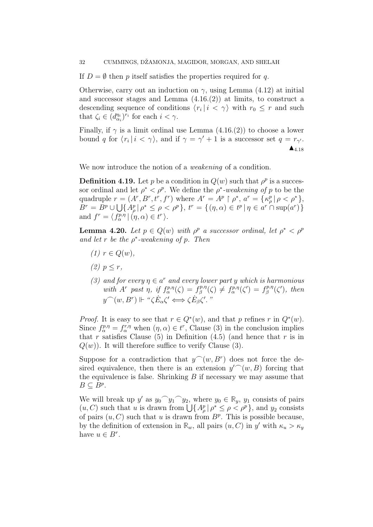If  $D = \emptyset$  then p itself satisfies the properties required for q.

Otherwise, carry out an induction on  $\gamma$ , using Lemma (4.12) at initial and successor stages and Lemma  $(4.16.2)$  at limits, to construct a descending sequence of conditions  $\langle r_i | i \langle \gamma \rangle$  with  $r_0 \leq r$  and such that  $\zeta_i \in (d_{\alpha_i}^{\eta_i})^{r_i}$  for each  $i < \gamma$ .

Finally, if  $\gamma$  is a limit ordinal use Lemma (4.16.(2)) to choose a lower bound q for  $\langle r_i | i \langle \gamma \rangle$ , and if  $\gamma = \gamma' + 1$  is a successor set  $q = r_{\gamma'}$ .  $\blacktriangle_{4.18}$ 

We now introduce the notion of a *weakening* of a condition.

**Definition 4.19.** Let p be a condition in  $Q(w)$  such that  $\rho^p$  is a successor ordinal and let  $\rho^* < \rho^p$ . We define the  $\rho^*$ -weakening of p to be the quadruple  $r = (A^r, B^r, t^r, f^r)$  where  $A^r = A^p \upharpoonright \rho^*, a^r = {\{\kappa_\rho^p \mid \rho < \rho^*\}}$ ,  $B^{r} = B^{p} \cup \bigcup \{ A^{p}_{\rho} | \rho^{*} \leq \rho < \rho^{p} \}, t^{r} = \{ (\eta, \alpha) \in t^{p} | \eta \in a^{r} \cap \sup(a^{r}) \}$ and  $f^r = \langle f^{p,\eta}_\alpha | (\eta, \alpha) \in t^r \rangle$ .

**Lemma 4.20.** Let  $p \in Q(w)$  with  $\rho^p$  a successor ordinal, let  $\rho^* < \rho^p$ and let r be the  $\rho^*$ -weakening of p. Then

- $(1)$   $r \in Q(w)$ ,
- (2)  $p \leq r$ ,
- (3) and for every  $\eta \in a^r$  and every lower part y which is harmonious with  $A^r$  past  $\eta$ , if  $f_{\alpha}^{p,\eta}(\zeta) = f_{\beta}^{p,\eta}$  $f_{\beta}^{p,\eta}(\zeta) \neq f_{\alpha}^{p,\eta}(\zeta') = f_{\beta}^{p,\eta}$  $\int_{\beta}^{p,\eta}(\zeta')$ , then  $y^{\frown}(w, B^r) \Vdash \text{``}\zeta E_\alpha \zeta' \Longleftrightarrow \zeta E_\beta \zeta'.$

*Proof.* It is easy to see that  $r \in Q^*(w)$ , and that p refines r in  $Q^*(w)$ . Since  $f_{\alpha}^{p,\eta} = f_{\alpha}^{r,\eta}$  when  $(\eta, \alpha) \in t^r$ , Clause (3) in the conclusion implies that r satisfies Clause (5) in Definition (4.5) (and hence that r is in  $Q(w)$ ). It will therefore suffice to verify Clause (3).

Suppose for a contradiction that  $y^{\frown}(w, B^r)$  does not force the desired equivalence, then there is an extension  $y^{\prime\frown}(w, B)$  forcing that the equivalence is false. Shrinking  $B$  if necessary we may assume that  $B \subseteq B^p$ .

We will break up y' as  $y_0 \hat{y}_1 \hat{y}_2$ , where  $y_0 \in \mathbb{R}_y$ ,  $y_1$  consists of pairs  $(u, C)$  such that u is drawn from  $\bigcup \{ A_\rho^p \mid \rho^* \leq \rho < \rho^p \}$ , and  $y_2$  consists of pairs  $(u, C)$  such that u is drawn from  $B<sup>p</sup>$ . This is possible because, by the definition of extension in  $\mathbb{R}_w$ , all pairs  $(u, C)$  in y' with  $\kappa_u > \kappa_y$ have  $u \in B^r$ .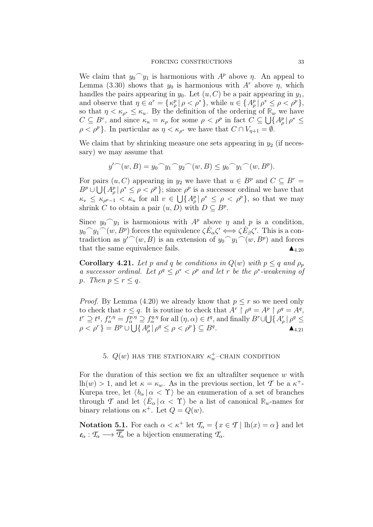We claim that  $y_0 \gamma_{1}$  is harmonious with  $A^p$  above  $\eta$ . An appeal to Lemma (3.30) shows that  $y_0$  is harmonious with  $A^r$  above  $\eta$ , which handles the pairs appearing in  $y_0$ . Let  $(u, C)$  be a pair appearing in  $y_1$ , and observe that  $\eta \in a^r = {\kappa_\rho^p | \rho < \rho^* }$ , while  $u \in {\Delta_\rho^p | \rho^* \leq \rho < \rho^p }$ , so that  $\eta < \kappa_{\rho^*} \leq \kappa_u$ . By the definition of the ordering of  $\mathbb{R}_w$  we have  $C \subseteq B^r$ , and since  $\kappa_u = \kappa_\rho$  for some  $\rho < \rho^p$  in fact  $C \subseteq \bigcup \{A_\rho^p | \rho^* \leq \rho^* \}$  $\rho < \rho^p$ . In particular as  $\eta < \kappa_{\rho^*}$  we have that  $C \cap V_{\eta+1} = \emptyset$ .

We claim that by shrinking measure one sets appearing in  $y_2$  (if necessary) we may assume that

$$
y' (w, B) = y_0 y_1 y_2 (w, B) \le y_0 y_1 (w, B^p).
$$

For pairs  $(u, C)$  appearing in  $y_2$  we have that  $u \in B^p$  and  $C \subseteq B^r =$  $B^p \cup \bigcup \{A^p_\rho \mid \rho^* \leq \rho < \rho^p\};$  since  $\rho^p$  is a successor ordinal we have that  $\kappa_v \leq \kappa_{\rho^{p-1}} < \kappa_u$  for all  $v \in \bigcup \{A_\rho^p | \rho^* \leq \rho < \rho^p\}$ , so that we may shrink C to obtain a pair  $(u, D)$  with  $D \subseteq B^p$ .

Since  $y_0 \gamma_1$  is harmonious with  $A^p$  above  $\eta$  and  $p$  is a condition,  $y_0 \sim y_1 \sim (w, B^p)$  forces the equivalence  $\zeta E_\alpha \zeta' \iff \zeta E_\beta \zeta'$ . This is a contradiction as  $y'^{\frown}(w, B)$  is an extension of  $y_0^{\frown} y_1^{\frown} (w, B^p)$  and forces that the same equivalence fails.  $\triangle_{4.20}$ 

**Corollary 4.21.** Let p and q be conditions in  $Q(w)$  with  $p \leq q$  and  $\rho_p$ a successor ordinal. Let  $\rho^q \leq \rho^* < \rho^p$  and let r be the  $\rho^*$ -weakening of p. Then  $p \leq r \leq q$ .

*Proof.* By Lemma (4.20) we already know that  $p \leq r$  so we need only to check that  $r \leq q$ . It is routine to check that  $A^r \restriction \rho^q = A^p \restriction \rho^q = A^q$ ,  $t^r \supseteq t^q, f^{r,\eta}_{\alpha} = f^{p,\eta}_{\alpha} \supseteq f^{q,\eta}_{\alpha}$  for all  $(\eta, \alpha) \in t^q$ , and finally  $B^r \cup \bigcup \{A^r_{\rho} | \rho^q \leq \eta \}$  $\rho < \rho^r$  } =  $B^p \cup \bigcup \{ A^p_\rho | \rho^q \leq \rho < \rho^p \} \subseteq B^q$ .

# 5.  $Q(w)$  has the stationary  $\kappa_w^+$ -Chain condition

For the duration of this section we fix an ultrafilter sequence  $w$  with lh $(w) > 1$ , and let  $\kappa = \kappa_w$ . As in the previous section, let T be a  $\kappa^+$ -Kurepa tree, let  $\langle b_{\alpha} | \alpha < \Upsilon \rangle$  be an enumeration of a set of branches through *T* and let  $\langle E_\alpha | \alpha < \Upsilon \rangle$  be a list of canonical  $\mathbb{R}_w$ -names for binary relations on  $\kappa^+$ . Let  $Q = Q(w)$ .

Notation 5.1. For each  $\alpha < \kappa^+$  let  $\mathcal{T}_\alpha = \{x \in \mathcal{T} \mid \text{lh}(x) = \alpha\}$  and let  $e_{\alpha}: \mathcal{T}_{\alpha} \longrightarrow \overline{\mathcal{T}_{\alpha}}$  be a bijection enumerating  $\mathcal{T}_{\alpha}$ .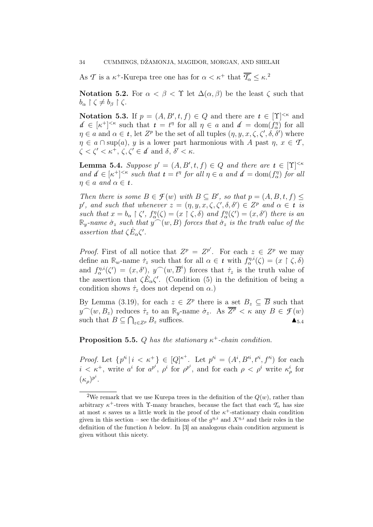As *T* is a  $\kappa^+$ -Kurepa tree one has for  $\alpha < \kappa^+$  that  $\overline{T_\alpha} \leq \kappa$ <sup>2</sup>

Notation 5.2. For  $\alpha < \beta < \Upsilon$  let  $\Delta(\alpha, \beta)$  be the least  $\zeta$  such that  $b_{\alpha} \restriction \zeta \neq b_{\beta} \restriction \zeta.$ 

**Notation 5.3.** If  $p = (A, B', t, f) \in Q$  and there are  $t \in [Y]^{< \kappa}$  and  $d \in [\kappa^+]^{<\kappa}$  such that  $t = t^{\eta}$  for all  $\eta \in a$  and  $d = \text{dom}(f_{\alpha}^{\eta})$  for all  $\eta \in a$  and  $\alpha \in t$ , let  $Z^p$  be the set of all tuples  $(\eta, y, x, \zeta, \zeta', \delta, \delta')$  where  $\eta \in a \cap \text{sup}(a)$ , y is a lower part harmonious with A past  $\eta, x \in \mathcal{T}$ ,  $\zeta < \zeta' < \kappa^+, \, \zeta, \zeta' \in \mathcal{d}$  and  $\delta, \, \delta' < \kappa$ .

**Lemma 5.4.** Suppose  $p' = (A, B', t, f) \in Q$  and there are  $t \in [\Upsilon]^{< \kappa}$ and  $d \in [\kappa^+]^{<\kappa}$  such that  $t = t^{\eta}$  for all  $\eta \in a$  and  $d = \text{dom}(f_{\alpha}^{\eta})$  for all  $\eta \in a$  and  $\alpha \in t$ .

Then there is some  $B \in \mathcal{F}(w)$  with  $B \subseteq B'$ , so that  $p = (A, B, t, f) \leq$ p', and such that whenever  $z = (\eta, y, x, \zeta, \zeta', \delta, \delta') \in Z^p$  and  $\alpha \in t$  is such that  $x = b_{\alpha} \restriction \zeta'$ ,  $f_{\alpha}^{\eta}(\zeta) = (x \restriction \zeta, \delta)$  and  $f_{\alpha}^{\eta}(\zeta') = (x, \delta')$  there is an  $\mathbb{R}_y$ -name  $\dot{\sigma}_z$  such that  $y^{\frown}(w, B)$  forces that  $\dot{\sigma}_z$  is the truth value of the assertion that  $\zeta \dot{E}_{\alpha} \zeta'$ .

*Proof.* First of all notice that  $Z^p = Z^{p'}$ . For each  $z \in Z^p$  we may define an  $\mathbb{R}_w$ -name  $\dot{\tau}_z$  such that for all  $\alpha \in t$  with  $f_{\alpha}^{\eta,i}(\zeta) = (x \restriction \zeta, \delta)$ and  $f_{\alpha}^{\eta,i}(\zeta') = (x,\delta'), \ y^\frown(w,\overline{B}^i)$  forces that  $\dot{\tau}_z$  is the truth value of the assertion that  $\zeta E_{\alpha} \zeta'$ . (Condition (5) in the definition of being a condition shows  $\dot{\tau}_z$  does not depend on  $\alpha$ .)

By Lemma (3.19), for each  $z \in \mathbb{Z}^p$  there is a set  $B_z \subseteq \overline{B}$  such that  $y^{\frown}(w, B_z)$  reduces  $\dot{\tau}_z$  to an  $\mathbb{R}_y$ -name  $\dot{\sigma}_z$ . As  $\overline{\overline{Z^p}} < \kappa$  any  $B \in \mathcal{F}(w)$ such that  $B \subseteq \bigcap_{z \in Z^p} B_z$  suffices.

**Proposition 5.5.** Q has the stationary  $\kappa^+$ -chain condition.

*Proof.* Let  $\{p'^i \mid i \leq \kappa^+\}\in [Q]^{\kappa^+}$ . Let  $p'^i = (A^i, B'^i, t'^i, f'^i)$  for each  $i < \kappa^+$ , write  $a^i$  for  $a^{p^i}$ ,  $\rho^i$  for  $\rho^{p^i}$ , and for each  $\rho < \rho^i$  write  $\kappa^i_\rho$  for  $(\kappa_\rho)^{p^i}.$ 

<sup>&</sup>lt;sup>2</sup>We remark that we use Kurepa trees in the definition of the  $Q(w)$ , rather than arbitrary  $\kappa^+$ -trees with  $\Upsilon$ -many branches, because the fact that each  $\mathcal{T}_{\alpha}$  has size at most  $\kappa$  saves us a little work in the proof of the  $\kappa^+$ -stationary chain condition given in this section – see the definitions of the  $g^{\eta,i}$  and  $X^{\eta,i}$  and their roles in the definition of the function  $h$  below. In  $[3]$  an analogous chain condition argument is given without this nicety.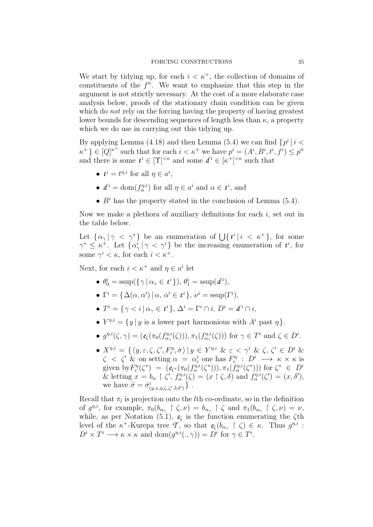We start by tidying up, for each  $i < \kappa^+$ , the collection of domains of constituents of the  $f'^i$ . We want to emphasize that this step in the argument is not strictly necessary. At the cost of a more elaborate case analysis below, proofs of the stationary chain condition can be given which do *not* rely on the forcing having the property of having greatest lower bounds for descending sequences of length less than  $\kappa$ , a property which we do use in carrying out this tidying up.

By applying Lemma (4.18) and then Lemma (5.4) we can find  $\{p^i \mid i \leq j \}$  $\kappa^+$ }  $\in [Q]^{\kappa^+}$  such that for each  $i < \kappa^+$  we have  $p^i = (A^i, B^i, t^i, f^i) \leq p'^i$ and there is some  $t^i \in [\Upsilon]^{<\kappa}$  and some  $d^i \in [\kappa^+]^{<\kappa}$  such that

- $t^i = t^{\eta,i}$  for all  $\eta \in a^i$ ,
- $d^i = \text{dom}(f_{\alpha}^{\eta,i})$  for all  $\eta \in a^i$  and  $\alpha \in t^i$ , and
- $B<sup>i</sup>$  has the property stated in the conclusion of Lemma (5.4).

Now we make a plethora of auxiliary definitions for each  $i$ , set out in the table below.

Let  $\{\alpha_{\gamma} | \gamma \leq \gamma^*\}$  be an enumeration of  $\bigcup \{t^i | i \leq \kappa^+\}$ , for some  $\gamma^* \leq \kappa^+$ . Let  $\{\alpha^i_\gamma \mid \gamma < \gamma^i\}$  be the increasing enumeration of  $t^i$ , for some  $\gamma^i < \kappa$ , for each  $i < \kappa^+$ .

Next, for each  $i < \kappa^+$  and  $\eta \in a^i$  let

- $\theta_0^i = \text{ssup}(\{\gamma \mid \alpha_\gamma \in t^i\}), \theta_1^i = \text{ssup}(d^i),$
- $\Gamma^i = {\Delta(\alpha, \alpha') | \alpha, \alpha' \in t^i}, \nu^i = \text{ssup}(\Gamma^i),$
- $\bullet$   $T^i = \{ \gamma < i \, | \, \alpha_\gamma \in \mathcal{t}^i \}, \, \Delta^i = \Gamma^i \cap i, \, D^i = \mathcal{d}^i \cap i,$
- $Y^{\eta,i} = \{y \mid y \text{ is a lower part harmonious with } A^i \text{ past } \eta\}.$
- $g^{\eta,i}(\zeta,\gamma) = (e_{\zeta}(\pi_0(f_{\alpha_{\gamma}}^{\eta,i}(\zeta))), \pi_1(f_{\alpha_{\gamma}}^{\eta,i}(\zeta)))$  for  $\gamma \in T^i$  and  $\zeta \in D^i$ .
- $X^{\eta,i} = \{ \langle y, \varepsilon, \zeta, \zeta', F_{\varepsilon}^{\eta}, \dot{\sigma} \rangle \, | \, y \in Y^{\eta,i} \; \& \; \varepsilon < \gamma^i \; \& \; \zeta, \zeta' \in D^i \; \& \;$  $\zeta \prec \zeta' \& \text{ on setting } \alpha = \alpha_{\varepsilon}^i \text{ one has } F_{\varepsilon}^{\eta} : D^i \longrightarrow \kappa \times \kappa \text{ is }$ given by  $F_{\varepsilon}^{\eta}(\zeta^*) = (e_{\zeta^*}(\pi_0(f_{\alpha}^{\eta,i}(\zeta^*))), \pi_1(f_{\alpha}^{\eta,i}(\zeta^*)))$  for  $\zeta^* \in D^i$ & letting  $x = b_{\alpha} \restriction \zeta', f_{\alpha}^{\eta,i}(\zeta) = (x \restriction \zeta, \delta)$  and  $f_{\alpha}^{\eta,i}(\zeta') = (x, \delta')$ , we have  $\dot{\sigma} = \dot{\sigma}^i_{(y,x,\eta,\zeta,\zeta',\delta,\delta')}$ .

Recall that  $\pi_l$  is projection onto the *l*th co-ordinate, so in the definition of  $g^{\eta,i}$ , for example,  $\pi_0(b_{\alpha_\gamma} \upharpoonright \zeta, \nu) = b_{\alpha_\gamma} \upharpoonright \zeta$  and  $\pi_1(b_{\alpha_\gamma} \upharpoonright \zeta, \nu) = \nu$ , while, as per Notation (5.1),  $e<sub>c</sub>$  is the function enumerating the  $\zeta$ th level of the  $\kappa^+$ -Kurepa tree *T*, so that  $e_\zeta(b_{\alpha_\gamma} \restriction \zeta) \in \kappa$ . Thus  $g^{\eta,i}$ :  $D^i \times T^i \longrightarrow \kappa \times \kappa$  and  $dom(g^{\eta,i}(\cdot,\gamma)) = D^i$  for  $\gamma \in T^i$ .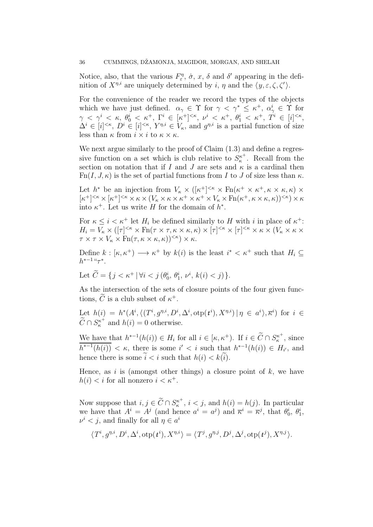Notice, also, that the various  $F_{\varepsilon}^{\eta}$ ,  $\dot{\sigma}$ ,  $x$ ,  $\delta$  and  $\delta'$  appearing in the definition of  $X^{\eta,i}$  are uniquely determined by i,  $\eta$  and the  $\langle y, \varepsilon, \zeta, \zeta' \rangle$ .

For the convenience of the reader we record the types of the objects which we have just defined.  $\alpha_{\gamma} \in \Upsilon$  for  $\gamma < \gamma^* \leq \kappa^+$ ,  $\alpha_{\gamma}^i \in \Upsilon$  for  $\gamma \ < \ \gamma^i \ < \ \kappa, \ \theta^i_0 \ < \ \kappa^+, \ \Gamma^i \ \in \ [\kappa^+]^{<\kappa}, \ \nu^i \ < \ \kappa^+, \ \theta^i_1 \ < \ \kappa^+, \ T^i \ \in \ [i]^{<\kappa},$  $\Delta^i \in [i]^{<\kappa}, D^i \in [i]^{<\kappa}, Y^{\eta,i} \in V_\kappa$ , and  $g^{\eta,i}$  is a partial function of size less than  $\kappa$  from  $i \times i$  to  $\kappa \times \kappa$ .

We next argue similarly to the proof of Claim  $(1.3)$  and define a regressive function on a set which is club relative to  $S_{\kappa}^{\kappa^+}$  $\kappa^{\kappa^+}$ . Recall from the section on notation that if I and J are sets and  $\kappa$  is a cardinal then  $Fn(I, J, \kappa)$  is the set of partial functions from I to J of size less than  $\kappa$ .

Let  $h^*$  be an injection from  $V_{\kappa} \times ([\kappa^+]^{<\kappa} \times \text{Fn}(\kappa^+ \times \kappa^+, \kappa \times \kappa, \kappa) \times$  $[\kappa^+]^{<\kappa} \times [\kappa^+]^{<\kappa} \times \kappa \times (V_\kappa \times \kappa \times \kappa^+ \times \kappa^+ \times V_\kappa \times \mathrm{Fn}(\kappa^+, \kappa \times \kappa, \kappa))^{<\kappa}) \times \kappa$ into  $\kappa^+$ . Let us write H for the domain of  $h^*$ .

For  $\kappa \leq i < \kappa^+$  let  $H_i$  be defined similarly to H with i in place of  $\kappa^+$ :  $H_i = V_{\kappa} \times ([\tau]^{<\kappa} \times \text{Fn}(\tau \times \tau, \kappa \times \kappa, \kappa) \times [\tau]^{<\kappa} \times [\tau]^{<\kappa} \times \kappa \times (V_{\kappa} \times \kappa \times$  $\tau \times \tau \times V_{\kappa} \times \text{Fn}(\tau, \kappa \times \kappa, \kappa))^{<\kappa} \times \kappa.$ 

Define  $k : [\kappa, \kappa^+) \longrightarrow \kappa^+$  by  $k(i)$  is the least  $i^* < \kappa^+$  such that  $H_i \subseteq$  $h^{*-1}$ " $\tau^*$ .

Let 
$$
\tilde{C} = \{ j < \kappa^+ \, | \, \forall i < j \, (\theta_0^i, \, \theta_1^i, \, \nu^i, \, k(i) < j) \}.
$$

As the intersection of the sets of closure points of the four given functions,  $\tilde{C}$  is a club subset of  $\kappa^+$ .

Let  $h(i) = h^*(A^i, \langle (T^i, g^{\eta,i}, D^i, \Delta^i, \text{otp}(t^i), X^{\eta,i}) | \eta \in a^i \rangle, \overline{\kappa}^i)$  for  $i \in$  $\widetilde{C} \cap S^{\kappa^+}_\kappa$  $\kappa_{\kappa}^{i \kappa^{+}}$  and  $h(i) = 0$  otherwise.

We have that  $h^{*-1}(h(i)) \in H_i$  for all  $i \in [\kappa, \kappa^+]$ . If  $i \in \widetilde{C} \cap S_{\kappa}^{\kappa^+}$  $\kappa^{\kappa^+}$ , since  $\overline{h^{*-1}(h(i))} < \kappa$ , there is some  $i' < i$  such that  $h^{*-1}(h(i)) \in H_{i'}$ , and hence there is some  $\tilde{i} < i$  such that  $h(i) < k(\tilde{i})$ .

Hence, as i is (amongst other things) a closure point of  $k$ , we have  $h(i) < i$  for all nonzero  $i < \kappa^+$ .

Now suppose that  $i, j \in \widetilde{C} \cap S_{\kappa}^{\kappa^+}$  $\kappa^{\kappa^+}$ ,  $i < j$ , and  $h(i) = h(j)$ . In particular we have that  $A^i = A^j$  (and hence  $a^i = a^j$ ) and  $\overline{\kappa}^i = \overline{\kappa}^j$ , that  $\theta_0^i$ ,  $\theta_1^i$ ,  $\nu^i < j$ , and finally for all  $\eta \in a^i$ 

$$
\langle T^i, g^{\eta,i}, D^i, \Delta^i, \text{otp}(t^i), X^{\eta,i} \rangle = \langle T^j, g^{\eta,j}, D^j, \Delta^j, \text{otp}(t^j), X^{\eta,j} \rangle.
$$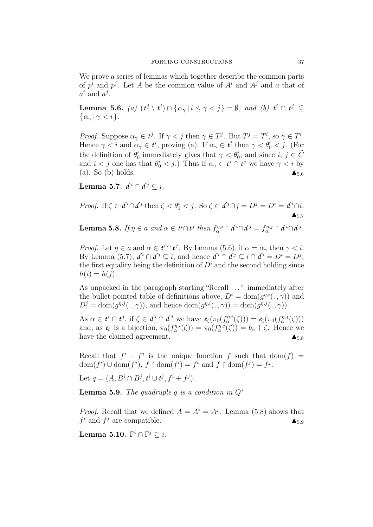We prove a series of lemmas which together describe the common parts of  $p^i$  and  $p^j$ . Let A be the common value of  $A^i$  and  $A^j$  and a that of  $a^i$  and  $a^j$ .

Lemma 5.6. (a)  $(t^j \setminus t^i) \cap \{ \alpha_\gamma \mid i \leq \gamma < j \} = \emptyset$ , and (b)  $t^i \cap t^j \subseteq$  $\{\alpha_{\gamma} | \gamma < i\}.$ 

*Proof.* Suppose  $\alpha_{\gamma} \in t^{j}$ . If  $\gamma < j$  then  $\gamma \in T^{j}$ . But  $T^{j} = T^{i}$ , so  $\gamma \in T^{i}$ . Hence  $\gamma < i$  and  $\alpha_{\gamma} \in t^i$ , proving (a). If  $\alpha_{\gamma} \in t^i$  then  $\gamma < \theta_0^i < j$ . (For the definition of  $\theta_0^i$  immediately gives that  $\gamma < \theta_0^i$ ; and since  $i, j \in C$ and  $i < j$  one has that  $\theta_0^i < j$ .) Thus if  $\alpha_\gamma \in t^i \cap t^j$  we have  $\gamma < i$  by (a). So (b) holds.  $\blacktriangle_{5.6}$ 

Lemma 5.7.  $d^i \cap d^j \subseteq i$ .

*Proof.* If 
$$
\zeta \in d^i \cap d^j
$$
 then  $\zeta < \theta_1^i < j$ . So  $\zeta \in d^j \cap j = D^j = D^i = d^i \cap i$ .

Lemma 5.8. If  $\eta \in a$  and  $\alpha \in t^i \cap t^j$  then  $f_{\alpha}^{\eta,i} \restriction d^i \cap d^j = f_{\alpha}^{\eta,j} \restriction d^i \cap d^j$ .

*Proof.* Let  $\eta \in a$  and  $\alpha \in t^i \cap t^j$ . By Lemma (5.6), if  $\alpha = \alpha_\gamma$  then  $\gamma < i$ . By Lemma (5.7),  $d^i \cap d^j \subseteq i$ , and hence  $d^i \cap d^j \subseteq i \cap d^i = D^i = D^j$ , the first equality being the definition of  $D^i$  and the second holding since  $h(i) = h(j).$ 

As unpacked in the paragraph starting "Recall . . . " immediately after the bullet-pointed table of definitions above,  $D^i = \text{dom}(g^{\eta,i}(\cdot,\gamma))$  and  $D^j = \text{dom}(g^{\eta, j}(\cdot, \gamma))$ , and hence  $\text{dom}(g^{\eta, i}(\cdot, \gamma)) = \text{dom}(g^{\eta, j}(\cdot, \gamma))$ .

As  $\alpha \in t^i \cap t^j$ , if  $\zeta \in d^i \cap d^j$  we have  $e_{\zeta}(\pi_0(f_{\alpha}^{\eta,i}(\zeta))) = e_{\zeta}(\pi_0(f_{\alpha}^{\eta,j}(\zeta)))$ and, as  $e_{\zeta}$  is a bijection,  $\pi_0(f_{\alpha}^{\eta,i}(\zeta)) = \pi_0(f_{\alpha}^{\eta,j}(\zeta)) = b_{\alpha} \upharpoonright \zeta$ . Hence we have the claimed agreement.  $\triangle$ <sub>5.8</sub>

Recall that  $f^i + f^j$  is the unique function f such that  $dom(f)$  $dom(f^i) \cup dom(f^j), f \restriction dom(f^i) = f^i \text{ and } f \restriction dom(f^j) = f^j.$ 

Let  $q = (A, B^i \cap B^j, t^i \cup t^j, f^i + f^j).$ 

**Lemma 5.9.** The quadruple q is a condition in  $Q^*$ .

*Proof.* Recall that we defined  $A = A^{i} = A^{j}$ . Lemma (5.8) shows that  $f^i$  and  $f^j$  are compatible.

Lemma 5.10.  $\Gamma^i\cap \Gamma^j\subseteq i.$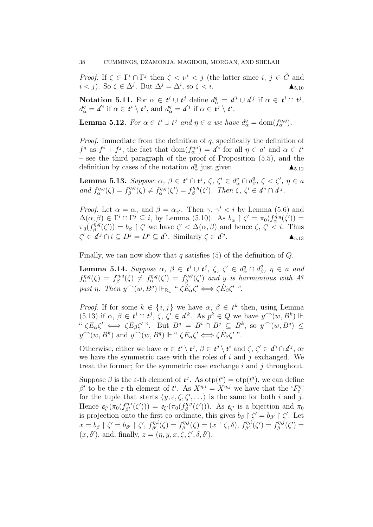*Proof.* If  $\zeta \in \Gamma^i \cap \Gamma^j$  then  $\zeta \leq \nu^i \leq j$  (the latter since  $i, j \in \tilde{C}$  and  $i < j$ ). So  $\zeta \in \Delta^j$ . But  $\Delta^j = \Delta^i$ , so  $\zeta < i$ .

Notation 5.11. For  $\alpha \in t^i \cup t^j$  define  $d^q_\alpha = d^i \cup d^j$  if  $\alpha \in t^i \cap t^j$ ,  $d^q_\alpha = d^i$  if  $\alpha \in t^i \setminus t^j$ , and  $d^q_\alpha = d^j$  if  $\alpha \in t^j \setminus t^i$ .

**Lemma 5.12.** For  $\alpha \in t^i \cup t^j$  and  $\eta \in a$  we have  $d^q_\alpha = \text{dom}(f^{\eta,q}_\alpha)$ .

*Proof.* Immediate from the definition of  $q$ , specifically the definition of  $f^q$  as  $f^i + f^j$ , the fact that  $dom(f^{n,i}_{\alpha}) = d^i$  for all  $\eta \in a^i$  and  $\alpha \in t^i$ – see the third paragraph of the proof of Proposition (5.5), and the definition by cases of the notation  $d_{\alpha}^{q}$  just given.

Lemma 5.13. Suppose  $\alpha, \beta \in t^i \cap t^j$ ,  $\zeta, \zeta' \in d^q_\alpha \cap d^q_\beta$  $\zeta^q, \zeta < \zeta', \eta \in a$ and  $f_{\alpha}^{\eta,q}(\zeta) = f_{\beta}^{\eta,q}$  $f_{\beta}^{\eta,q}(\zeta) \neq f_{\alpha}^{\eta,q}(\zeta') = f_{\beta}^{\eta,q}$ <sup>*n*<sub>*A*</sub> $\alpha$ </sup>( $\zeta'$ ). Then  $\zeta$ ,  $\zeta' \in d^i \cap d^j$ .

*Proof.* Let  $\alpha = \alpha_{\gamma}$  and  $\beta = \alpha_{\gamma'}$ . Then  $\gamma$ ,  $\gamma' < i$  by Lemma (5.6) and  $\Delta(\alpha, \beta) \in \Gamma^i \cap \Gamma^j \subseteq i$ , by Lemma (5.10). As  $b_\alpha \restriction \zeta' = \pi_0(f_\alpha^{\eta, q}(\zeta')) =$  $\pi_0(f_\beta^{\eta,q})$  $\zeta_{\beta}^{n,q}(\zeta')=b_{\beta}\restriction \zeta'$  we have  $\zeta'<\Delta(\alpha,\beta)$  and hence  $\zeta, \ \zeta'. Thus$  $\zeta' \in \mathcal{d}^j \cap i \subseteq D^j = D^i \subseteq \mathcal{d}^i$ . Similarly  $\zeta \in \mathcal{d}^j$  $\blacktriangle_{5.13}$ 

Finally, we can now show that q satisfies (5) of the definition of  $Q$ .

Lemma 5.14. Suppose  $\alpha$ ,  $\beta$  ∈  $t^i$  ∪  $t^j$ , ζ, ζ' ∈  $d^q_\alpha \cap d^q_\beta$  $\eta^q_{\beta}, \ \eta \, \in \, a \ \ and$  $f_{\alpha}^{\eta,q}(\zeta) = f_{\beta}^{\eta,q}$  $f_{\beta}^{\eta,q}(\zeta) \neq f_{\alpha}^{\eta,q}(\zeta') = f_{\beta}^{\eta,q}$  $\hat{\mathcal{C}}_\beta^{\eta,q}(\zeta')$  and y is harmonious with  $A^q$ past  $\eta$ . Then  $y^{\frown}(w, B^q) \Vdash_{\mathbb{R}_w}$  " $\zeta E_{\alpha} \zeta' \Longleftrightarrow \zeta E_{\beta} \zeta'$  ".

*Proof.* If for some  $k \in \{i, j\}$  we have  $\alpha, \beta \in t^k$  then, using Lemma (5.13) if  $\alpha, \beta \in t^i \cap t^j, \zeta, \zeta' \in d^k$ . As  $p^k \in Q$  we have  $y^{\frown}(w, B^k)$   $\Vdash$  $\langle E_{\alpha}\zeta'\iff \zeta E_{\beta}\zeta'\right.^{n}$ . But  $B^q = B^i \cap B^j \subseteq B^k$ , so  $y^{\frown}(w, B^q) \leq$  $y^{\frown}(w, B^k)$  and  $y^{\frown}(w, B^q) \Vdash " \zeta \dot{E}_{\alpha} \zeta' \Longleftrightarrow \zeta \dot{E}_{\beta} \zeta' "$ .

Otherwise, either we have  $\alpha \in t^i \setminus t^j$ ,  $\beta \in t^j \setminus t^i$  and  $\zeta, \zeta' \in d^i \cap d^j$ , or we have the symmetric case with the roles of  $i$  and  $j$  exchanged. We treat the former; for the symmetric case exchange  $i$  and  $j$  throughout.

Suppose  $\beta$  is the  $\varepsilon$ -th element of  $t^j$ . As  $otp(t^i) = otp(t^j)$ , we can define β' to be the ε-th element of  $t^i$ . As  $X^{\eta,i} = X^{\eta,j}$  we have that the ' $F_{\varepsilon}^{\eta,\eta}$ ' be the s-th element of  $i$ . As  $A^m = A^m$  we have that the  $T_{\varepsilon}$  for the tuple that starts  $\langle y, \varepsilon, \zeta, \zeta', \ldots \rangle$  is the same for both i and j. Hence  $e_{\zeta'}(\pi_0(f_{\beta'}^{\eta,i}(\zeta'))) = e_{\zeta'}(\pi_0(f_{\beta}^{\eta,j}))$  $(\mathcal{C}'_{\beta}^{n,j}(\zeta'))$ . As  $e_{\zeta'}$  is a bijection and  $\pi_0$ is projection onto the first co-ordinate, this gives  $b_{\beta} \restriction \zeta' = b_{\beta'} \restriction \zeta'$ . Let  $x = b_{\beta} \restriction \zeta' = b_{\beta'} \restriction \zeta',\ f^{\eta,i}_{\beta'}(\zeta) = f^{\eta,j}_{\beta}$  $f_{\beta}^{\eta,j}(\zeta) = (x \restriction \zeta, \delta), f_{\beta'}^{\eta,i}(\zeta') = f_{\beta}^{\eta,j}$  $\zeta_\beta^{\eta,j}(\zeta')=$  $(x, \delta')$ , and, finally,  $z = (\eta, y, x, \zeta, \zeta', \delta, \delta').$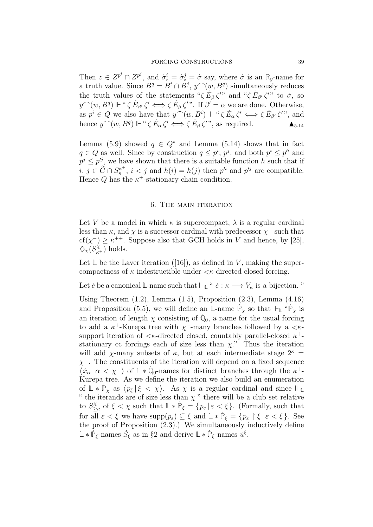Then  $z \in Z^{p^i} \cap Z^{p^j}$ , and  $\dot{\sigma}_z^i = \dot{\sigma}_z^j = \dot{\sigma}$  say, where  $\dot{\sigma}$  is an  $\mathbb{R}_y$ -name for a truth value. Since  $B^q = \overset{\circ}{B}{}^i \cap \overset{\circ}{B}{}^j$ ,  $y^{\frown}(w, B^q)$  simultaneously reduces the truth values of the statements " $\zeta E_{\beta} \zeta''$  and " $\zeta E_{\beta'} \zeta''$ " to  $\dot{\sigma}$ , so  $y^{\frown}(w, B^q) \Vdash "\zeta \dot{E}_{\beta'} \zeta' \Longleftrightarrow \zeta \dot{E}_{\beta} \zeta'"$ . If  $\beta' = \alpha$  we are done. Otherwise, as  $p^i \in Q$  we also have that  $y^{\frown}(w, B^i) \Vdash " \zeta \dot{E}_{\alpha} \zeta' \Longleftrightarrow \zeta \dot{E}_{\beta'} \zeta''$ , and hence  $y^{\frown}(w, B^q) \Vdash "\zeta E_\alpha \zeta' \Longleftrightarrow \zeta E_\beta \zeta'",$  as required.

Lemma (5.9) showed  $q \in Q^*$  and Lemma (5.14) shows that in fact  $q \in Q$  as well. Since by construction  $q \leq p^i$ ,  $p^j$ , and both  $p^i \leq p'^i$  and  $p^j \leq p'^j$ , we have shown that there is a suitable function h such that if  $i, j \in \widetilde{C} \cap S_{\kappa}^{\kappa^+}$  $\kappa^{\kappa^+}$ ,  $i < j$  and  $h(i) = h(j)$  then  $p'^i$  and  $p'^j$  are compatible. Hence  $Q$  has the  $\kappa^+$ -stationary chain condition.

## 6. The main iteration

Let V be a model in which  $\kappa$  is supercompact,  $\lambda$  is a regular cardinal less than  $\kappa$ , and  $\chi$  is a successor cardinal with predecessor  $\chi$ <sup>-</sup> such that  $cf(\chi^-) \geq \kappa^{++}$ . Suppose also that GCH holds in V and hence, by [25],  $\mathcal{L}_{\chi}(S_{\kappa+}^{\chi})$  holds.

Let  $\mathbb L$  be the Laver iteration ([16]), as defined in V, making the supercompactness of  $\kappa$  indestructible under  $\langle \kappa \rangle$ -directed closed forcing.

Let *e* be a canonical L-name such that  $\Vdash_{\mathbb{L}}$  "  $\dot{e}: \kappa \longrightarrow V_{\kappa}$  is a bijection."

Using Theorem  $(1.2)$ , Lemma  $(1.5)$ , Proposition  $(2.3)$ , Lemma  $(4.16)$ and Proposition (5.5), we will define an **L**-name  $\hat{\mathbb{P}}_{\chi}$  so that  $\mathbb{P}_{\mathbb{L}}$  " $\hat{\mathbb{P}}_{\chi}$  is an iteration of length  $\chi$  consisting of  $\dot{\mathbb{Q}}_0$ , a name for the usual forcing to add a  $\kappa^+$ -Kurepa tree with  $\chi^-$ -many branches followed by a  $\lt \kappa$ support iteration of  $\lt\kappa$ -directed closed, countably parallel-closed  $\kappa^+$ stationary cc forcings each of size less than  $\chi$ ." Thus the iteration will add  $\chi$ -many subsets of  $\kappa$ , but at each intermediate stage  $2^{\kappa}$  =  $\chi$ <sup>-</sup>. The constituents of the iteration will depend on a fixed sequence  $\langle x_\alpha | \alpha < \chi \rangle$  of  $\mathbb{L} * \dot{\mathbb{Q}}_0$ -names for distinct branches through the  $\kappa^+$ -Kurepa tree. As we define the iteration we also build an enumeration of  $\mathbb{L} * \dot{\mathbb{P}}_{\chi}$  as  $\langle p_{\xi} | \xi \langle \chi \rangle$ . As  $\chi$  is a regular cardinal and since  $\mathbb{H}_{\mathbb{L}}$ " the iterands are of size less than  $\chi$ " there will be a club set relative to  $S^{\chi}$  $\sum_{\alpha=1}^{\infty}$  of  $\xi < \chi$  such that  $\mathbb{L} * \dot{\mathbb{P}}_{\xi} = \{p_{\varepsilon} | \varepsilon < \xi\}.$  (Formally, such that for all  $\varepsilon < \xi$  we have  $\text{supp}(p_{\varepsilon}) \subseteq \xi$  and  $\mathbb{L} * \dot{\mathbb{P}}_{\xi} = \{p_{\varepsilon} \restriction \xi \mid \varepsilon < \xi\}.$  See the proof of Proposition  $(2.3)$ .) We simultaneously inductively define  $\mathbb{L} * \dot{\mathbb{P}}_{\xi}$ -names  $\dot{S}_{\xi}$  as in §2 and derive  $\mathbb{L} * \dot{\mathbb{P}}_{\xi}$ -names  $\dot{u}^{\xi}$ .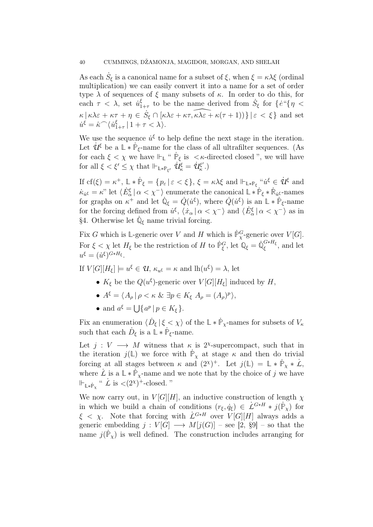As each  $\dot{S}_{\xi}$  is a canonical name for a subset of  $\xi$ , when  $\xi = \kappa \lambda \xi$  (ordinal multiplication) we can easily convert it into a name for a set of order type  $\lambda$  of sequences of  $\xi$  many subsets of  $\kappa$ . In order to do this, for each  $\tau < \lambda$ , set  $\dot{u}_1^{\xi}$  $S_{1+\tau}$  to be the name derived from  $\dot{S}_{\xi}$  for  $\{e^{i\theta}\}\eta$  <  $\kappa \left[ \kappa \lambda \varepsilon + \kappa \tau + \eta \in \dot{S}_{\xi} \cap \left[ \kappa \lambda \varepsilon + \kappa \tau, \widehat{\kappa \lambda \varepsilon} + \kappa (\tau + 1) \right] \right\} \left[ \varepsilon \langle \xi \rangle \right]$  and set  $\dot{u}^{\dot{\xi}} = \hat{\kappa}^{\hat{\ }}\langle\dot{u}_{1}^{\xi}\rangle$  $\frac{\xi}{1+\tau} | 1+\tau < \lambda \rangle.$ 

We use the sequence  $\dot{u}^{\xi}$  to help define the next stage in the iteration. Let  $\dot{\mathcal{U}}^{\xi}$  be a  $\mathbb{L} * \dot{\mathbb{P}}_{\xi}$ -name for the class of all ultrafilter sequences. (As for each  $\xi < \chi$  we have  $\Vdash_{\mathbb{L}}$  "  $\dot{\mathbb{P}}_{\xi}$  is  $\langle \kappa$ -directed closed ", we will have for all  $\xi < \xi' \leq \chi$  that  $\Vdash_{\mathbb{L} * \mathbb{P}_{\xi'}} \dot{\mathcal{U}}^{\xi}_{\kappa} = \dot{\mathcal{U}}^{\xi'}_{\kappa}$  $\binom{\xi'}{\kappa}$ .)

If  $cf(\xi) = \kappa^+, \ \mathbb{L} * \dot{\mathbb{P}}_{\xi} = \{p_{\varepsilon} \mid \varepsilon < \xi\}, \ \xi = \kappa \lambda \xi \text{ and } \Vdash_{\mathbb{L} * \mathbb{P}_{\xi}} "u^{\xi} \in \dot{\mathcal{U}}^{\xi} \text{ and }$  $\kappa_{\dot{u}\xi} = \kappa$ " let  $\langle \dot{E}_{\alpha}^{\xi} | \alpha \langle \chi \rangle$  enumerate the canonical  $\mathbb{L} * \dot{\mathbb{P}}_{\xi} * \dot{\mathbb{R}}_{\dot{u}\xi}$ -names for graphs on  $\kappa^+$  and let  $\dot{\mathbb{Q}}_{\xi} = \dot{Q}(\dot{u}^{\xi})$ , where  $\dot{Q}(\dot{u}^{\xi})$  is an  $\mathbb{L} * \dot{\mathbb{P}}_{\xi}$ -name for the forcing defined from  $u^{\xi}$ ,  $\langle x_{\alpha} | \alpha < \chi^{-} \rangle$  and  $\langle E_{\alpha}^{\xi} | \alpha < \chi^{-} \rangle$  as in §4. Otherwise let  $\dot{\mathbb{Q}}_{\xi}$  name trivial forcing.

Fix G which is L-generic over V and H which is  $\dot{P}_\chi^G$ -generic over  $V[G]$ . For  $\xi < \chi$  let  $H_{\xi}$  be the restriction of H to  $\dot{\mathbb{P}}_{\xi}^G$ , let  $\mathbb{Q}_{\xi} = \dot{\mathbb{Q}}_{\xi}^{G*H_{\xi}}$  $\zeta^{\mathbf{G} * \mathbf{H} \xi}$ , and let  $u^{\xi} = (\dot{u}^{\xi})^{G*H_{\xi}}.$ 

If  $V[G][H_{\xi}] \models u^{\xi} \in \mathcal{U}, \kappa_{u^{\xi}} = \kappa$  and  $\mathrm{lh}(u^{\xi}) = \lambda$ , let

- $K_{\xi}$  be the  $Q(u^{\xi})$ -generic over  $V[G][H_{\xi}]$  induced by H,
- $A^{\xi} = \langle A_{\rho} | \rho \langle \kappa \& \exists p \in K_{\xi} \; A_{\rho} = (A_{\rho})^p \rangle,$
- and  $a^{\xi} = \bigcup \{ a^p \mid p \in K_{\xi} \}.$

Fix an enumeration  $\langle \dot{D}_{\xi} | \xi \langle \chi \rangle$  of the  $\mathbb{L} * \dot{\mathbb{P}}_{\chi}$ -names for subsets of  $V_{\kappa}$ such that each  $\dot{D}_{\xi}$  is a  $\mathbb{L} * \dot{\mathbb{P}}_{\xi}$ -name.

Let  $j: V \longrightarrow M$  witness that  $\kappa$  is 2<sup>x</sup>-supercompact, such that in the iteration  $j(\mathbb{L})$  we force with  $\dot{\mathbb{P}}_{\chi}$  at stage  $\kappa$  and then do trivial forcing at all stages between  $\kappa$  and  $(2^{\chi})^+$ . Let  $j(\mathbb{L}) = \mathbb{L} * \dot{\mathbb{P}}_{\chi} * \dot{\mathcal{L}}$ , where  $\hat{L}$  is a  $\mathbb{L} * \dot{\mathbb{P}}_{\chi}$ -name and we note that by the choice of j we have  $\Vdash_{\mathbb{L} * \dot{\mathbb{P}}_\chi}$  "  $\dot{L}$  is  $\langle (2^{\chi})^+$ -closed. "

We now carry out, in  $V[G][H]$ , an inductive construction of length  $\chi$ in which we build a chain of conditions  $(r_{\xi}, \dot{q}_{\xi}) \in \dot{\mathcal{L}}^{G*H} * j(\dot{\mathbb{P}}_{\chi})$  for  $\xi \leq \chi$ . Note that forcing with  $\mathcal{L}^{G*H}$  over  $V[G][H]$  always adds a generic embedding  $j: V[G] \longrightarrow M[j(G)]$  – see [2, §9] – so that the name  $j(\dot{P}_\chi)$  is well defined. The construction includes arranging for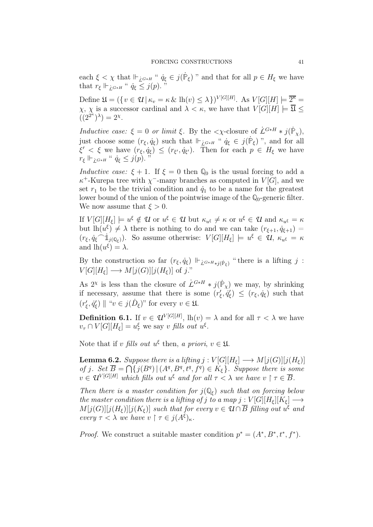each  $\xi < \chi$  that  $\Vdash_{\mathcal{L}^{G * H}}$ , " $\dot{q}_{\xi} \in j(\dot{P}_{\xi})$ " and that for all  $p \in H_{\xi}$  we have that  $r_{\xi} \Vdash_{\mathcal{L}^{G*H}} \text{`` } \dot{q}_{\xi} \leq j(p)$ .

Define  $\mathfrak{U} = (\{v \in \mathcal{U} \mid \kappa_v = \kappa \& \ln(v) \leq \lambda\})^{V[G][H]}$ . As  $V[G][H] \models \overline{2^{\kappa}} =$  $\chi$ ,  $\chi$  is a successor cardinal and  $\lambda < \kappa$ , we have that  $V[G][H] \models \overline{\mathfrak{A}} \leq$  $((2^{2^{\kappa}})^{\lambda}) = 2^{\chi}.$ 

Inductive case:  $\xi = 0$  or limit  $\xi$ . By the  $\langle \chi$ -closure of  $\dot{L}^{G*H} * j(\dot{P}_{\chi})$ , just choose some  $(r_{\xi}, \dot{q}_{\xi})$  such that  $\Vdash_{\underline{\dot{L}}^{G*H}} " \dot{q}_{\xi} \in j(\dot{\mathbb{P}}_{\xi})$ ", and for all  $\xi' < \xi$  we have  $(r_{\xi}, \dot{q}_{\xi}) \leq (r_{\xi'}, \dot{q}_{\xi'})$ . Then for each  $p \in H_{\xi}$  we have  $r_{\xi} \Vdash_{\mathcal{L}^{G * H}} \text{`` } \dot{q}_{\xi} \leq j(p).$ 

*Inductive case:*  $\xi + 1$ . If  $\xi = 0$  then  $\mathbb{Q}_0$  is the usual forcing to add a  $\kappa^+$ -Kurepa tree with  $\chi^-$ -many branches as computed in  $V[G]$ , and we set  $r_1$  to be the trivial condition and  $\dot{q}_1$  to be a name for the greatest lower bound of the union of the pointwise image of the  $\mathbb{Q}_0$ -generic filter. We now assume that  $\xi > 0$ .

If  $V[G][H_{\xi}] \models u^{\xi} \notin \mathcal{U}$  or  $u^{\xi} \in \mathcal{U}$  but  $\kappa_{u^{\xi}} \neq \kappa$  or  $u^{\xi} \in \mathcal{U}$  and  $\kappa_{u^{\xi}} = \kappa$ but  $\ln(u^{\xi}) \neq \lambda$  there is nothing to do and we can take  $(r_{\xi+1}, \dot{q}_{\xi+1}) =$  $(r_{\xi}, \dot{q}_{\xi} \hat{d}_{j(\mathbb{Q}_{\xi})})$ . So assume otherwise:  $V[G][H_{\xi}] \models u^{\xi} \in \mathcal{U}, \kappa_{u^{\xi}} = \kappa$ and  $\ln(u^{\xi}) = \lambda$ .

By the construction so far  $(r_{\xi}, \dot{q}_{\xi}) \Vdash_{\dot{L}^{G*H}*j(\dot{P}_{\xi})}$  "there is a lifting j:  $V[G][H_{\xi}] \longrightarrow M[j(G)][j(H_{\xi})]$  of j."

As  $2^{\chi}$  is less than the closure of  $\mathcal{L}^{G*H} * j(\dot{\mathbb{P}}_{\chi})$  we may, by shrinking if necessary, assume that there is some  $(r'_\xi, \dot{q}'_\xi) \leq (r_\xi, \dot{q}_\xi)$  such that  $(r'_{\xi}, \dot{q}'_{\xi}) \parallel "v \in j(\dot{D}_{\xi})"$  for every  $v \in \mathfrak{U}$ .

**Definition 6.1.** If  $v \in \mathcal{U}^{V[G][H]}$ ,  $lh(v) = \lambda$  and for all  $\tau < \lambda$  we have  $v_{\tau} \cap V[G][H_{\xi}] = u_{\tau}^{\xi}$  we say v fills out  $u^{\xi}$ .

Note that if v fills out  $u^{\xi}$  then, a priori,  $v \in \mathfrak{U}$ .

**Lemma 6.2.** Suppose there is a lifting  $j : V[G][H_{\xi}] \longrightarrow M[j(G)][j(H_{\xi})]$ of j. Set  $\overline{B} = \bigcap \{j(B^q) | (A^q, B^q, t^q, f^q) \in K_{\xi}\}\.$  Suppose there is some  $v \in \mathcal{U}^{V[G][H]}$  which fills out  $u^{\xi}$  and for all  $\tau < \lambda$  we have  $v \restriction \tau \in \overline{B}$ .

Then there is a master condition for  $j(\mathbb{Q}_{\xi})$  such that on forcing below the master condition there is a lifting of j to a map j :  $V[G][H_{\xi}][K_{\xi}] \longrightarrow$  $M[j(G)][j(H_{\xi})][j(K_{\xi})]$  such that for every  $v \in \mathcal{U} \cap \overline{B}$  filling out  $u^{\xi}$  and every  $\tau < \lambda$  we have  $v \restriction \tau \in j(A^{\xi})_{\kappa}$ .

*Proof.* We construct a suitable master condition  $p^* = (A^*, B^*, t^*, f^*)$ .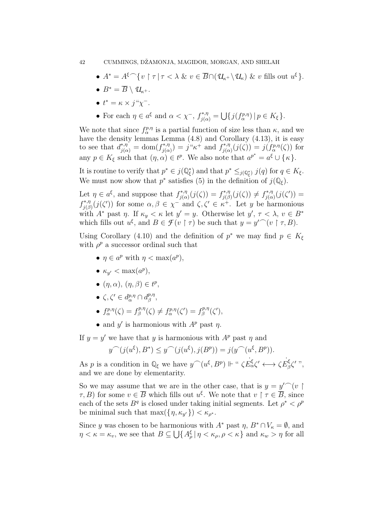### 42 CUMMINGS, DŽAMONJA, MAGIDOR, MORGAN, AND SHELAH

- $A^* = A^{\xi} \cap \{v \mid \tau \mid \tau < \lambda \& v \in \overline{B} \cap (\mathcal{U}_{\kappa^+} \setminus \mathcal{U}_{\kappa}) \& v \text{ fills out } u^{\xi}\}.$
- $B^* = \overline{B} \setminus \mathcal{U}_{k+1}$ .
- $t^* = \kappa \times j^{\mu} \chi^{-}$ .
- For each  $\eta \in a^{\xi}$  and  $\alpha < \chi^-, f^{*,\eta}_{j(\alpha)} = \bigcup \{j(f^{p,\eta}_{\alpha}) \mid p \in K_{\xi}\}.$

We note that since  $f_{\alpha}^{p,\eta}$  is a partial function of size less than  $\kappa$ , and we have the density lemmas Lemma  $(4.8)$  and Corollary  $(4.13)$ , it is easy to see that  $d_{j(\alpha)}^{*,\eta} = \text{dom}(f_{j(\alpha)}^{*,\eta})$  $j_{j(\alpha)}^{*,\eta}$  =  $j^{``}\kappa^+$  and  $f_{j(\alpha)}^{*,\eta}$  $j_{j(\alpha)}^{*,\eta}(j(\zeta)) = j(f_{\alpha}^{p,\eta}(\zeta))$  for any  $p \in K_{\xi}$  such that  $(\eta, \alpha) \in t^p$ . We also note that  $a^{p^*} = a^{\xi} \cup {\kappa}$ .

It is routine to verify that  $p^* \in j(\mathbb{Q}_{\xi}^*)$  and that  $p^* \leq_{j(\mathbb{Q}_{\xi}^*)} j(q)$  for  $q \in K_{\xi}$ . We must now show that  $p^*$  satisfies (5) in the definition of  $j(\mathbb{Q}_\xi)$ .

Let  $\eta \in a^{\xi}$ , and suppose that  $f_{i(\alpha)}^{*,\eta}$  $f_{j(\alpha)}^{*,\eta}(j(\zeta)) = f_{j(\beta)}^{*,\eta}$  $f_{j(\beta)}^{*,\eta}(j(\zeta)) \neq f_{j(\alpha)}^{*,\eta}$  $j_{j(\alpha)}^{*,\eta}(j(\zeta'))=$  $f_{i\alpha}^{*,\eta}$ <sup>\*\*,η</sup>  $(j(\zeta'))$  for some  $\alpha, \beta \in \chi^-$  and  $\zeta, \zeta' \in \kappa^+$ . Let y be harmonious with  $A^*$  past  $\eta$ . If  $\kappa_y < \kappa$  let  $y' = y$ . Otherwise let  $y', \tau < \lambda, v \in B^*$ which fills out  $u^{\xi}$ , and  $B \in \mathcal{F}(v \restriction \tau)$  be such that  $y = y' \cap (v \restriction \tau, B)$ .

Using Corollary (4.10) and the definition of  $p^*$  we may find  $p \in K_{\xi}$ with  $\rho^p$  a successor ordinal such that

- $\eta \in a^p$  with  $\eta < \max(a^p)$ ,
- $\kappa_{y'} < \max(a^p),$
- $(\eta, \alpha), (\eta, \beta) \in t^p$ ,
- $\zeta, \zeta' \in d_{\alpha}^{p,\eta} \cap d_{\beta}^{p,\eta}$  $_{\beta}^{p,\eta},$
- $f_{\alpha}^{p,\eta}(\zeta) = f_{\beta}^{p,\eta}$  $f_{\beta}^{p,\eta}(\zeta) \neq f_{\alpha}^{p,\eta}(\zeta') = f_{\beta}^{p,\eta}$  $\zeta_{\beta}^{p,\eta}(\zeta'),$
- and y' is harmonious with  $A^p$  past  $\eta$ .

If  $y = y'$  we have that y is harmonious with  $A^p$  past  $\eta$  and

$$
y^{\frown}(j(u^{\xi}), B^*) \le y^{\frown}(j(u^{\xi}), j(B^p)) = j(y^{\frown}(u^{\xi}, B^p)).
$$

As p is a condition in  $\mathbb{Q}_{\xi}$  we have  $y^{\frown}(u^{\xi}, B^p) \Vdash ``\zeta E_{\alpha}^{\xi} \zeta' \longleftrightarrow \zeta E_{\beta}^{\xi}$ 'ξς' '',<br>β and we are done by elementarity.

So we may assume that we are in the other case, that is  $y = y'$  (v  $\tau, B$ ) for some  $v \in \overline{B}$  which fills out  $u^{\xi}$ . We note that  $v \restriction \tau \in \overline{B}$ , since each of the sets  $B^q$  is closed under taking initial segments. Let  $\rho^* < \rho^p$ be minimal such that  $\max(\{\eta, \kappa_{y'}\}) < \kappa_{\rho^*}.$ 

Since y was chosen to be harmonious with  $A^*$  past  $\eta$ ,  $B^* \cap V_{\kappa} = \emptyset$ , and  $\eta < \kappa = \kappa_v$ , we see that  $B \subseteq \bigcup \{A_\rho^{\xi} | \eta < \kappa_{\rho}, \rho < \kappa\}$  and  $\kappa_w > \eta$  for all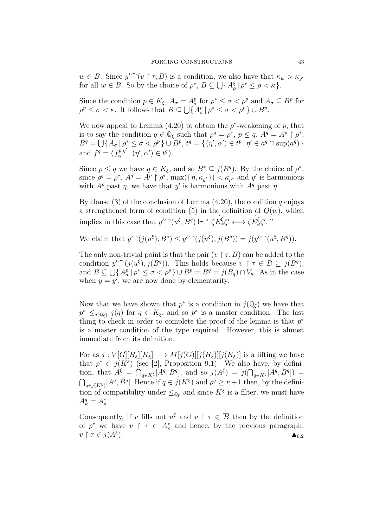$w \in B$ . Since  $y' \cap (v \restriction \tau, B)$  is a condition, we also have that  $\kappa_w > \kappa_{y'}$ for all  $w \in B$ . So by the choice of  $\rho^*, B \subseteq \bigcup \{A_{\rho}^{\xi} | \rho^* \leq \rho < \kappa\}.$ 

Since the condition  $p \in K_{\xi}$ ,  $A_{\sigma} = A_{\sigma}^{p}$  for  $\rho^* \leq \sigma < \rho^p$  and  $A_{\sigma} \subseteq B^p$  for  $\rho^p \leq \sigma < \kappa$ . It follows that  $B \subseteq \bigcup \{ A_{\sigma}^p \mid \rho^* \leq \sigma < \rho^p \} \cup B^p$ .

We now appeal to Lemma  $(4.20)$  to obtain the  $\rho^*$ -weakening of p, that is to say the condition  $q \in \mathbb{Q}_{\xi}$  such that  $\rho^q = \rho^*$ ,  $p \leq q$ ,  $A^q = A^p \upharpoonright \rho^*$ ,  $B^{q} = \bigcup \{ A_{\sigma} | \rho^* \leq \sigma < \rho^p \} \cup B^{p}, t^{q} = \{ (\eta', \alpha') \in t^p | \eta' \in a^{q} \cap \text{sup}(a^{q}) \}$ and  $f^q = \langle f_{\alpha'}^{p,\eta'} | (\eta', \alpha') \in t^q \rangle$ .

Since  $p \le q$  we have  $q \in K_{\xi}$ , and so  $B^* \subseteq j(B^q)$ . By the choice of  $\rho^*$ , since  $\rho^q = \rho^*$ ,  $A^q = A^p \restriction \rho^*$ ,  $\max(\{\eta, \kappa_{y'}\}) < \kappa_{\rho^*}$  and y' is harmonious with  $A^p$  past  $\eta$ , we have that y' is harmonious with  $A^q$  past  $\eta$ .

By clause (3) of the conclusion of Lemma  $(4.20)$ , the condition q enjoys a strengthened form of condition (5) in the definition of  $Q(w)$ , which implies in this case that  $y'^{\frown}(u^{\xi}, B^q) \Vdash$  "  $\zeta E_{\alpha}^{\xi} \zeta' \longleftrightarrow \zeta E_{\beta}^{\xi}$  $\frac{\xi}{\beta}$ ζ'. ''

We claim that  $y^{\frown}(j(u^{\xi}), B^*) \leq y'^{\frown}(j(u^{\xi}), j(B^q)) = j(y'^{\frown}(u^{\xi}, B^q)).$ 

The only non-trivial point is that the pair  $(v \restriction \tau, B)$  can be added to the condition  $y'^{\frown}(j(u^{\xi}), j(B^q))$ . This holds because  $v \upharpoonright \tau \in \overline{B} \subseteq j(B^q)$ , and  $B \subseteq \bigcup \{ A_{\sigma}^p | \rho^* \leq \sigma < \rho^p \} \cup B^p = B^q = j(B_q) \cap V_{\kappa}$ . As in the case when  $y = y'$ , we are now done by elementarity.

Now that we have shown that  $p^*$  is a condition in  $j(\mathbb{Q}_{\xi})$  we have that  $p^* \leq_{j(\mathbb{Q}_{\xi})} j(q)$  for  $q \in K_{\xi}$ , and so  $p^*$  is a master condition. The last thing to check in order to complete the proof of the lemma is that  $p^*$ is a master condition of the type required. However, this is almost immediate from its definition.

For as  $j: V[G][H_{\xi}][K_{\xi}] \longrightarrow M[j(G)][j(H_{\xi})][j(K_{\xi})]$  is a lifting we have that  $p^* \in j(K^{\xi})$  (see [2], Proposition 9.1). We also have, by definition, that  $A^{\xi} = \bigcap_{q \in K^{\xi}} [A^q, B^q]$ , and so  $j(A^{\xi}) = j(\bigcap_{q \in K^{\xi}} [A^q, B^q])$  $\bigcap_{q\in j(K^{\xi})}[A^q, B^q]$ . Hence if  $q\in j(K^{\xi})$  and  $\rho^q\geq \kappa+1$  then, by the definition of compatibility under  $\leq_{\mathbb{Q}_{\xi}}$  and since  $K^{\xi}$  is a filter, we must have  $A_{\kappa}^q = A_{\kappa}^*$ .

Consequently, if v fills out  $u^{\xi}$  and  $v \restriction \tau \in \overline{B}$  then by the definition of  $p^*$  we have  $v \restriction \tau \in A_\kappa^*$  and hence, by the previous paragraph,  $v \restriction \tau \in j(A^{\xi}).$ ).  $\triangle_{6.2}$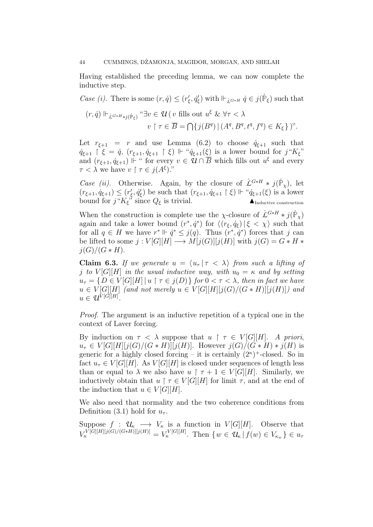Having established the preceding lemma, we can now complete the inductive step.

*Case (i)*. There is some  $(r, \dot{q}) \le (r'_{\xi}, \dot{q}'_{\xi})$  with  $\Vdash_{\dot{L}^{G*H}} \dot{q} \in j(\dot{P}_{\xi})$  such that  $(r, \dot{q}) \Vdash_{\dot{L}^{G * H} * j(\dot{P}_{\xi})}$  " $\exists v \in \mathcal{U}(v \text{ fills out } u^{\xi} \& \forall \tau < \lambda)$  $v \restriction \tau \in \overline{B} = \bigcap \{j(B^q) \mid (A^q, B^q, t^q, f^q) \in K_{\xi}\}\,$ ".

Let  $r_{\xi+1} = r$  and use Lemma (6.2) to choose  $\dot{q}_{\xi+1}$  such that  $\dot{q}_{\xi+1} \restriction \xi = \dot{q}, \ (r_{\xi+1}, \dot{q}_{\xi+1} \restriction \xi) \Vdash \text{``}\dot{q}_{\xi+1}(\xi)$  is a lower bound for  $j \text{``}K_{\xi}$ " and  $(r_{\xi+1}, \dot{q}_{\xi+1})$  <sup> $\Vdash$ </sup> " for every  $v \in \mathcal{U} \cap \overline{B}$  which fills out  $u^{\xi}$  and every  $\tau < \lambda$  we have  $v \restriction \tau \in j(A^{\xi})$ .

*Case (ii).* Otherwise. Again, by the closure of  $\dot{L}^{G*H} * j(\dot{P}_\chi)$ , let  $(r_{\xi+1}, \dot{q}_{\xi+1}) \leq (r_{\xi}', \dot{q}_{\xi}')$  be such that  $(r_{\xi+1}, \dot{q}_{\xi+1} \upharpoonright \xi) \Vdash " \dot{q}_{\xi+1}(\xi)$  is a lower bound for  $j''K_{\xi}$ <sup>3</sup> since  $Q_{\xi}$  is trivial.

When the construction is complete use the  $\chi$ -closure of  $\dot{L}^{G*H} * j(\dot{P}_\chi)$ again and take a lower bound  $(r^*, \dot{q}^*)$  for  $\langle (r_{\xi}, \dot{q}_{\xi}) | \xi \langle \chi \rangle$  such that for all  $q \in H$  we have  $r^* \Vdash \dot{q}^* \leq j(q)$ . Thus  $(r^*, \dot{q}^*)$  forces that j can be lifted to some  $j: V[G][H] \longrightarrow M[j(G)][j(H)]$  with  $j(G) = G * H *$  $j(G)/(G * H).$ 

**Claim 6.3.** If we generate  $u = \langle u_\tau | \tau \langle \lambda \rangle$  from such a lifting of j to  $V[G][H]$  in the usual inductive way, with  $u_0 = \kappa$  and by setting  $u_{\tau} = \{D \in V[G][H] | u \restriction \tau \in j(D)\}\$  for  $0 < \tau < \lambda$ , then in fact we have  $u \in V[G][H]$  (and not merely  $u \in V[G][H][j(G)/(G * H)][j(H)])$  and  $u \in \mathcal{U}^{V[G][H]}.$ 

Proof. The argument is an inductive repetition of a typical one in the context of Laver forcing.

By induction on  $\tau < \lambda$  suppose that  $u \restriction \tau \in V[G][H]$ . A priori,  $u_{\tau} \in V[G][H][j(G)/(G * H)][j(H)]$ . However  $j(G)/(G * H) * j(H)$  is generic for a highly closed forcing – it is certainly  $(2^{\kappa})^+$ -closed. So in fact  $u_{\tau} \in V[G][H]$ . As  $V[G][H]$  is closed under sequences of length less than or equal to  $\lambda$  we also have  $u \restriction \tau + 1 \in V[G][H]$ . Similarly, we inductively obtain that  $u \restriction \tau \in V[G][H]$  for limit  $\tau$ , and at the end of the induction that  $u \in V[G][H]$ .

We also need that normality and the two coherence conditions from Definition (3.1) hold for  $u_{\tau}$ .

Suppose  $f : \mathcal{U}_{\kappa} \longrightarrow V_{\kappa}$  is a function in  $V[G][H]$ . Observe that  $V_{\kappa}^{V[G][H][j(G)/(G*H)][j(H)]} = V_{\kappa}^{V[G][H]}$ . Then  $\{w \in \mathcal{U}_{\kappa} \mid f(w) \in V_{\kappa_w}\} \in u_{\tau}$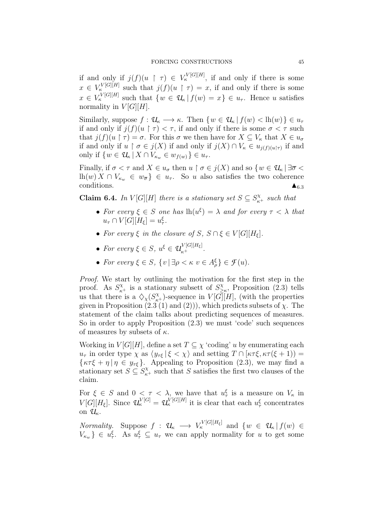if and only if  $j(f)(u \upharpoonright \tau) \in V^{V[G][H]}_{\kappa}$ , if and only if there is some  $x \in V_{\kappa}^{V[G][H]}$  such that  $j(f)(u \restriction \tau) = x$ , if and only if there is some  $x \in V_{\kappa}^{V[G][H]}$  such that  $\{w \in \mathcal{U}_{\kappa} | f(w) = x\} \in u_{\tau}$ . Hence u satisfies normality in  $V[G][H]$ .

Similarly, suppose  $f: \mathcal{U}_{\kappa} \longrightarrow \kappa$ . Then  $\{w \in \mathcal{U}_{\kappa} \mid f(w) < \mathrm{lh}(w)\}\in u_{\tau}$ if and only if  $j(f)(u \restriction \tau) < \tau$ , if and only if there is some  $\sigma < \tau$  such that  $j(f)(u \restriction \tau) = \sigma$ . For this  $\sigma$  we then have for  $X \subseteq V_{\kappa}$  that  $X \in u_{\sigma}$ if and only if  $u \restriction \sigma \in j(X)$  if and only if  $j(X) \cap V_{\kappa} \in u_{j(f)(u|\tau)}$  if and only if  $\{w \in \mathcal{U}_{\kappa} | X \cap V_{\kappa_w} \in w_{f(w)}\} \in u_{\tau}$ .

Finally, if  $\sigma < \tau$  and  $X \in u_{\sigma}$  then  $u \restriction \sigma \in j(X)$  and so  $\{w \in \mathcal{U}_{\kappa} \mid \exists \overline{\sigma} <$  $\ln(w) X \cap V_{\kappa_w} \in w_{\overline{\sigma}} \in u_{\tau}$ . So u also satisfies the two coherence conditions.  $\triangle_{6.3}$ 

**Claim 6.4.** In  $V[G][H]$  there is a stationary set  $S \subseteq S_{\kappa^+}^{\chi}$  such that

- For every  $\xi \in S$  one has  $\ln(u^{\xi}) = \lambda$  and for every  $\tau < \lambda$  that  $u_{\tau} \cap V[G][H_{\xi}] = u_{\tau}^{\xi}.$
- For every  $\xi$  in the closure of  $S, S \cap \xi \in V[G][H_{\xi}].$
- For every  $\xi \in S$ ,  $u^{\xi} \in \mathcal{U}_{\kappa^+}^{V[G][H_{\xi}]}$ .
- For every  $\xi \in S$ ,  $\{v \mid \exists \rho < \kappa \ v \in A_{\rho}^{\xi}\} \in \mathcal{F}(u)$ .

Proof. We start by outlining the motivation for the first step in the proof. As  $S_{\kappa^+}^{\chi}$  is a stationary subsett of  $S_{\geq}^{\chi}$ ≥κ , Proposition (2.3) tells us that there is a  $\langle \chi(S_{\kappa^+}^{\chi})$ -sequence in  $V[\bar{G}][H]$ , (with the properties given in Proposition  $(2.3 \, (1)$  and  $(2))$ , which predicts subsets of  $\chi$ . The statement of the claim talks about predicting sequences of measures. So in order to apply Proposition (2.3) we must 'code' such sequences of measures by subsets of  $\kappa$ .

Working in  $V[G][H]$ , define a set  $T \subseteq \chi$  'coding' u by enumerating each  $u_{\tau}$  in order type  $\chi$  as  $\langle y_{\tau\xi} | \xi < \chi \rangle$  and setting  $T \cap [\kappa \tau \xi, \kappa \tau (\xi + 1)) =$  $\{\kappa \tau \xi + \eta \,|\, \eta \in y_{\tau \xi}\}.$  Appealing to Proposition (2.3), we may find a stationary set  $S \subseteq S^{\chi}_{\kappa^+}$  such that S satisfies the first two clauses of the claim.

For  $\xi \in S$  and  $0 < \tau < \lambda$ , we have that  $u_{\tau}^{\xi}$  is a measure on  $V_{\kappa}$  in  $V[G][H_{\xi}]$ . Since  $\mathcal{U}_{\kappa}^{V[G]} = \mathcal{U}_{\kappa}^{V[G][H]}$  it is clear that each  $u_{\tau}^{\xi}$  concentrates on  $\mathcal{U}_{\kappa}$ .

*Normality.* Suppose  $f : \mathcal{U}_{\kappa} \longrightarrow V_{\kappa}^{V[G][H_{\xi}]}$  and  $\{w \in \mathcal{U}_{\kappa} | f(w) \in$  $V_{\kappa_w}$   $\}\in u_\tau^{\xi}$ . As  $u_\tau^{\xi} \subseteq u_\tau$  we can apply normality for u to get some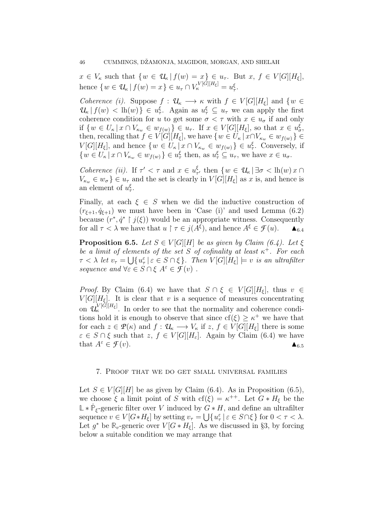$x \in V_{\kappa}$  such that  $\{w \in \mathcal{U}_{\kappa} | f(w) = x\} \in u_{\tau}$ . But  $x, f \in V[G][H_{\xi}],$ hence  $\{w \in \mathcal{U}_{\kappa} | f(w) = x\} \in u_{\tau} \cap V_{\kappa}^{V[G][H_{\xi}]} = u_{\tau}^{\xi}.$ 

*Coherence (i).* Suppose  $f: \mathcal{U}_{\kappa} \longrightarrow \kappa$  with  $f \in V[G][H_{\xi}]$  and  $\{w \in$  $\mathcal{U}_{\kappa} | f(w) < \mathrm{lh}(w) \} \in u_{\tau}^{\xi}$ . Again as  $u_{\tau}^{\xi} \subseteq u_{\tau}$  we can apply the first coherence condition for u to get some  $\sigma < \tau$  with  $x \in u_{\sigma}$  if and only if  $\{w \in U_{\kappa} | x \cap V_{\kappa_w} \in w_{f(w)}\} \in u_{\tau}$ . If  $x \in V[G][H_{\xi}]$ , so that  $x \in u_{\sigma}^{\xi}$ , then, recalling that  $f \in V[G][H_{\xi}]$ , we have  $\{w \in U_{\kappa} | x \cap V_{\kappa_w} \in w_{f(w)}\}$  $V[G][H_{\xi}]$ , and hence  $\{w \in U_{\kappa} | x \cap V_{\kappa_w} \in w_{f(w)}\} \in u_{\tau}^{\xi}$ . Conversely, if  $\{w \in U_{\kappa} \mid x \cap V_{\kappa_w} \in w_{f(w)}\} \in u_{\tau}^{\xi}$  then, as  $u_{\tau}^{\xi} \subseteq u_{\tau}$ , we have  $x \in u_{\sigma}$ .

Coherence (ii). If  $\tau' < \tau$  and  $x \in u_\tau^{\xi}$  $\zeta_{\tau'}$  then  $\{w \in \mathcal{U}_{\kappa} \mid \exists \sigma < \mathrm{lh}(w) \, x \cap$  $V_{\kappa_w} \in w_{\sigma}$   $\} \in u_{\tau}$  and the set is clearly in  $V[G][H_{\xi}]$  as x is, and hence is an element of  $u_{\tau}^{\xi}$ .

Finally, at each  $\xi \in S$  when we did the inductive construction of  $(r_{\xi+1}, \dot{q}_{\xi+1})$  we must have been in 'Case (i)' and used Lemma (6.2) because  $(r^*, q^* \upharpoonright j(\xi))$  would be an appropriate witness. Consequently for all  $\tau < \lambda$  we have that  $u \restriction \tau \in j(A^{\xi})$ , and hence  $A^{\xi} \in \mathcal{F}(u)$ .  $\blacktriangle_{6.4}$ 

**Proposition 6.5.** Let  $S \in V[G][H]$  be as given by Claim (6.4). Let  $\xi$ be a limit of elements of the set S of cofinality at least  $\kappa^+$ . For each  $\tau < \lambda$  let  $v_{\tau} = \bigcup \{u_{\tau}^{\varepsilon} | \varepsilon \in S \cap \xi\}$ . Then  $V[G][H_{\xi}] \models v$  is an ultrafilter sequence and  $\forall \varepsilon \in S \cap \xi \; A^{\varepsilon} \in \mathcal{F}(v)$ .

*Proof.* By Claim (6.4) we have that  $S \cap \xi \in V[G][H_{\xi}]$ , thus  $v \in$  $V[G][H_{\xi}]$ . It is clear that v is a sequence of measures concentrating on  $\mathcal{U}_{\kappa}^{V[G][H_{\xi}]}$ . In order to see that the normality and coherence conditions hold it is enough to observe that since  $cf(\xi) \geq \kappa^+$  we have that for each  $z \in \mathcal{P}(\kappa)$  and  $f: \mathcal{U}_{\kappa} \longrightarrow V_{\kappa}$  if  $z, f \in V[G][H_{\xi}]$  there is some  $\varepsilon \in S \cap \xi$  such that  $z, f \in V[G][H_{\varepsilon}].$  Again by Claim (6.4) we have that  $A^{\varepsilon} \in \mathcal{F}(v)$ .

### 7. Proof that we do get small universal families

Let  $S \in V[G][H]$  be as given by Claim (6.4). As in Proposition (6.5), we choose  $\xi$  a limit point of S with  $cf(\xi) = \kappa^{++}$ . Let  $G * H_{\xi}$  be the  $\mathbb{L} * \dot{\mathbb{P}}_{\xi}$ -generic filter over *V* induced by *G* ∗ *H*, and define an ultrafilter sequence  $v \in V[G * H_{\xi}]$  by setting  $v_{\tau} = \bigcup \{u_{\tau}^{\varepsilon} | \varepsilon \in S \cap \xi\}$  for  $0 < \tau < \lambda$ . Let  $g^*$  be  $\mathbb{R}_v$ -generic over  $V[G * H_{\xi}]$ . As we discussed in §3, by forcing below a suitable condition we may arrange that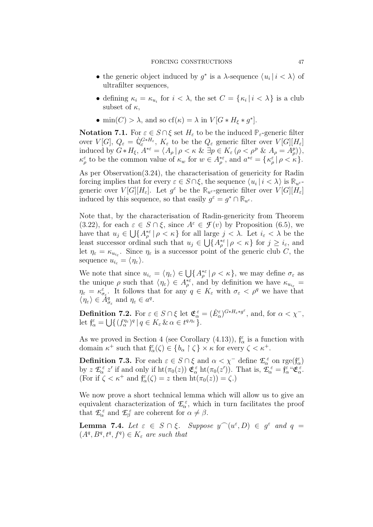- the generic object induced by  $g^*$  is a  $\lambda$ -sequence  $\langle u_i | i \rangle \langle \lambda \rangle$  of ultrafilter sequences,
- defining  $\kappa_i = \kappa_{u_i}$  for  $i < \lambda$ , the set  $C = {\kappa_i | i < \lambda}$  is a club subset of  $\kappa$ ,
- min(C) >  $\lambda$ , and so cf( $\kappa$ ) =  $\lambda$  in  $V[G * H_{\xi} * g^*].$

**Notation 7.1.** For  $\varepsilon \in S \cap \xi$  set  $H_{\varepsilon}$  to be the induced  $\mathbb{P}_{\varepsilon}$ -generic filter over  $V[G], Q_{\varepsilon} = \dot{\mathbb{Q}}_{\varepsilon}^{G*H_{\varepsilon}}, K_{\varepsilon}$  to be the  $Q_{\varepsilon}$  generic filter over  $V[G][H_{\varepsilon}]$ induced by  $G * H_{\xi}$ ,  $A^{*\varepsilon} = \langle A_{\rho} | \rho \langle \kappa \& \exists p \in K_{\varepsilon} (\rho \langle \rho^p \& A_{\rho} = A_{\rho}^p) \rangle$ ,  $\kappa_{\rho}^{\varepsilon}$  to be the common value of  $\kappa_{w}$  for  $w \in A_{\rho}^{*\varepsilon}$ , and  $a^{*\varepsilon} = {\kappa_{\rho}^{\varepsilon} | \rho < \kappa }$ .

As per Observation(3.24), the characterisation of genericity for Radin forcing implies that for every  $\varepsilon \in S \cap \xi$ , the sequence  $\langle u_i | i \langle \lambda \rangle$  is  $\mathbb{R}_{u^{\varepsilon}}$ generic over  $V[G][H_{\varepsilon}]$ . Let  $g^{\varepsilon}$  be the  $\mathbb{R}_{u^{\varepsilon}}$ -generic filter over  $V[G][H_{\varepsilon}]$ induced by this sequence, so that easily  $g^{\varepsilon} = g^* \cap \mathbb{R}_{u^{\varepsilon}}$ .

Note that, by the characterisation of Radin-genericity from Theorem (3.22), for each  $\varepsilon \in S \cap \xi$ , since  $A^{\varepsilon} \in \mathcal{F}(v)$  by Proposition (6.5), we have that  $u_j \in \bigcup \{ A_\rho^{* \varepsilon} \mid \rho < \kappa \}$  for all large  $j < \lambda$ . Let  $i_\varepsilon < \lambda$  be the least successor ordinal such that  $u_j \in \bigcup \{A_\rho^{*\varepsilon} \mid \rho < \kappa\}$  for  $j \geq i_\varepsilon$ , and let  $\eta_{\varepsilon} = \kappa_{u_{i_{\varepsilon}}}$ . Since  $\eta_{\varepsilon}$  is a successor point of the generic club C, the sequence  $u_{i_{\varepsilon}} = \langle \eta_{\varepsilon} \rangle$ .

We note that since  $u_{i_{\varepsilon}} = \langle \eta_{\varepsilon} \rangle \in \bigcup \{ A_{\rho}^{*\varepsilon} | \rho \langle \kappa \rangle \}$ , we may define  $\sigma_{\varepsilon}$  as the unique  $\rho$  such that  $\langle \eta_{\varepsilon} \rangle \in A_{\rho}^{* \varepsilon}$ , and by definition we have  $\kappa_{u_{i_{\varepsilon}}} =$  $\eta_{\varepsilon} = \kappa_{\sigma_{\varepsilon}}^{\varepsilon}$ . It follows that for any  $q \in K_{\varepsilon}$  with  $\sigma_{\varepsilon} < \rho^{q}$  we have that  $\langle \eta_{\varepsilon} \rangle \in \check{A}_{\sigma_{\varepsilon}}^q$  and  $\eta_{\varepsilon} \in a^q$ .

**Definition 7.2.** For  $\varepsilon \in S \cap \xi$  let  $\mathfrak{E}_{\alpha}^{\varepsilon} = (\dot{E}_{\alpha}^{\varepsilon})^{G * H_{\varepsilon} * g^{\varepsilon}}$ , and, for  $\alpha < \chi^{-}$ , let  $\mathfrak{f}_{\alpha}^{\varepsilon} = \bigcup \{ (f_{\alpha}^{\eta_{\varepsilon}})^q | q \in K_{\varepsilon} \& \alpha \in t^{q, \eta_{\varepsilon}} \}.$ 

As we proved in Section 4 (see Corollary (4.13)),  $f_{\alpha}^{\varepsilon}$  is a function with domain  $\kappa^+$  such that  $\mathfrak{f}_{\alpha}^{\varepsilon}(\zeta) \in \{b_{\alpha} \restriction \zeta\} \times \kappa$  for every  $\zeta < \kappa^+$ .

**Definition 7.3.** For each  $\varepsilon \in S \cap \xi$  and  $\alpha < \chi$ <sup>-</sup> define  $\mathcal{L}_{\alpha}^{\varepsilon}$  on rge $(f_{\alpha}^{\varepsilon})$ by  $z \mathcal{L}_{\alpha}^{\varepsilon} z'$  if and only if  $\mathrm{ht}(\pi_0(z)) \mathfrak{E}_{\alpha}^{\varepsilon} \mathrm{ht}(\pi_0(z')).$  That is,  $\mathcal{L}_{\alpha}^{\varepsilon} = \mathfrak{f}_{\alpha}^{\varepsilon} \mathfrak{E}_{\alpha}^{\varepsilon}$ . (For if  $\zeta < \kappa^+$  and  $\mathfrak{f}_{\alpha}^{\varepsilon}(\zeta) = z$  then  $\mathrm{ht}(\pi_0(z)) = \zeta$ .)

We now prove a short technical lemma which will allow us to give an equivalent characterization of  $\mathcal{L}_{\alpha}^{\varepsilon}$ , which in turn facilitates the proof that  $\mathcal{L}_{\alpha}^{\varepsilon}$  and  $\mathcal{L}_{\beta}^{\varepsilon}$  are coherent for  $\alpha \neq \beta$ .

**Lemma 7.4.** Let  $\varepsilon \in S \cap \xi$ . Suppose  $y^{\frown}(u^{\varepsilon}, D) \in g^{\varepsilon}$  and  $q =$  $(A^q, B^q, t^q, f^q) \in K_{\varepsilon}$  are such that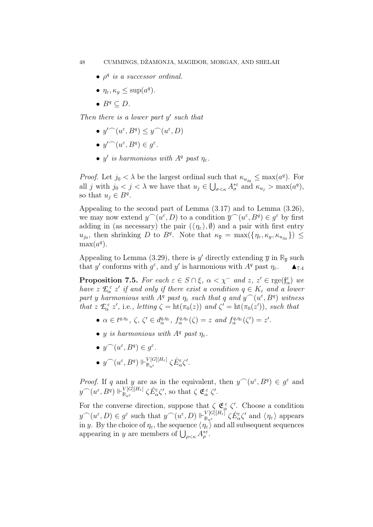- $\bullet$   $\rho^q$  is a successor ordinal.
- $\eta_{\varepsilon}, \kappa_y \leq \sup(a^q)$ .
- $B^q \subseteq D$ .

Then there is a lower part  $y'$  such that

- $y' (u^{\varepsilon}, B^q) \le y (u^{\varepsilon}, D)$
- $y' (u^{\varepsilon}, B^q) \in g^{\varepsilon}.$
- y' is harmonious with  $A^q$  past  $\eta_{\varepsilon}$ .

*Proof.* Let  $j_0 < \lambda$  be the largest ordinal such that  $\kappa_{u_{j_0}} \leq \max(a^q)$ . For all j with  $j_0 < j < \lambda$  we have that  $u_j \in \bigcup_{\sigma < \kappa} A^*_{\sigma}$  and  $\kappa_{u_j} > \max(a^q)$ , so that  $u_j \in B^q$ .

Appealing to the second part of Lemma (3.17) and to Lemma (3.26), we may now extend  $y^{\frown}(u^{\varepsilon}, D)$  to a condition  $\overline{y}^{\frown}(u^{\varepsilon}, B^q) \in g^{\varepsilon}$  by first adding in (as necessary) the pair  $(\langle \eta_{\varepsilon} \rangle, \emptyset)$  and a pair with first entry  $u_{j_0}$ , then shrinking D to  $B^q$ . Note that  $\kappa_{\bar{y}} = \max(\{\eta_{\varepsilon}, \kappa_y, \kappa_{u_{j_0}}\}) \leq$  $max(a^q)$ .

Appealing to Lemma (3.29), there is y' directly extending  $\overline{y}$  in  $\mathbb{R}_{\overline{y}}$  such that y' conforms with  $g^{\varepsilon}$ , and y' is harmonious with  $A^q$  past  $\eta_{\varepsilon}$ .

**Proposition 7.5.** For each  $\varepsilon \in S \cap \xi$ ,  $\alpha < \chi^-$  and  $z, z' \in \mathrm{rge}(\mathfrak{f}_{\alpha}^{\varepsilon})$  we have  $z \mathcal{L}_{\alpha}^{\varepsilon} z'$  if and only if there exist a condition  $q \in K_{\varepsilon}$  and a lower part y harmonious with  $A^q$  past  $\eta_{\varepsilon}$  such that q and  $y^{\frown}(u^{\varepsilon}, B^q)$  witness that  $z \mathcal{L}_{\alpha}^{\varepsilon} z'$ , i.e., letting  $\zeta = \text{ht}(\pi_0(z))$  and  $\zeta' = \text{ht}(\pi_0(z'))$ , such that

- $\alpha \in t^{q,\eta_{\varepsilon}}, \zeta, \zeta' \in d_{\alpha}^{q,\eta_{\varepsilon}}, f_{\alpha}^{q,\eta_{\varepsilon}}(\zeta) = z \text{ and } f_{\alpha}^{q,\eta_{\varepsilon}}(\zeta') = z'.$
- y is harmonious with  $A^q$  past  $\eta_{\varepsilon}$ .
- $y^{\frown}(u^{\varepsilon}, B^q) \in g^{\varepsilon}.$
- $\bullet \; y^{\frown} (u^{\varepsilon}, B^q) \Vdash_{\mathbb{R}_{\leq \varepsilon}}^{V[G][H_{\varepsilon}]}$  $\frac{V[G][H_{\varepsilon}]}{\mathbb{R}_{u^{\varepsilon}}}\zeta\dot{E}_{\alpha}^{\varepsilon}\zeta'.$

*Proof.* If q and y are as in the equivalent, then  $y^{\frown}(u^{\varepsilon}, B^q) \in g^{\varepsilon}$  and  $y^{\frown} (u^{\varepsilon}, B^q) \Vdash^{{V[G][H_{\varepsilon}]} }_{\mathbb{R}, \varepsilon}$  $\frac{V[G][H_{\varepsilon}]}{\mathbb{R}_{u^{\varepsilon}}} \zeta \dot{E}_{\alpha}^{\varepsilon} \zeta'$ , so that  $\zeta \mathfrak{E}_{\alpha}^{\varepsilon} \zeta'$ .

For the converse direction, suppose that  $\zeta \mathfrak{E}_{\alpha}^{\varepsilon} \zeta'$ . Choose a condition  $y^{\frown}(u^{\varepsilon},D) \in g^{\varepsilon}$  such that  $y^{\frown}(u^{\varepsilon},D) \Vdash_{\mathbb{R},\mathbb{R}}^{\mathbb{V}[G][H_{\varepsilon}]}$  $\frac{V[G][H_{\varepsilon}]}{\mathbb{R}_{u^{\varepsilon}}} \zeta \dot{E}_{\alpha}^{\varepsilon} \zeta'$  and  $\langle \eta_{\varepsilon} \rangle$  appears in y. By the choice of  $\eta_{\varepsilon}$ , the sequence  $\langle \eta_{\varepsilon} \rangle$  and all subsequent sequences appearing in y are members of  $\bigcup_{\rho<\kappa}A_{\rho}^{*\varepsilon}$ .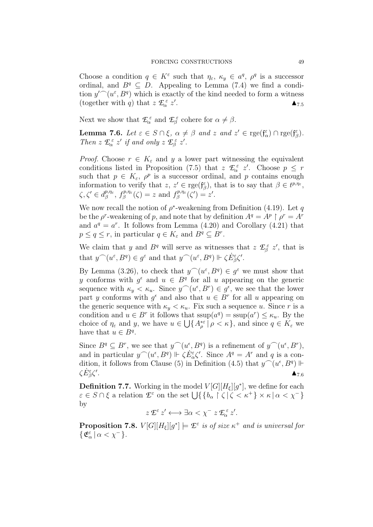Choose a condition  $q \in K^{\varepsilon}$  such that  $\eta_{\varepsilon}, \kappa_y \in a^q, \rho^q$  is a successor ordinal, and  $B^q \subseteq D$ . Appealing to Lemma (7.4) we find a condition  $y' (u^{\varepsilon}, B^q)$  which is exactly of the kind needed to form a witness (together with *q*) that  $z \mathcal{L}_{\alpha}^{\varepsilon} z'$ .  $\Delta_{7.5}$ 

Next we show that  $\mathcal{L}_{\alpha}^{\varepsilon}$  and  $\mathcal{L}_{\beta}^{\varepsilon}$  cohere for  $\alpha \neq \beta$ .

**Lemma 7.6.** Let  $\varepsilon \in S \cap \xi$ ,  $\alpha \neq \beta$  and  $z$  and  $z' \in \mathrm{rge}(\mathfrak{f}_{\alpha}^{\varepsilon}) \cap \mathrm{rge}(\mathfrak{f}_{\beta}^{\varepsilon})$ . Then  $z \mathcal{L}_{\alpha}^{\varepsilon} z'$  if and only  $z \mathcal{L}_{\beta}^{\varepsilon} z'$ .

*Proof.* Choose  $r \in K_{\varepsilon}$  and y a lower part witnessing the equivalent conditions listed in Proposition (7.5) that  $z \mathcal{L}_{\alpha}^{\varepsilon} z'$ . Choose  $p \leq r$ such that  $p \in K_{\varepsilon}$ ,  $\rho^p$  is a successor ordinal, and p contains enough information to verify that  $z, z' \in \mathrm{rge}(\mathfrak{f}_{\beta}^{\varepsilon})$ , that is to say that  $\beta \in t^{p,\eta_{\varepsilon}},$  $\zeta, \zeta' \in d_{\beta}^{p,\eta_{\varepsilon}}$  $\int_{\beta}^{p,\eta_{\varepsilon}}, f_{\beta}^{p,\eta_{\varepsilon}}$  $f_{\beta}^{p,\eta_{\varepsilon}}(\zeta) = z$  and  $f_{\beta}^{p,\eta_{\varepsilon}}$  $e^{ip,\eta_{\varepsilon}}_{\beta}(\zeta')=z'.$ 

We now recall the notion of  $\rho^*$ -weakening from Definition (4.19). Let q be the  $\rho^r$ -weakening of p, and note that by definition  $A^q = A^p \restriction \rho^r = A^r$ and  $a^q = a^r$ . It follows from Lemma (4.20) and Corollary (4.21) that  $p \le q \le r$ , in particular  $q \in K_{\varepsilon}$  and  $B^q \subseteq B^r$ .

We claim that y and  $B<sup>q</sup>$  will serve as witnesses that  $z \mathcal{L}_{\beta}^{\varepsilon} z'$ , that is that  $y^{\frown}(u^{\varepsilon}, B^q) \in g^{\varepsilon}$  and that  $y^{\frown}(u^{\varepsilon}, B^q) \Vdash \zeta \dot{E}_{\beta}^{\varepsilon} \zeta'.$ 

By Lemma (3.26), to check that  $y^{\frown}(u^{\varepsilon}, B^q) \in g^{\varepsilon}$  we must show that y conforms with  $g^{\epsilon}$  and  $u \in B^q$  for all u appearing on the generic sequence with  $\kappa_y < \kappa_u$ . Since  $y^{\frown}(u^{\epsilon}, B^r) \in g^{\epsilon}$ , we see that the lower part y conforms with  $g^{\epsilon}$  and also that  $u \in B^{r}$  for all u appearing on the generic sequence with  $\kappa_y < \kappa_u$ . Fix such a sequence u. Since r is a condition and  $u \in B^r$  it follows that  $\text{ssup}(a^q) = \text{ssup}(a^r) \leq \kappa_u$ . By the choice of  $\eta_{\varepsilon}$  and y, we have  $u \in \bigcup \{ A_{\rho}^{*\varepsilon} | \rho < \kappa \}$ , and since  $q \in K_{\varepsilon}$  we have that  $u \in B^q$ .

Since  $B^q \subseteq B^r$ , we see that  $y^{\frown}(u^{\epsilon}, B^q)$  is a refinement of  $y^{\frown}(u^{\epsilon}, B^r)$ , and in particular  $y^{\frown}(u^{\epsilon}, B^q) \Vdash \zeta E_{\alpha}^{\epsilon} \zeta'$ . Since  $A^q = A^r$  and q is a condition, it follows from Clause (5) in Definition (4.5) that  $y^{\frown}(u^{\epsilon}, B^q) \Vdash$  $\zeta \dot{E}^{\varepsilon}_{\beta} \zeta'$ . And the same state  $\Delta_{7.6}$ 

**Definition 7.7.** Working in the model  $V[G][H_{\xi}][g^*]$ , we define for each  $\varepsilon \in S \cap \xi$  a relation  $\mathcal{E}^{\varepsilon}$  on the set  $\bigcup \{ \{b_{\alpha} \mid \zeta \mid \zeta < \kappa^{+} \} \times \kappa \mid \alpha < \chi^{-} \}$ by

 $z \mathcal{L}^{\varepsilon} z' \longleftrightarrow \exists \alpha < \chi^{-} z \mathcal{L}_{\alpha}^{\varepsilon} z'.$ 

**Proposition 7.8.**  $V[G][H_{\xi}][g^*] \models \mathcal{I}^{\varepsilon}$  is of size  $\kappa^+$  and is universal for  $\{\mathfrak{E}_{\alpha}^{\varepsilon}\,|\,\alpha<\chi^{-}\}.$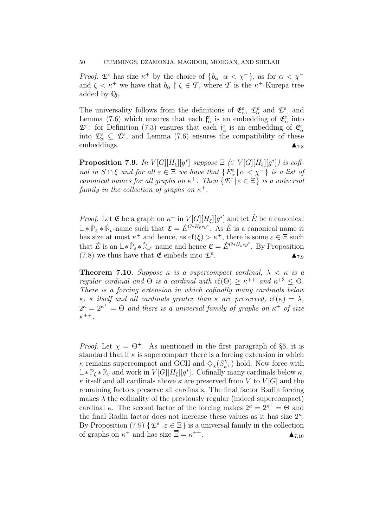*Proof.*  $\mathcal{L}^{\varepsilon}$  has size  $\kappa^+$  by the choice of  $\{b_{\alpha} | \alpha < \chi^-\}$ , as for  $\alpha < \chi^-$ and  $\zeta < \kappa^+$  we have that  $b_{\alpha} \restriction \zeta \in \mathcal{T}$ , where  $\mathcal{T}$  is the  $\kappa^+$ -Kurepa tree added by **Q**0.

The universality follows from the definitions of  $\mathfrak{E}_{\alpha}^{\varepsilon}$ ,  $\mathcal{E}_{\alpha}^{\varepsilon}$  and  $\mathcal{E}^{\varepsilon}$ , and Lemma (7.6) which ensures that each  $f_{\alpha}^{\varepsilon}$  is an embedding of  $\mathfrak{E}_{\alpha}^{\varepsilon}$  into  $\mathcal{L}^{\varepsilon}$ : for Definition (7.3) ensures that each  $\int_{\alpha}^{\varepsilon}$  is an embedding of  $\mathfrak{E}_{\alpha}^{\varepsilon}$ into  $\mathcal{I}_{\alpha}^{\varepsilon} \subseteq \mathcal{I}^{\varepsilon}$ , and Lemma (7.6) ensures the compatibility of these embeddings.  $\blacksquare$ 

**Proposition 7.9.** In  $V[G][H_{\xi}][g^*]$  suppose  $\Xi$  ( $\in V[G][H_{\xi}][g^*]$ ) is cofinal in  $S \cap \xi$  and for all  $\varepsilon \in \Xi$  we have that  $\{E_{\alpha}^{\varepsilon} | \alpha < \chi^{-}\}\$  is a list of canonical names for all graphs on  $\kappa^+$ . Then  $\{\mathcal{E}^{\varepsilon} \mid \varepsilon \in \Xi\}$  is a universal family in the collection of graphs on  $\kappa^+$ .

*Proof.* Let  $\mathfrak E$  be a graph on  $\kappa^+$  in  $V[G][H_{\xi}][g^*]$  and let  $\dot E$  be a canonical  $\mathbb{L} * \dot{\mathbb{P}}_{\xi} * \dot{\mathbb{R}}_v$ -name such that  $\mathfrak{E} = \dot{E}^{G * H_{\xi} * g^*}$ . As  $\dot{E}$  is a canonical name it has size at most  $\kappa^+$  and hence, as  $cf(\xi) > \kappa^+$ , there is some  $\varepsilon \in \Xi$  such that  $\dot{E}$  is an  $\mathbb{L} * \dot{\mathbb{P}}_{\varepsilon} * \dot{\mathbb{R}}_{u^{\varepsilon}}$ -name and hence  $\mathfrak{E} = \dot{E}^{G*H_{\varepsilon}*g^{\varepsilon}}$ . By Proposition (7.8) we thus have that  $\mathfrak E$  embeds into  $\mathcal E^\varepsilon$ .  $\Delta_{7.9}$ 

**Theorem 7.10.** Suppose  $\kappa$  is a supercompact cardinal,  $\lambda < \kappa$  is a regular cardinal and  $\Theta$  is a cardinal with  $cf(\Theta) \geq \kappa^{++}$  and  $\kappa^{+3} \leq \Theta$ . There is a forcing extension in which cofinally many cardinals below  $\kappa$ ,  $\kappa$  itself and all cardinals greater than  $\kappa$  are preserved,  $cf(\kappa) = \lambda$ ,  $2^{\kappa} = 2^{\kappa^+} = \Theta$  and there is a universal family of graphs on  $\kappa^+$  of size  $\kappa^{++}.$ 

*Proof.* Let  $\chi = \Theta^+$ . As mentioned in the first paragraph of §6, it is standard that if  $\kappa$  is supercompact there is a forcing extension in which  $\kappa$  remains supercompact and GCH and  $\Diamond_{\chi}(S^{\chi}_{\kappa+})$  hold. Now force with  $\mathbb{L} * \mathbb{P}_{\xi} * \mathbb{R}_v$  and work in  $V[G][H_{\xi}][g^*]$ . Cofinally many cardinals below  $\kappa$ ,  $\kappa$  itself and all cardinals above  $\kappa$  are preserved from V to  $V[G]$  and the remaining factors preserve all cardinals. The final factor Radin forcing makes  $\lambda$  the cofinality of the previously regular (indeed supercompact) cardinal  $\kappa$ . The second factor of the forcing makes  $2^{\kappa} = 2^{\kappa^+} = \Theta$  and the final Radin factor does not increase these values as it has size  $2^{\kappa}$ . By Proposition (7.9)  $\{\mathcal{E}^{\varepsilon} \mid \varepsilon \in \Xi\}$  is a universal family in the collection of graphs on  $\kappa^+$  and has size  $\overline{\overline{\Xi}} = \kappa$  $^{++}$ .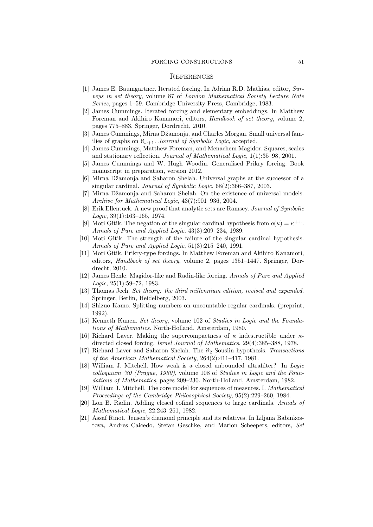#### FORCING CONSTRUCTIONS 51

#### **REFERENCES**

- [1] James E. Baumgartner. Iterated forcing. In Adrian R.D. Mathias, editor, Surveys in set theory, volume 87 of London Mathematical Society Lecture Note Series, pages 1–59. Cambridge University Press, Cambridge, 1983.
- [2] James Cummings. Iterated forcing and elementary embeddings. In Matthew Foreman and Akihiro Kanamori, editors, Handbook of set theory, volume 2, pages 775–883. Springer, Dordrecht, 2010.
- [3] James Cummings, Mirna Džamonja, and Charles Morgan. Small universal families of graphs on  $\aleph_{\omega+1}$ . Journal of Symbolic Logic, accepted.
- [4] James Cummings, Matthew Foreman, and Menachem Magidor. Squares, scales and stationary reflection. Journal of Mathematical Logic, 1(1):35–98, 2001.
- [5] James Cummings and W. Hugh Woodin. Generalised Prikry forcing. Book manuscript in preparation, version 2012.
- [6] Mirna Džamonja and Saharon Shelah. Universal graphs at the successor of a singular cardinal. Journal of Symbolic Logic, 68(2):366–387, 2003.
- [7] Mirna Džamonja and Saharon Shelah. On the existence of universal models. Archive for Mathematical Logic, 43(7):901–936, 2004.
- [8] Erik Ellentuck. A new proof that analytic sets are Ramsey. Journal of Symbolic Logic, 39(1):163–165, 1974.
- [9] Moti Gitik. The negation of the singular cardinal hypothesis from  $o(\kappa) = \kappa^{++}$ . Annals of Pure and Applied Logic, 43(3):209–234, 1989.
- [10] Moti Gitik. The strength of the failure of the singular cardinal hypothesis. Annals of Pure and Applied Logic, 51(3):215–240, 1991.
- [11] Moti Gitik. Prikry-type forcings. In Matthew Foreman and Akihiro Kanamori, editors, Handbook of set theory, volume 2, pages 1351–1447. Springer, Dordrecht, 2010.
- [12] James Henle. Magidor-like and Radin-like forcing. Annals of Pure and Applied Logic, 25(1):59–72, 1983.
- [13] Thomas Jech. Set theory: the third millennium edition, revised and expanded. Springer, Berlin, Heidelberg, 2003.
- [14] Shizuo Kamo. Splitting numbers on uncountable regular cardinals. (preprint, 1992).
- [15] Kenneth Kunen. Set theory, volume 102 of Studies in Logic and the Foundations of Mathematics. North-Holland, Amsterdam, 1980.
- [16] Richard Laver. Making the supercompactness of  $\kappa$  indestructible under  $\kappa$ directed closed forcing. Israel Journal of Mathematics, 29(4):385–388, 1978.
- [17] Richard Laver and Saharon Shelah. The  $\aleph_2$ -Souslin hypothesis. Transactions of the American Mathematical Society, 264(2):411–417, 1981.
- [18] William J. Mitchell. How weak is a closed unbounded ultrafilter? In Logic colloquium '80 (Prague, 1980), volume 108 of Studies in Logic and the Foundations of Mathematics, pages 209–230. North-Holland, Amsterdam, 1982.
- [19] William J. Mitchell. The core model for sequences of measures. I. Mathematical Proceedings of the Cambridge Philosophical Society, 95(2):229–260, 1984.
- [20] Lon B. Radin. Adding closed cofinal sequences to large cardinals. Annals of Mathematical Logic, 22:243–261, 1982.
- [21] Assaf Rinot. Jensen's diamond principle and its relatives. In Liljana Babinkostova, Andres Caicedo, Stefan Geschke, and Marion Scheepers, editors, Set